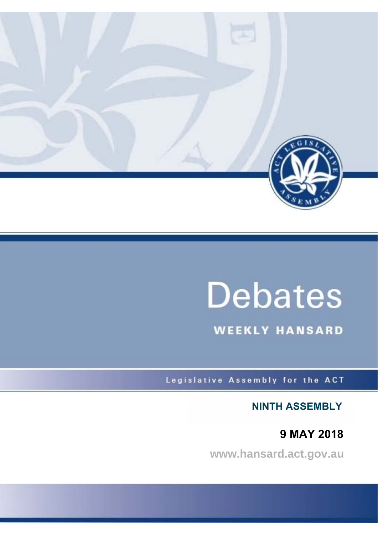

# **Debates**

**WEEKLY HANSARD** 

Legislative Assembly for the ACT

**NINTH ASSEMBLY**

**9 MAY 2018**

**www.hansard.act.gov.au**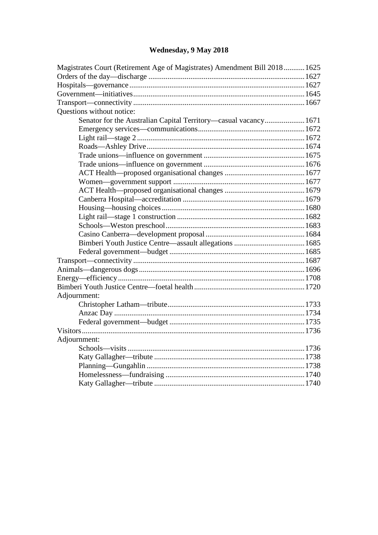## **[Wednesday, 9 May 2018](#page-2-0)**

| Magistrates Court (Retirement Age of Magistrates) Amendment Bill 2018 1625 |  |  |
|----------------------------------------------------------------------------|--|--|
|                                                                            |  |  |
|                                                                            |  |  |
|                                                                            |  |  |
|                                                                            |  |  |
| Questions without notice:                                                  |  |  |
| Senator for the Australian Capital Territory-casual vacancy 1671           |  |  |
|                                                                            |  |  |
|                                                                            |  |  |
|                                                                            |  |  |
|                                                                            |  |  |
|                                                                            |  |  |
|                                                                            |  |  |
|                                                                            |  |  |
|                                                                            |  |  |
|                                                                            |  |  |
|                                                                            |  |  |
|                                                                            |  |  |
|                                                                            |  |  |
|                                                                            |  |  |
|                                                                            |  |  |
|                                                                            |  |  |
|                                                                            |  |  |
|                                                                            |  |  |
|                                                                            |  |  |
|                                                                            |  |  |
| Adjournment:                                                               |  |  |
|                                                                            |  |  |
|                                                                            |  |  |
|                                                                            |  |  |
|                                                                            |  |  |
| Adjournment:                                                               |  |  |
|                                                                            |  |  |
|                                                                            |  |  |
|                                                                            |  |  |
|                                                                            |  |  |
|                                                                            |  |  |
|                                                                            |  |  |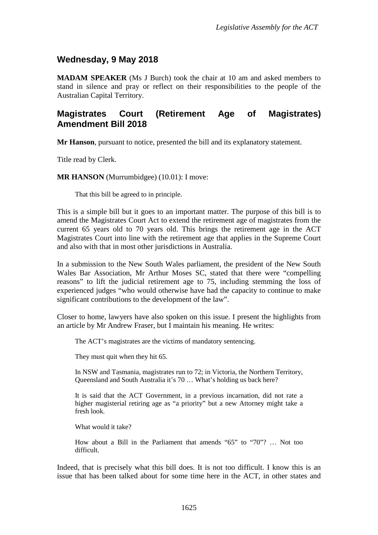### <span id="page-2-0"></span>**Wednesday, 9 May 2018**

**MADAM SPEAKER** (Ms J Burch) took the chair at 10 am and asked members to stand in silence and pray or reflect on their responsibilities to the people of the Australian Capital Territory.

### <span id="page-2-1"></span>**Magistrates Court (Retirement Age of Magistrates) Amendment Bill 2018**

**Mr Hanson**, pursuant to notice, presented the bill and its explanatory statement.

Title read by Clerk.

**MR HANSON** (Murrumbidgee) (10.01): I move:

That this bill be agreed to in principle.

This is a simple bill but it goes to an important matter. The purpose of this bill is to amend the Magistrates Court Act to extend the retirement age of magistrates from the current 65 years old to 70 years old. This brings the retirement age in the ACT Magistrates Court into line with the retirement age that applies in the Supreme Court and also with that in most other jurisdictions in Australia.

In a submission to the New South Wales parliament, the president of the New South Wales Bar Association, Mr Arthur Moses SC, stated that there were "compelling reasons" to lift the judicial retirement age to 75, including stemming the loss of experienced judges "who would otherwise have had the capacity to continue to make significant contributions to the development of the law".

Closer to home, lawyers have also spoken on this issue. I present the highlights from an article by Mr Andrew Fraser, but I maintain his meaning. He writes:

The ACT's magistrates are the victims of mandatory sentencing.

They must quit when they hit 65.

In NSW and Tasmania, magistrates run to 72; in Victoria, the Northern Territory, Queensland and South Australia it's 70 … What's holding us back here?

It is said that the ACT Government, in a previous incarnation, did not rate a higher magisterial retiring age as "a priority" but a new Attorney might take a fresh look.

What would it take?

How about a Bill in the Parliament that amends "65" to "70"? … Not too difficult.

Indeed, that is precisely what this bill does. It is not too difficult. I know this is an issue that has been talked about for some time here in the ACT, in other states and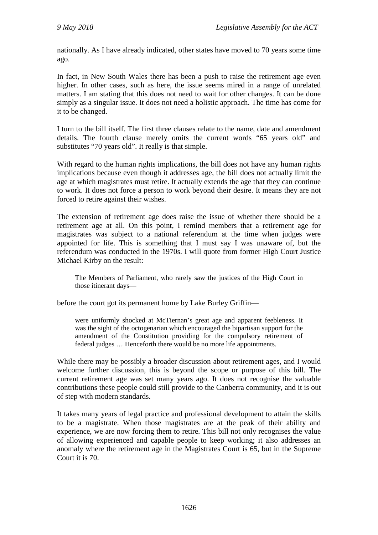nationally. As I have already indicated, other states have moved to 70 years some time ago.

In fact, in New South Wales there has been a push to raise the retirement age even higher. In other cases, such as here, the issue seems mired in a range of unrelated matters. I am stating that this does not need to wait for other changes. It can be done simply as a singular issue. It does not need a holistic approach. The time has come for it to be changed.

I turn to the bill itself. The first three clauses relate to the name, date and amendment details. The fourth clause merely omits the current words "65 years old" and substitutes "70 years old". It really is that simple.

With regard to the human rights implications, the bill does not have any human rights implications because even though it addresses age, the bill does not actually limit the age at which magistrates must retire. It actually extends the age that they can continue to work. It does not force a person to work beyond their desire. It means they are not forced to retire against their wishes.

The extension of retirement age does raise the issue of whether there should be a retirement age at all. On this point, I remind members that a retirement age for magistrates was subject to a national referendum at the time when judges were appointed for life. This is something that I must say I was unaware of, but the referendum was conducted in the 1970s. I will quote from former High Court Justice Michael Kirby on the result:

The Members of Parliament, who rarely saw the justices of the High Court in those itinerant days—

before the court got its permanent home by Lake Burley Griffin—

were uniformly shocked at McTiernan's great age and apparent feebleness. It was the sight of the octogenarian which encouraged the bipartisan support for the amendment of the Constitution providing for the compulsory retirement of federal judges … Henceforth there would be no more life appointments.

While there may be possibly a broader discussion about retirement ages, and I would welcome further discussion, this is beyond the scope or purpose of this bill. The current retirement age was set many years ago. It does not recognise the valuable contributions these people could still provide to the Canberra community, and it is out of step with modern standards.

It takes many years of legal practice and professional development to attain the skills to be a magistrate. When those magistrates are at the peak of their ability and experience, we are now forcing them to retire. This bill not only recognises the value of allowing experienced and capable people to keep working; it also addresses an anomaly where the retirement age in the Magistrates Court is 65, but in the Supreme Court it is 70.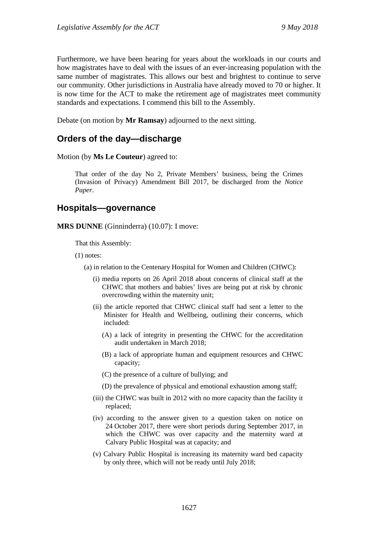Furthermore, we have been hearing for years about the workloads in our courts and how magistrates have to deal with the issues of an ever-increasing population with the same number of magistrates. This allows our best and brightest to continue to serve our community. Other jurisdictions in Australia have already moved to 70 or higher. It is now time for the ACT to make the retirement age of magistrates meet community standards and expectations. I commend this bill to the Assembly.

Debate (on motion by **Mr Ramsay**) adjourned to the next sitting.

#### <span id="page-4-0"></span>**Orders of the day—discharge**

Motion (by **Ms Le Couteur**) agreed to:

That order of the day No 2, Private Members' business, being the Crimes (Invasion of Privacy) Amendment Bill 2017, be discharged from the *Notice Paper*.

#### <span id="page-4-1"></span>**Hospitals—governance**

**MRS DUNNE** (Ginninderra) (10.07): I move:

That this Assembly:

(1) notes:

(a) in relation to the Centenary Hospital for Women and Children (CHWC):

- (i) media reports on 26 April 2018 about concerns of clinical staff at the CHWC that mothers and babies' lives are being put at risk by chronic overcrowding within the maternity unit;
- (ii) the article reported that CHWC clinical staff had sent a letter to the Minister for Health and Wellbeing, outlining their concerns, which included:
	- (A) a lack of integrity in presenting the CHWC for the accreditation audit undertaken in March 2018;
	- (B) a lack of appropriate human and equipment resources and CHWC capacity;

(C) the presence of a culture of bullying; and

- (D) the prevalence of physical and emotional exhaustion among staff;
- (iii) the CHWC was built in 2012 with no more capacity than the facility it replaced;
- (iv) according to the answer given to a question taken on notice on 24 October 2017, there were short periods during September 2017, in which the CHWC was over capacity and the maternity ward at Calvary Public Hospital was at capacity; and
- (v) Calvary Public Hospital is increasing its maternity ward bed capacity by only three, which will not be ready until July 2018;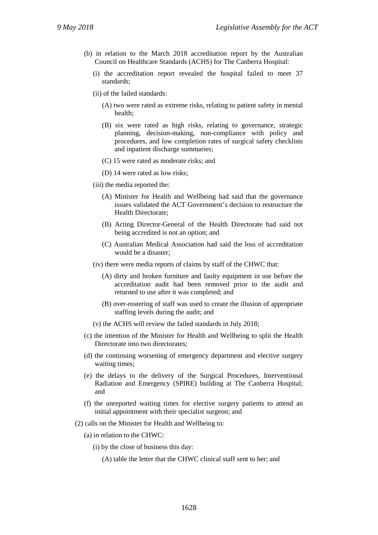- (b) in relation to the March 2018 accreditation report by the Australian Council on Healthcare Standards (ACHS) for The Canberra Hospital:
	- (i) the accreditation report revealed the hospital failed to meet 37 standards;
	- (ii) of the failed standards:
		- (A) two were rated as extreme risks, relating to patient safety in mental health;
		- (B) six were rated as high risks, relating to governance, strategic planning, decision-making, non-compliance with policy and procedures, and low completion rates of surgical safety checklists and inpatient discharge summaries;
		- (C) 15 were rated as moderate risks; and
		- (D) 14 were rated as low risks;
	- (iii) the media reported the:
		- (A) Minister for Health and Wellbeing had said that the governance issues validated the ACT Government's decision to restructure the Health Directorate;
		- (B) Acting Director-General of the Health Directorate had said not being accredited is not an option; and
		- (C) Australian Medical Association had said the loss of accreditation would be a disaster;
	- (iv) there were media reports of claims by staff of the CHWC that:
		- (A) dirty and broken furniture and faulty equipment in use before the accreditation audit had been removed prior to the audit and returned to use after it was completed; and
		- (B) over-rostering of staff was used to create the illusion of appropriate staffing levels during the audit; and
	- (v) the ACHS will review the failed standards in July 2018;
- (c) the intention of the Minister for Health and Wellbeing to split the Health Directorate into two directorates;
- (d) the continuing worsening of emergency department and elective surgery waiting times;
- (e) the delays to the delivery of the Surgical Procedures, Interventional Radiation and Emergency (SPIRE) building at The Canberra Hospital; and
- (f) the unreported waiting times for elective surgery patients to attend an initial appointment with their specialist surgeon; and
- (2) calls on the Minister for Health and Wellbeing to:
	- (a) in relation to the CHWC:
		- (i) by the close of business this day:

(A) table the letter that the CHWC clinical staff sent to her; and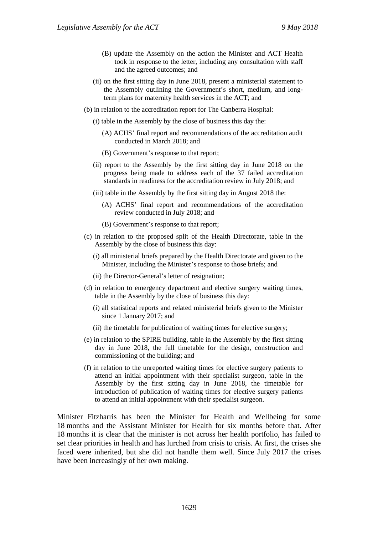- (B) update the Assembly on the action the Minister and ACT Health took in response to the letter, including any consultation with staff and the agreed outcomes; and
- (ii) on the first sitting day in June 2018, present a ministerial statement to the Assembly outlining the Government's short, medium, and longterm plans for maternity health services in the ACT; and
- (b) in relation to the accreditation report for The Canberra Hospital:
	- (i) table in the Assembly by the close of business this day the:
		- (A) ACHS' final report and recommendations of the accreditation audit conducted in March 2018; and
		- (B) Government's response to that report;
	- (ii) report to the Assembly by the first sitting day in June 2018 on the progress being made to address each of the 37 failed accreditation standards in readiness for the accreditation review in July 2018; and
	- (iii) table in the Assembly by the first sitting day in August 2018 the:
		- (A) ACHS' final report and recommendations of the accreditation review conducted in July 2018; and
		- (B) Government's response to that report;
- (c) in relation to the proposed split of the Health Directorate, table in the Assembly by the close of business this day:
	- (i) all ministerial briefs prepared by the Health Directorate and given to the Minister, including the Minister's response to those briefs; and
	- (ii) the Director-General's letter of resignation;
- (d) in relation to emergency department and elective surgery waiting times, table in the Assembly by the close of business this day:
	- (i) all statistical reports and related ministerial briefs given to the Minister since 1 January 2017; and
	- (ii) the timetable for publication of waiting times for elective surgery;
- (e) in relation to the SPIRE building, table in the Assembly by the first sitting day in June 2018, the full timetable for the design, construction and commissioning of the building; and
- (f) in relation to the unreported waiting times for elective surgery patients to attend an initial appointment with their specialist surgeon, table in the Assembly by the first sitting day in June 2018, the timetable for introduction of publication of waiting times for elective surgery patients to attend an initial appointment with their specialist surgeon.

Minister Fitzharris has been the Minister for Health and Wellbeing for some 18 months and the Assistant Minister for Health for six months before that. After 18 months it is clear that the minister is not across her health portfolio, has failed to set clear priorities in health and has lurched from crisis to crisis. At first, the crises she faced were inherited, but she did not handle them well. Since July 2017 the crises have been increasingly of her own making.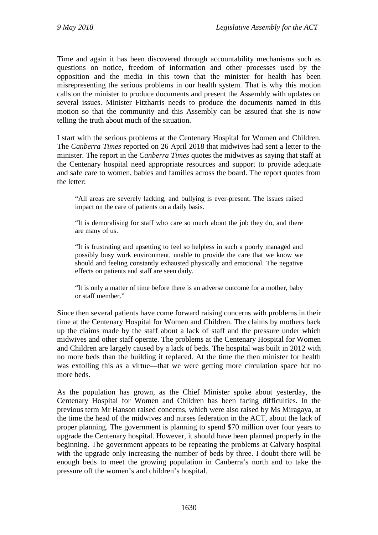Time and again it has been discovered through accountability mechanisms such as questions on notice, freedom of information and other processes used by the opposition and the media in this town that the minister for health has been misrepresenting the serious problems in our health system. That is why this motion calls on the minister to produce documents and present the Assembly with updates on several issues. Minister Fitzharris needs to produce the documents named in this motion so that the community and this Assembly can be assured that she is now telling the truth about much of the situation.

I start with the serious problems at the Centenary Hospital for Women and Children. The *Canberra Times* reported on 26 April 2018 that midwives had sent a letter to the minister. The report in the *Canberra Times* quotes the midwives as saying that staff at the Centenary hospital need appropriate resources and support to provide adequate and safe care to women, babies and families across the board. The report quotes from the letter:

"All areas are severely lacking, and bullying is ever-present. The issues raised impact on the care of patients on a daily basis.

"It is demoralising for staff who care so much about the job they do, and there are many of us.

"It is frustrating and upsetting to feel so helpless in such a poorly managed and possibly busy work environment, unable to provide the care that we know we should and feeling constantly exhausted physically and emotional. The negative effects on patients and staff are seen daily.

"It is only a matter of time before there is an adverse outcome for a mother, baby or staff member."

Since then several patients have come forward raising concerns with problems in their time at the Centenary Hospital for Women and Children. The claims by mothers back up the claims made by the staff about a lack of staff and the pressure under which midwives and other staff operate. The problems at the Centenary Hospital for Women and Children are largely caused by a lack of beds. The hospital was built in 2012 with no more beds than the building it replaced. At the time the then minister for health was extolling this as a virtue—that we were getting more circulation space but no more beds.

As the population has grown, as the Chief Minister spoke about yesterday, the Centenary Hospital for Women and Children has been facing difficulties. In the previous term Mr Hanson raised concerns, which were also raised by Ms Miragaya, at the time the head of the midwives and nurses federation in the ACT, about the lack of proper planning. The government is planning to spend \$70 million over four years to upgrade the Centenary hospital. However, it should have been planned properly in the beginning. The government appears to be repeating the problems at Calvary hospital with the upgrade only increasing the number of beds by three. I doubt there will be enough beds to meet the growing population in Canberra's north and to take the pressure off the women's and children's hospital.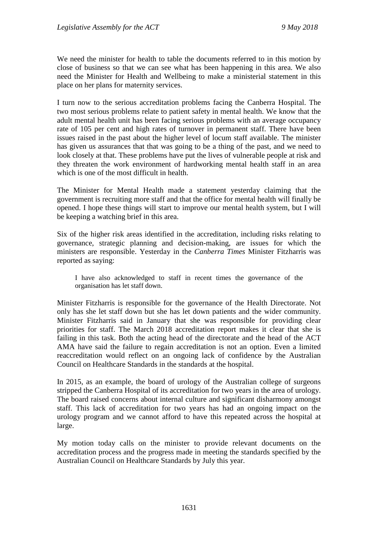We need the minister for health to table the documents referred to in this motion by close of business so that we can see what has been happening in this area. We also need the Minister for Health and Wellbeing to make a ministerial statement in this place on her plans for maternity services.

I turn now to the serious accreditation problems facing the Canberra Hospital. The two most serious problems relate to patient safety in mental health. We know that the adult mental health unit has been facing serious problems with an average occupancy rate of 105 per cent and high rates of turnover in permanent staff. There have been issues raised in the past about the higher level of locum staff available. The minister has given us assurances that that was going to be a thing of the past, and we need to look closely at that. These problems have put the lives of vulnerable people at risk and they threaten the work environment of hardworking mental health staff in an area which is one of the most difficult in health.

The Minister for Mental Health made a statement yesterday claiming that the government is recruiting more staff and that the office for mental health will finally be opened. I hope these things will start to improve our mental health system, but I will be keeping a watching brief in this area.

Six of the higher risk areas identified in the accreditation, including risks relating to governance, strategic planning and decision-making, are issues for which the ministers are responsible. Yesterday in the *Canberra Times* Minister Fitzharris was reported as saying:

I have also acknowledged to staff in recent times the governance of the organisation has let staff down.

Minister Fitzharris is responsible for the governance of the Health Directorate. Not only has she let staff down but she has let down patients and the wider community. Minister Fitzharris said in January that she was responsible for providing clear priorities for staff. The March 2018 accreditation report makes it clear that she is failing in this task. Both the acting head of the directorate and the head of the ACT AMA have said the failure to regain accreditation is not an option. Even a limited reaccreditation would reflect on an ongoing lack of confidence by the Australian Council on Healthcare Standards in the standards at the hospital.

In 2015, as an example, the board of urology of the Australian college of surgeons stripped the Canberra Hospital of its accreditation for two years in the area of urology. The board raised concerns about internal culture and significant disharmony amongst staff. This lack of accreditation for two years has had an ongoing impact on the urology program and we cannot afford to have this repeated across the hospital at large.

My motion today calls on the minister to provide relevant documents on the accreditation process and the progress made in meeting the standards specified by the Australian Council on Healthcare Standards by July this year.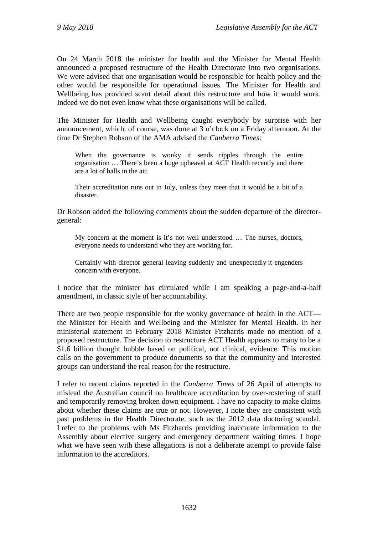On 24 March 2018 the minister for health and the Minister for Mental Health announced a proposed restructure of the Health Directorate into two organisations. We were advised that one organisation would be responsible for health policy and the other would be responsible for operational issues. The Minister for Health and Wellbeing has provided scant detail about this restructure and how it would work. Indeed we do not even know what these organisations will be called.

The Minister for Health and Wellbeing caught everybody by surprise with her announcement, which, of course, was done at 3 o'clock on a Friday afternoon. At the time Dr Stephen Robson of the AMA advised the *Canberra Times*:

When the governance is wonky it sends ripples through the entire organisation … There's been a huge upheaval at ACT Health recently and there are a lot of balls in the air.

Their accreditation runs out in July, unless they meet that it would be a bit of a disaster.

Dr Robson added the following comments about the sudden departure of the directorgeneral:

My concern at the moment is it's not well understood … The nurses, doctors, everyone needs to understand who they are working for.

Certainly with director general leaving suddenly and unexpectedly it engenders concern with everyone.

I notice that the minister has circulated while I am speaking a page-and-a-half amendment, in classic style of her accountability.

There are two people responsible for the wonky governance of health in the ACT the Minister for Health and Wellbeing and the Minister for Mental Health. In her ministerial statement in February 2018 Minister Fitzharris made no mention of a proposed restructure. The decision to restructure ACT Health appears to many to be a \$1.6 billion thought bubble based on political, not clinical, evidence. This motion calls on the government to produce documents so that the community and interested groups can understand the real reason for the restructure.

I refer to recent claims reported in the *Canberra Times* of 26 April of attempts to mislead the Australian council on healthcare accreditation by over-rostering of staff and temporarily removing broken down equipment. I have no capacity to make claims about whether these claims are true or not. However, I note they are consistent with past problems in the Health Directorate, such as the 2012 data doctoring scandal. I refer to the problems with Ms Fitzharris providing inaccurate information to the Assembly about elective surgery and emergency department waiting times. I hope what we have seen with these allegations is not a deliberate attempt to provide false information to the accreditors.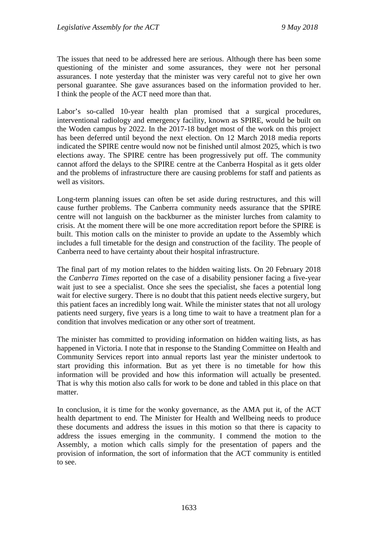The issues that need to be addressed here are serious. Although there has been some questioning of the minister and some assurances, they were not her personal assurances. I note yesterday that the minister was very careful not to give her own personal guarantee. She gave assurances based on the information provided to her. I think the people of the ACT need more than that.

Labor's so-called 10-year health plan promised that a surgical procedures, interventional radiology and emergency facility, known as SPIRE, would be built on the Woden campus by 2022. In the 2017-18 budget most of the work on this project has been deferred until beyond the next election. On 12 March 2018 media reports indicated the SPIRE centre would now not be finished until almost 2025, which is two elections away. The SPIRE centre has been progressively put off. The community cannot afford the delays to the SPIRE centre at the Canberra Hospital as it gets older and the problems of infrastructure there are causing problems for staff and patients as well as visitors.

Long-term planning issues can often be set aside during restructures, and this will cause further problems. The Canberra community needs assurance that the SPIRE centre will not languish on the backburner as the minister lurches from calamity to crisis. At the moment there will be one more accreditation report before the SPIRE is built. This motion calls on the minister to provide an update to the Assembly which includes a full timetable for the design and construction of the facility. The people of Canberra need to have certainty about their hospital infrastructure.

The final part of my motion relates to the hidden waiting lists. On 20 February 2018 the *Canberra Times* reported on the case of a disability pensioner facing a five-year wait just to see a specialist. Once she sees the specialist, she faces a potential long wait for elective surgery. There is no doubt that this patient needs elective surgery, but this patient faces an incredibly long wait. While the minister states that not all urology patients need surgery, five years is a long time to wait to have a treatment plan for a condition that involves medication or any other sort of treatment.

The minister has committed to providing information on hidden waiting lists, as has happened in Victoria. I note that in response to the Standing Committee on Health and Community Services report into annual reports last year the minister undertook to start providing this information. But as yet there is no timetable for how this information will be provided and how this information will actually be presented. That is why this motion also calls for work to be done and tabled in this place on that matter.

In conclusion, it is time for the wonky governance, as the AMA put it, of the ACT health department to end. The Minister for Health and Wellbeing needs to produce these documents and address the issues in this motion so that there is capacity to address the issues emerging in the community. I commend the motion to the Assembly, a motion which calls simply for the presentation of papers and the provision of information, the sort of information that the ACT community is entitled to see.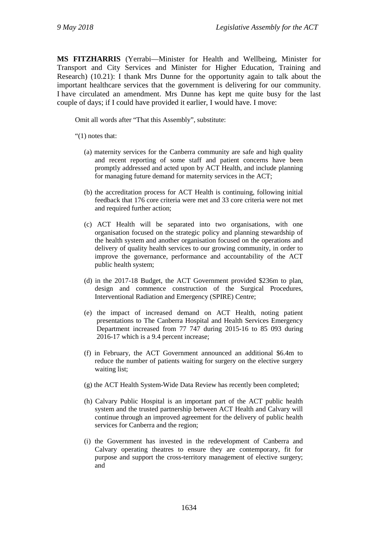**MS FITZHARRIS** (Yerrabi—Minister for Health and Wellbeing, Minister for Transport and City Services and Minister for Higher Education, Training and Research) (10.21): I thank Mrs Dunne for the opportunity again to talk about the important healthcare services that the government is delivering for our community. I have circulated an amendment. Mrs Dunne has kept me quite busy for the last couple of days; if I could have provided it earlier, I would have. I move:

Omit all words after "That this Assembly", substitute:

"(1) notes that:

- (a) maternity services for the Canberra community are safe and high quality and recent reporting of some staff and patient concerns have been promptly addressed and acted upon by ACT Health, and include planning for managing future demand for maternity services in the ACT;
- (b) the accreditation process for ACT Health is continuing, following initial feedback that 176 core criteria were met and 33 core criteria were not met and required further action;
- (c) ACT Health will be separated into two organisations, with one organisation focused on the strategic policy and planning stewardship of the health system and another organisation focused on the operations and delivery of quality health services to our growing community, in order to improve the governance, performance and accountability of the ACT public health system;
- (d) in the 2017-18 Budget, the ACT Government provided \$236m to plan, design and commence construction of the Surgical Procedures, Interventional Radiation and Emergency (SPIRE) Centre;
- (e) the impact of increased demand on ACT Health, noting patient presentations to The Canberra Hospital and Health Services Emergency Department increased from 77 747 during 2015-16 to 85 093 during 2016-17 which is a 9.4 percent increase;
- (f) in February, the ACT Government announced an additional \$6.4m to reduce the number of patients waiting for surgery on the elective surgery waiting list;
- (g) the ACT Health System-Wide Data Review has recently been completed;
- (h) Calvary Public Hospital is an important part of the ACT public health system and the trusted partnership between ACT Health and Calvary will continue through an improved agreement for the delivery of public health services for Canberra and the region;
- (i) the Government has invested in the redevelopment of Canberra and Calvary operating theatres to ensure they are contemporary, fit for purpose and support the cross-territory management of elective surgery; and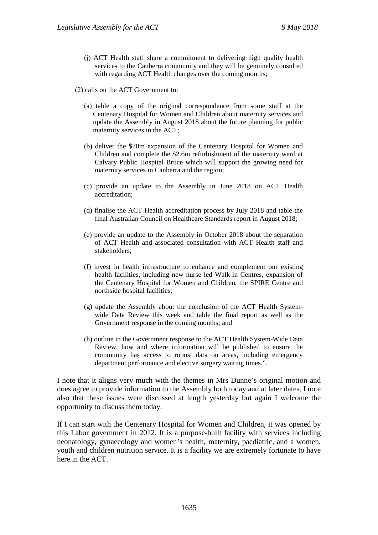- (j) ACT Health staff share a commitment to delivering high quality health services to the Canberra community and they will be genuinely consulted with regarding ACT Health changes over the coming months;
- (2) calls on the ACT Government to:
	- (a) table a copy of the original correspondence from some staff at the Centenary Hospital for Women and Children about maternity services and update the Assembly in August 2018 about the future planning for public maternity services in the ACT;
	- (b) deliver the \$70m expansion of the Centenary Hospital for Women and Children and complete the \$2.6m refurbishment of the maternity ward at Calvary Public Hospital Bruce which will support the growing need for maternity services in Canberra and the region;
	- (c) provide an update to the Assembly in June 2018 on ACT Health accreditation;
	- (d) finalise the ACT Health accreditation process by July 2018 and table the final Australian Council on Healthcare Standards report in August 2018;
	- (e) provide an update to the Assembly in October 2018 about the separation of ACT Health and associated consultation with ACT Health staff and stakeholders;
	- (f) invest in health infrastructure to enhance and complement our existing health facilities, including new nurse led Walk-in Centres, expansion of the Centenary Hospital for Women and Children, the SPIRE Centre and northside hospital facilities;
	- (g) update the Assembly about the conclusion of the ACT Health Systemwide Data Review this week and table the final report as well as the Government response in the coming months; and
	- (h) outline in the Government response to the ACT Health System-Wide Data Review, how and where information will be published to ensure the community has access to robust data on areas, including emergency department performance and elective surgery waiting times.".

I note that it aligns very much with the themes in Mrs Dunne's original motion and does agree to provide information to the Assembly both today and at later dates. I note also that these issues were discussed at length yesterday but again I welcome the opportunity to discuss them today.

If I can start with the Centenary Hospital for Women and Children, it was opened by this Labor government in 2012. It is a purpose-built facility with services including neonatology, gynaecology and women's health, maternity, paediatric, and a women, youth and children nutrition service. It is a facility we are extremely fortunate to have here in the ACT.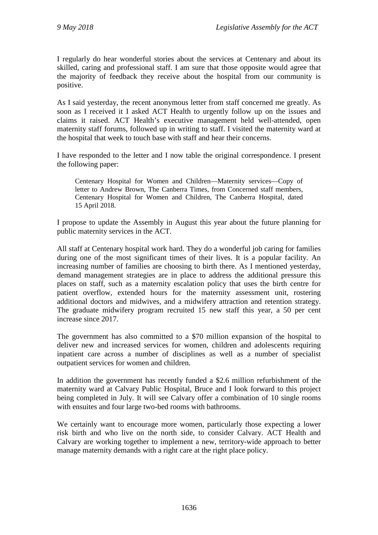I regularly do hear wonderful stories about the services at Centenary and about its skilled, caring and professional staff. I am sure that those opposite would agree that the majority of feedback they receive about the hospital from our community is positive.

As I said yesterday, the recent anonymous letter from staff concerned me greatly. As soon as I received it I asked ACT Health to urgently follow up on the issues and claims it raised. ACT Health's executive management held well-attended, open maternity staff forums, followed up in writing to staff. I visited the maternity ward at the hospital that week to touch base with staff and hear their concerns.

I have responded to the letter and I now table the original correspondence. I present the following paper:

Centenary Hospital for Women and Children—Maternity services—Copy of letter to Andrew Brown, The Canberra Times, from Concerned staff members, Centenary Hospital for Women and Children, The Canberra Hospital, dated 15 April 2018.

I propose to update the Assembly in August this year about the future planning for public maternity services in the ACT.

All staff at Centenary hospital work hard. They do a wonderful job caring for families during one of the most significant times of their lives. It is a popular facility. An increasing number of families are choosing to birth there. As I mentioned yesterday, demand management strategies are in place to address the additional pressure this places on staff, such as a maternity escalation policy that uses the birth centre for patient overflow, extended hours for the maternity assessment unit, rostering additional doctors and midwives, and a midwifery attraction and retention strategy. The graduate midwifery program recruited 15 new staff this year, a 50 per cent increase since 2017.

The government has also committed to a \$70 million expansion of the hospital to deliver new and increased services for women, children and adolescents requiring inpatient care across a number of disciplines as well as a number of specialist outpatient services for women and children.

In addition the government has recently funded a \$2.6 million refurbishment of the maternity ward at Calvary Public Hospital, Bruce and I look forward to this project being completed in July. It will see Calvary offer a combination of 10 single rooms with ensuites and four large two-bed rooms with bathrooms.

We certainly want to encourage more women, particularly those expecting a lower risk birth and who live on the north side, to consider Calvary. ACT Health and Calvary are working together to implement a new, territory-wide approach to better manage maternity demands with a right care at the right place policy.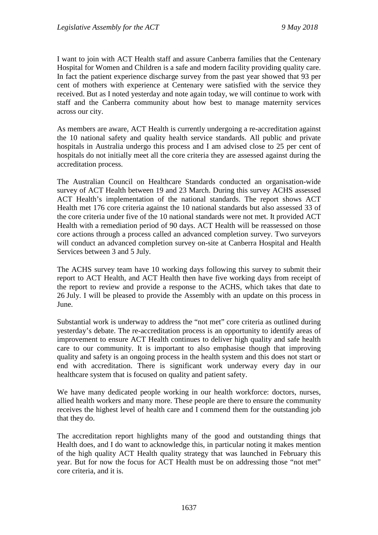I want to join with ACT Health staff and assure Canberra families that the Centenary Hospital for Women and Children is a safe and modern facility providing quality care. In fact the patient experience discharge survey from the past year showed that 93 per cent of mothers with experience at Centenary were satisfied with the service they received. But as I noted yesterday and note again today, we will continue to work with staff and the Canberra community about how best to manage maternity services across our city.

As members are aware, ACT Health is currently undergoing a re-accreditation against the 10 national safety and quality health service standards. All public and private hospitals in Australia undergo this process and I am advised close to 25 per cent of hospitals do not initially meet all the core criteria they are assessed against during the accreditation process.

The Australian Council on Healthcare Standards conducted an organisation-wide survey of ACT Health between 19 and 23 March. During this survey ACHS assessed ACT Health's implementation of the national standards. The report shows ACT Health met 176 core criteria against the 10 national standards but also assessed 33 of the core criteria under five of the 10 national standards were not met. It provided ACT Health with a remediation period of 90 days. ACT Health will be reassessed on those core actions through a process called an advanced completion survey. Two surveyors will conduct an advanced completion survey on-site at Canberra Hospital and Health Services between 3 and 5 July.

The ACHS survey team have 10 working days following this survey to submit their report to ACT Health, and ACT Health then have five working days from receipt of the report to review and provide a response to the ACHS, which takes that date to 26 July. I will be pleased to provide the Assembly with an update on this process in June.

Substantial work is underway to address the "not met" core criteria as outlined during yesterday's debate. The re-accreditation process is an opportunity to identify areas of improvement to ensure ACT Health continues to deliver high quality and safe health care to our community. It is important to also emphasise though that improving quality and safety is an ongoing process in the health system and this does not start or end with accreditation. There is significant work underway every day in our healthcare system that is focused on quality and patient safety.

We have many dedicated people working in our health workforce: doctors, nurses, allied health workers and many more. These people are there to ensure the community receives the highest level of health care and I commend them for the outstanding job that they do.

The accreditation report highlights many of the good and outstanding things that Health does, and I do want to acknowledge this, in particular noting it makes mention of the high quality ACT Health quality strategy that was launched in February this year. But for now the focus for ACT Health must be on addressing those "not met" core criteria, and it is.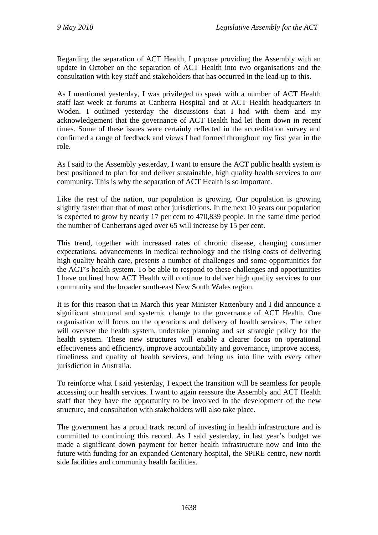Regarding the separation of ACT Health, I propose providing the Assembly with an update in October on the separation of ACT Health into two organisations and the consultation with key staff and stakeholders that has occurred in the lead-up to this.

As I mentioned yesterday, I was privileged to speak with a number of ACT Health staff last week at forums at Canberra Hospital and at ACT Health headquarters in Woden. I outlined yesterday the discussions that I had with them and my acknowledgement that the governance of ACT Health had let them down in recent times. Some of these issues were certainly reflected in the accreditation survey and confirmed a range of feedback and views I had formed throughout my first year in the role.

As I said to the Assembly yesterday, I want to ensure the ACT public health system is best positioned to plan for and deliver sustainable, high quality health services to our community. This is why the separation of ACT Health is so important.

Like the rest of the nation, our population is growing. Our population is growing slightly faster than that of most other jurisdictions. In the next 10 years our population is expected to grow by nearly 17 per cent to 470,839 people. In the same time period the number of Canberrans aged over 65 will increase by 15 per cent.

This trend, together with increased rates of chronic disease, changing consumer expectations, advancements in medical technology and the rising costs of delivering high quality health care, presents a number of challenges and some opportunities for the ACT's health system. To be able to respond to these challenges and opportunities I have outlined how ACT Health will continue to deliver high quality services to our community and the broader south-east New South Wales region.

It is for this reason that in March this year Minister Rattenbury and I did announce a significant structural and systemic change to the governance of ACT Health. One organisation will focus on the operations and delivery of health services. The other will oversee the health system, undertake planning and set strategic policy for the health system. These new structures will enable a clearer focus on operational effectiveness and efficiency, improve accountability and governance, improve access, timeliness and quality of health services, and bring us into line with every other jurisdiction in Australia.

To reinforce what I said yesterday, I expect the transition will be seamless for people accessing our health services. I want to again reassure the Assembly and ACT Health staff that they have the opportunity to be involved in the development of the new structure, and consultation with stakeholders will also take place.

The government has a proud track record of investing in health infrastructure and is committed to continuing this record. As I said yesterday, in last year's budget we made a significant down payment for better health infrastructure now and into the future with funding for an expanded Centenary hospital, the SPIRE centre, new north side facilities and community health facilities.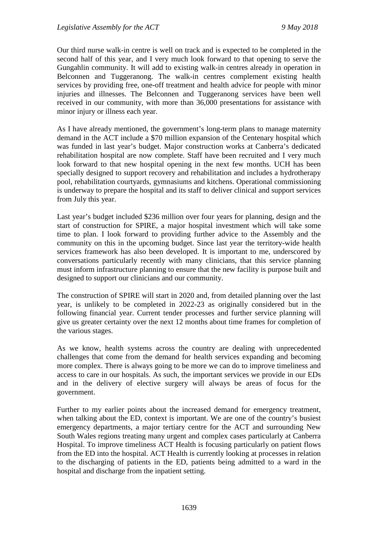Our third nurse walk-in centre is well on track and is expected to be completed in the second half of this year, and I very much look forward to that opening to serve the Gungahlin community. It will add to existing walk-in centres already in operation in Belconnen and Tuggeranong. The walk-in centres complement existing health services by providing free, one-off treatment and health advice for people with minor injuries and illnesses. The Belconnen and Tuggeranong services have been well received in our community, with more than 36,000 presentations for assistance with minor injury or illness each year.

As I have already mentioned, the government's long-term plans to manage maternity demand in the ACT include a \$70 million expansion of the Centenary hospital which was funded in last year's budget. Major construction works at Canberra's dedicated rehabilitation hospital are now complete. Staff have been recruited and I very much look forward to that new hospital opening in the next few months. UCH has been specially designed to support recovery and rehabilitation and includes a hydrotherapy pool, rehabilitation courtyards, gymnasiums and kitchens. Operational commissioning is underway to prepare the hospital and its staff to deliver clinical and support services from July this year.

Last year's budget included \$236 million over four years for planning, design and the start of construction for SPIRE, a major hospital investment which will take some time to plan. I look forward to providing further advice to the Assembly and the community on this in the upcoming budget. Since last year the territory-wide health services framework has also been developed. It is important to me, underscored by conversations particularly recently with many clinicians, that this service planning must inform infrastructure planning to ensure that the new facility is purpose built and designed to support our clinicians and our community.

The construction of SPIRE will start in 2020 and, from detailed planning over the last year, is unlikely to be completed in 2022-23 as originally considered but in the following financial year. Current tender processes and further service planning will give us greater certainty over the next 12 months about time frames for completion of the various stages.

As we know, health systems across the country are dealing with unprecedented challenges that come from the demand for health services expanding and becoming more complex. There is always going to be more we can do to improve timeliness and access to care in our hospitals. As such, the important services we provide in our EDs and in the delivery of elective surgery will always be areas of focus for the government.

Further to my earlier points about the increased demand for emergency treatment, when talking about the ED, context is important. We are one of the country's busiest emergency departments, a major tertiary centre for the ACT and surrounding New South Wales regions treating many urgent and complex cases particularly at Canberra Hospital. To improve timeliness ACT Health is focusing particularly on patient flows from the ED into the hospital. ACT Health is currently looking at processes in relation to the discharging of patients in the ED, patients being admitted to a ward in the hospital and discharge from the inpatient setting.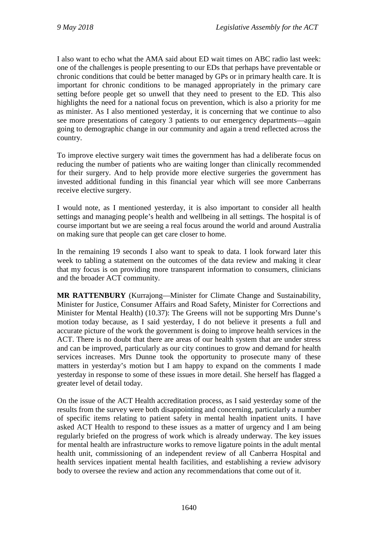I also want to echo what the AMA said about ED wait times on ABC radio last week: one of the challenges is people presenting to our EDs that perhaps have preventable or chronic conditions that could be better managed by GPs or in primary health care. It is important for chronic conditions to be managed appropriately in the primary care setting before people get so unwell that they need to present to the ED. This also highlights the need for a national focus on prevention, which is also a priority for me as minister. As I also mentioned yesterday, it is concerning that we continue to also see more presentations of category 3 patients to our emergency departments—again going to demographic change in our community and again a trend reflected across the country.

To improve elective surgery wait times the government has had a deliberate focus on reducing the number of patients who are waiting longer than clinically recommended for their surgery. And to help provide more elective surgeries the government has invested additional funding in this financial year which will see more Canberrans receive elective surgery.

I would note, as I mentioned yesterday, it is also important to consider all health settings and managing people's health and wellbeing in all settings. The hospital is of course important but we are seeing a real focus around the world and around Australia on making sure that people can get care closer to home.

In the remaining 19 seconds I also want to speak to data. I look forward later this week to tabling a statement on the outcomes of the data review and making it clear that my focus is on providing more transparent information to consumers, clinicians and the broader ACT community.

**MR RATTENBURY** (Kurrajong—Minister for Climate Change and Sustainability, Minister for Justice, Consumer Affairs and Road Safety, Minister for Corrections and Minister for Mental Health) (10.37): The Greens will not be supporting Mrs Dunne's motion today because, as I said yesterday, I do not believe it presents a full and accurate picture of the work the government is doing to improve health services in the ACT. There is no doubt that there are areas of our health system that are under stress and can be improved, particularly as our city continues to grow and demand for health services increases. Mrs Dunne took the opportunity to prosecute many of these matters in yesterday's motion but I am happy to expand on the comments I made yesterday in response to some of these issues in more detail. She herself has flagged a greater level of detail today.

On the issue of the ACT Health accreditation process, as I said yesterday some of the results from the survey were both disappointing and concerning, particularly a number of specific items relating to patient safety in mental health inpatient units. I have asked ACT Health to respond to these issues as a matter of urgency and I am being regularly briefed on the progress of work which is already underway. The key issues for mental health are infrastructure works to remove ligature points in the adult mental health unit, commissioning of an independent review of all Canberra Hospital and health services inpatient mental health facilities, and establishing a review advisory body to oversee the review and action any recommendations that come out of it.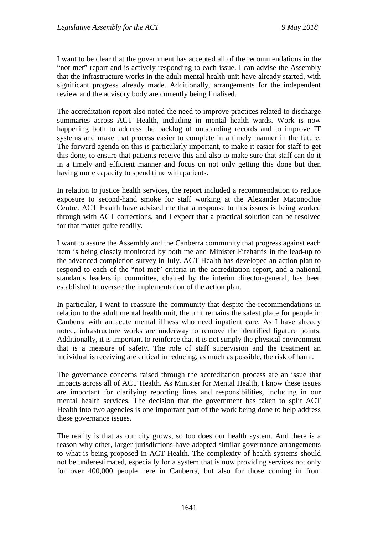I want to be clear that the government has accepted all of the recommendations in the "not met" report and is actively responding to each issue. I can advise the Assembly that the infrastructure works in the adult mental health unit have already started, with significant progress already made. Additionally, arrangements for the independent review and the advisory body are currently being finalised.

The accreditation report also noted the need to improve practices related to discharge summaries across ACT Health, including in mental health wards. Work is now happening both to address the backlog of outstanding records and to improve IT systems and make that process easier to complete in a timely manner in the future. The forward agenda on this is particularly important, to make it easier for staff to get this done, to ensure that patients receive this and also to make sure that staff can do it in a timely and efficient manner and focus on not only getting this done but then having more capacity to spend time with patients.

In relation to justice health services, the report included a recommendation to reduce exposure to second-hand smoke for staff working at the Alexander Maconochie Centre. ACT Health have advised me that a response to this issues is being worked through with ACT corrections, and I expect that a practical solution can be resolved for that matter quite readily.

I want to assure the Assembly and the Canberra community that progress against each item is being closely monitored by both me and Minister Fitzharris in the lead-up to the advanced completion survey in July. ACT Health has developed an action plan to respond to each of the "not met" criteria in the accreditation report, and a national standards leadership committee, chaired by the interim director-general, has been established to oversee the implementation of the action plan.

In particular, I want to reassure the community that despite the recommendations in relation to the adult mental health unit, the unit remains the safest place for people in Canberra with an acute mental illness who need inpatient care. As I have already noted, infrastructure works are underway to remove the identified ligature points. Additionally, it is important to reinforce that it is not simply the physical environment that is a measure of safety. The role of staff supervision and the treatment an individual is receiving are critical in reducing, as much as possible, the risk of harm.

The governance concerns raised through the accreditation process are an issue that impacts across all of ACT Health. As Minister for Mental Health, I know these issues are important for clarifying reporting lines and responsibilities, including in our mental health services. The decision that the government has taken to split ACT Health into two agencies is one important part of the work being done to help address these governance issues.

The reality is that as our city grows, so too does our health system. And there is a reason why other, larger jurisdictions have adopted similar governance arrangements to what is being proposed in ACT Health. The complexity of health systems should not be underestimated, especially for a system that is now providing services not only for over 400,000 people here in Canberra, but also for those coming in from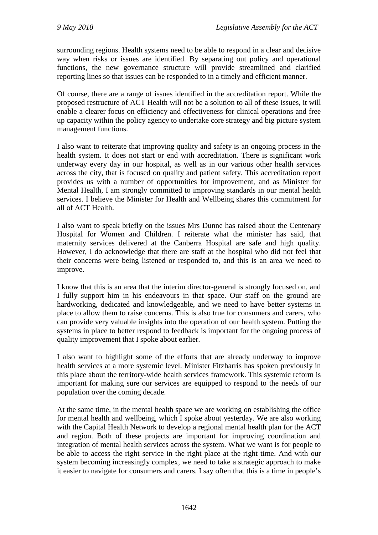surrounding regions. Health systems need to be able to respond in a clear and decisive way when risks or issues are identified. By separating out policy and operational functions, the new governance structure will provide streamlined and clarified reporting lines so that issues can be responded to in a timely and efficient manner.

Of course, there are a range of issues identified in the accreditation report. While the proposed restructure of ACT Health will not be a solution to all of these issues, it will enable a clearer focus on efficiency and effectiveness for clinical operations and free up capacity within the policy agency to undertake core strategy and big picture system management functions.

I also want to reiterate that improving quality and safety is an ongoing process in the health system. It does not start or end with accreditation. There is significant work underway every day in our hospital, as well as in our various other health services across the city, that is focused on quality and patient safety. This accreditation report provides us with a number of opportunities for improvement, and as Minister for Mental Health, I am strongly committed to improving standards in our mental health services. I believe the Minister for Health and Wellbeing shares this commitment for all of ACT Health.

I also want to speak briefly on the issues Mrs Dunne has raised about the Centenary Hospital for Women and Children. I reiterate what the minister has said, that maternity services delivered at the Canberra Hospital are safe and high quality. However, I do acknowledge that there are staff at the hospital who did not feel that their concerns were being listened or responded to, and this is an area we need to improve.

I know that this is an area that the interim director-general is strongly focused on, and I fully support him in his endeavours in that space. Our staff on the ground are hardworking, dedicated and knowledgeable, and we need to have better systems in place to allow them to raise concerns. This is also true for consumers and carers, who can provide very valuable insights into the operation of our health system. Putting the systems in place to better respond to feedback is important for the ongoing process of quality improvement that I spoke about earlier.

I also want to highlight some of the efforts that are already underway to improve health services at a more systemic level. Minister Fitzharris has spoken previously in this place about the territory-wide health services framework. This systemic reform is important for making sure our services are equipped to respond to the needs of our population over the coming decade.

At the same time, in the mental health space we are working on establishing the office for mental health and wellbeing, which I spoke about yesterday. We are also working with the Capital Health Network to develop a regional mental health plan for the ACT and region. Both of these projects are important for improving coordination and integration of mental health services across the system. What we want is for people to be able to access the right service in the right place at the right time. And with our system becoming increasingly complex, we need to take a strategic approach to make it easier to navigate for consumers and carers. I say often that this is a time in people's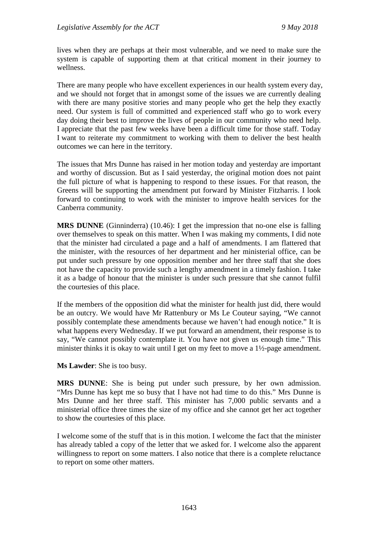lives when they are perhaps at their most vulnerable, and we need to make sure the system is capable of supporting them at that critical moment in their journey to wellness.

There are many people who have excellent experiences in our health system every day, and we should not forget that in amongst some of the issues we are currently dealing with there are many positive stories and many people who get the help they exactly need. Our system is full of committed and experienced staff who go to work every day doing their best to improve the lives of people in our community who need help. I appreciate that the past few weeks have been a difficult time for those staff. Today I want to reiterate my commitment to working with them to deliver the best health outcomes we can here in the territory.

The issues that Mrs Dunne has raised in her motion today and yesterday are important and worthy of discussion. But as I said yesterday, the original motion does not paint the full picture of what is happening to respond to these issues. For that reason, the Greens will be supporting the amendment put forward by Minister Fitzharris. I look forward to continuing to work with the minister to improve health services for the Canberra community.

**MRS DUNNE** (Ginninderra) (10.46): I get the impression that no-one else is falling over themselves to speak on this matter. When I was making my comments, I did note that the minister had circulated a page and a half of amendments. I am flattered that the minister, with the resources of her department and her ministerial office, can be put under such pressure by one opposition member and her three staff that she does not have the capacity to provide such a lengthy amendment in a timely fashion. I take it as a badge of honour that the minister is under such pressure that she cannot fulfil the courtesies of this place.

If the members of the opposition did what the minister for health just did, there would be an outcry. We would have Mr Rattenbury or Ms Le Couteur saying, "We cannot possibly contemplate these amendments because we haven't had enough notice." It is what happens every Wednesday. If we put forward an amendment, their response is to say, "We cannot possibly contemplate it. You have not given us enough time." This minister thinks it is okay to wait until I get on my feet to move a 1½-page amendment.

**Ms Lawder**: She is too busy.

**MRS DUNNE**: She is being put under such pressure, by her own admission. "Mrs Dunne has kept me so busy that I have not had time to do this." Mrs Dunne is Mrs Dunne and her three staff. This minister has 7,000 public servants and a ministerial office three times the size of my office and she cannot get her act together to show the courtesies of this place.

I welcome some of the stuff that is in this motion. I welcome the fact that the minister has already tabled a copy of the letter that we asked for. I welcome also the apparent willingness to report on some matters. I also notice that there is a complete reluctance to report on some other matters.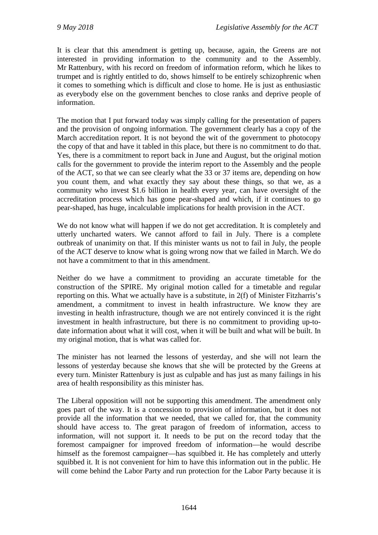It is clear that this amendment is getting up, because, again, the Greens are not interested in providing information to the community and to the Assembly. Mr Rattenbury, with his record on freedom of information reform, which he likes to trumpet and is rightly entitled to do, shows himself to be entirely schizophrenic when it comes to something which is difficult and close to home. He is just as enthusiastic as everybody else on the government benches to close ranks and deprive people of information.

The motion that I put forward today was simply calling for the presentation of papers and the provision of ongoing information. The government clearly has a copy of the March accreditation report. It is not beyond the wit of the government to photocopy the copy of that and have it tabled in this place, but there is no commitment to do that. Yes, there is a commitment to report back in June and August, but the original motion calls for the government to provide the interim report to the Assembly and the people of the ACT, so that we can see clearly what the 33 or 37 items are, depending on how you count them, and what exactly they say about these things, so that we, as a community who invest \$1.6 billion in health every year, can have oversight of the accreditation process which has gone pear-shaped and which, if it continues to go pear-shaped, has huge, incalculable implications for health provision in the ACT.

We do not know what will happen if we do not get accreditation. It is completely and utterly uncharted waters. We cannot afford to fail in July. There is a complete outbreak of unanimity on that. If this minister wants us not to fail in July, the people of the ACT deserve to know what is going wrong now that we failed in March. We do not have a commitment to that in this amendment.

Neither do we have a commitment to providing an accurate timetable for the construction of the SPIRE. My original motion called for a timetable and regular reporting on this. What we actually have is a substitute, in 2(f) of Minister Fitzharris's amendment, a commitment to invest in health infrastructure. We know they are investing in health infrastructure, though we are not entirely convinced it is the right investment in health infrastructure, but there is no commitment to providing up-todate information about what it will cost, when it will be built and what will be built. In my original motion, that is what was called for.

The minister has not learned the lessons of yesterday, and she will not learn the lessons of yesterday because she knows that she will be protected by the Greens at every turn. Minister Rattenbury is just as culpable and has just as many failings in his area of health responsibility as this minister has.

The Liberal opposition will not be supporting this amendment. The amendment only goes part of the way. It is a concession to provision of information, but it does not provide all the information that we needed, that we called for, that the community should have access to. The great paragon of freedom of information, access to information, will not support it. It needs to be put on the record today that the foremost campaigner for improved freedom of information—he would describe himself as the foremost campaigner—has squibbed it. He has completely and utterly squibbed it. It is not convenient for him to have this information out in the public. He will come behind the Labor Party and run protection for the Labor Party because it is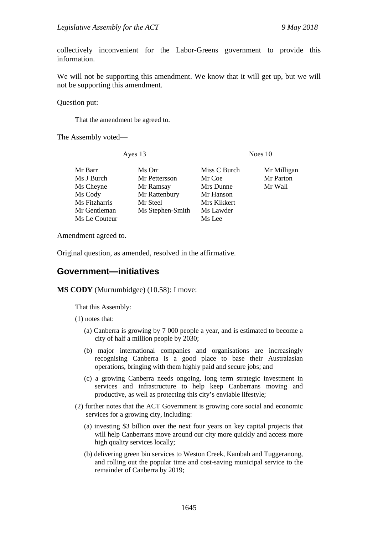collectively inconvenient for the Labor-Greens government to provide this information.

We will not be supporting this amendment. We know that it will get up, but we will not be supporting this amendment.

Question put:

That the amendment be agreed to.

The Assembly voted—

Ayes 13 Noes 10

| Mr Barr       | Ms Orr           | Miss C Burch | Mr Milligan |
|---------------|------------------|--------------|-------------|
| Ms J Burch    | Mr Pettersson    | Mr Coe       | Mr Parton   |
| Ms Cheyne     | Mr Ramsay        | Mrs Dunne    | Mr Wall     |
| Ms Cody       | Mr Rattenbury    | Mr Hanson    |             |
| Ms Fitzharris | Mr Steel         | Mrs Kikkert  |             |
| Mr Gentleman  | Ms Stephen-Smith | Ms Lawder    |             |
| Ms Le Couteur |                  | Ms Lee       |             |

Amendment agreed to.

Original question, as amended, resolved in the affirmative.

#### <span id="page-22-0"></span>**Government—initiatives**

**MS CODY** (Murrumbidgee) (10.58): I move:

That this Assembly:

(1) notes that:

- (a) Canberra is growing by 7 000 people a year, and is estimated to become a city of half a million people by 2030;
- (b) major international companies and organisations are increasingly recognising Canberra is a good place to base their Australasian operations, bringing with them highly paid and secure jobs; and
- (c) a growing Canberra needs ongoing, long term strategic investment in services and infrastructure to help keep Canberrans moving and productive, as well as protecting this city's enviable lifestyle;
- (2) further notes that the ACT Government is growing core social and economic services for a growing city, including:
	- (a) investing \$3 billion over the next four years on key capital projects that will help Canberrans move around our city more quickly and access more high quality services locally;
	- (b) delivering green bin services to Weston Creek, Kambah and Tuggeranong, and rolling out the popular time and cost-saving municipal service to the remainder of Canberra by 2019;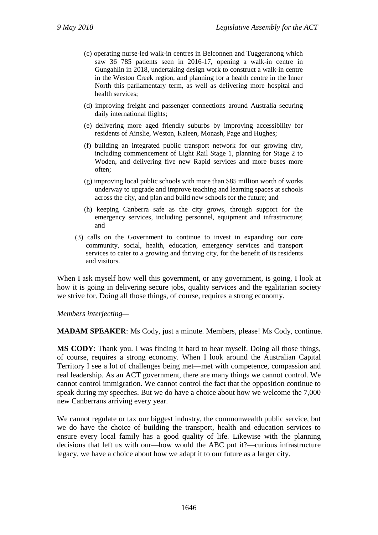- (c) operating nurse-led walk-in centres in Belconnen and Tuggeranong which saw 36 785 patients seen in 2016-17, opening a walk-in centre in Gungahlin in 2018, undertaking design work to construct a walk-in centre in the Weston Creek region, and planning for a health centre in the Inner North this parliamentary term, as well as delivering more hospital and health services;
- (d) improving freight and passenger connections around Australia securing daily international flights;
- (e) delivering more aged friendly suburbs by improving accessibility for residents of Ainslie, Weston, Kaleen, Monash, Page and Hughes;
- (f) building an integrated public transport network for our growing city, including commencement of Light Rail Stage 1, planning for Stage 2 to Woden, and delivering five new Rapid services and more buses more often;
- (g) improving local public schools with more than \$85 million worth of works underway to upgrade and improve teaching and learning spaces at schools across the city, and plan and build new schools for the future; and
- (h) keeping Canberra safe as the city grows, through support for the emergency services, including personnel, equipment and infrastructure; and
- (3) calls on the Government to continue to invest in expanding our core community, social, health, education, emergency services and transport services to cater to a growing and thriving city, for the benefit of its residents and visitors.

When I ask myself how well this government, or any government, is going, I look at how it is going in delivering secure jobs, quality services and the egalitarian society we strive for. Doing all those things, of course, requires a strong economy.

*Members interjecting—*

**MADAM SPEAKER**: Ms Cody, just a minute. Members, please! Ms Cody, continue.

**MS CODY**: Thank you. I was finding it hard to hear myself. Doing all those things, of course, requires a strong economy. When I look around the Australian Capital Territory I see a lot of challenges being met—met with competence, compassion and real leadership. As an ACT government, there are many things we cannot control. We cannot control immigration. We cannot control the fact that the opposition continue to speak during my speeches. But we do have a choice about how we welcome the 7,000 new Canberrans arriving every year.

We cannot regulate or tax our biggest industry, the commonwealth public service, but we do have the choice of building the transport, health and education services to ensure every local family has a good quality of life. Likewise with the planning decisions that left us with our—how would the ABC put it?—curious infrastructure legacy, we have a choice about how we adapt it to our future as a larger city.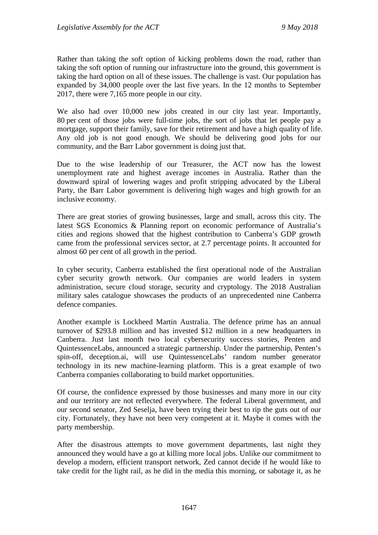Rather than taking the soft option of kicking problems down the road, rather than taking the soft option of running our infrastructure into the ground, this government is taking the hard option on all of these issues. The challenge is vast. Our population has expanded by 34,000 people over the last five years. In the 12 months to September 2017, there were 7,165 more people in our city.

We also had over 10,000 new jobs created in our city last year. Importantly, 80 per cent of those jobs were full-time jobs, the sort of jobs that let people pay a mortgage, support their family, save for their retirement and have a high quality of life. Any old job is not good enough. We should be delivering good jobs for our community, and the Barr Labor government is doing just that.

Due to the wise leadership of our Treasurer, the ACT now has the lowest unemployment rate and highest average incomes in Australia. Rather than the downward spiral of lowering wages and profit stripping advocated by the Liberal Party, the Barr Labor government is delivering high wages and high growth for an inclusive economy.

There are great stories of growing businesses, large and small, across this city. The latest SGS Economics & Planning report on economic performance of Australia's cities and regions showed that the highest contribution to Canberra's GDP growth came from the professional services sector, at 2.7 percentage points. It accounted for almost 60 per cent of all growth in the period.

In cyber security, Canberra established the first operational node of the Australian cyber security growth network. Our companies are world leaders in system administration, secure cloud storage, security and cryptology. The 2018 Australian military sales catalogue showcases the products of an unprecedented nine Canberra defence companies.

Another example is Lockheed Martin Australia. The defence prime has an annual turnover of \$293.8 million and has invested \$12 million in a new headquarters in Canberra. Just last month two local cybersecurity success stories, Penten and QuintessenceLabs, announced a strategic partnership. Under the partnership, Penten's spin-off, deception.ai, will use QuintessenceLabs' random number generator technology in its new machine-learning platform. This is a great example of two Canberra companies collaborating to build market opportunities.

Of course, the confidence expressed by those businesses and many more in our city and our territory are not reflected everywhere. The federal Liberal government, and our second senator, Zed Seselja, have been trying their best to rip the guts out of our city. Fortunately, they have not been very competent at it. Maybe it comes with the party membership.

After the disastrous attempts to move government departments, last night they announced they would have a go at killing more local jobs. Unlike our commitment to develop a modern, efficient transport network, Zed cannot decide if he would like to take credit for the light rail, as he did in the media this morning, or sabotage it, as he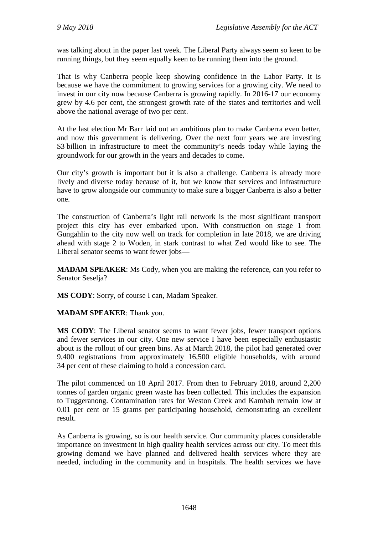was talking about in the paper last week. The Liberal Party always seem so keen to be running things, but they seem equally keen to be running them into the ground.

That is why Canberra people keep showing confidence in the Labor Party. It is because we have the commitment to growing services for a growing city. We need to invest in our city now because Canberra is growing rapidly. In 2016-17 our economy grew by 4.6 per cent, the strongest growth rate of the states and territories and well above the national average of two per cent.

At the last election Mr Barr laid out an ambitious plan to make Canberra even better, and now this government is delivering. Over the next four years we are investing \$3 billion in infrastructure to meet the community's needs today while laying the groundwork for our growth in the years and decades to come.

Our city's growth is important but it is also a challenge. Canberra is already more lively and diverse today because of it, but we know that services and infrastructure have to grow alongside our community to make sure a bigger Canberra is also a better one.

The construction of Canberra's light rail network is the most significant transport project this city has ever embarked upon. With construction on stage 1 from Gungahlin to the city now well on track for completion in late 2018, we are driving ahead with stage 2 to Woden, in stark contrast to what Zed would like to see. The Liberal senator seems to want fewer jobs—

**MADAM SPEAKER**: Ms Cody, when you are making the reference, can you refer to Senator Seselja?

**MS CODY**: Sorry, of course I can, Madam Speaker.

**MADAM SPEAKER**: Thank you.

**MS CODY**: The Liberal senator seems to want fewer jobs, fewer transport options and fewer services in our city. One new service I have been especially enthusiastic about is the rollout of our green bins. As at March 2018, the pilot had generated over 9,400 registrations from approximately 16,500 eligible households, with around 34 per cent of these claiming to hold a concession card.

The pilot commenced on 18 April 2017. From then to February 2018, around 2,200 tonnes of garden organic green waste has been collected. This includes the expansion to Tuggeranong. Contamination rates for Weston Creek and Kambah remain low at 0.01 per cent or 15 grams per participating household, demonstrating an excellent result.

As Canberra is growing, so is our health service. Our community places considerable importance on investment in high quality health services across our city. To meet this growing demand we have planned and delivered health services where they are needed, including in the community and in hospitals. The health services we have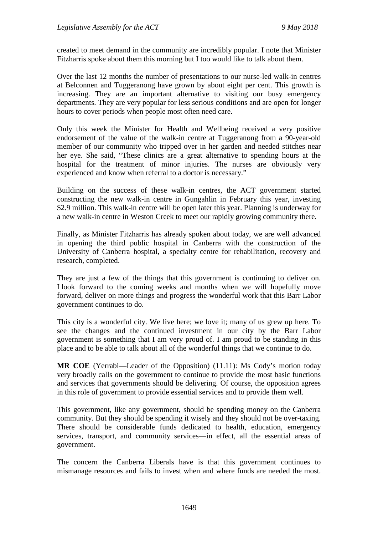created to meet demand in the community are incredibly popular. I note that Minister Fitzharris spoke about them this morning but I too would like to talk about them.

Over the last 12 months the number of presentations to our nurse-led walk-in centres at Belconnen and Tuggeranong have grown by about eight per cent. This growth is increasing. They are an important alternative to visiting our busy emergency departments. They are very popular for less serious conditions and are open for longer hours to cover periods when people most often need care.

Only this week the Minister for Health and Wellbeing received a very positive endorsement of the value of the walk-in centre at Tuggeranong from a 90-year-old member of our community who tripped over in her garden and needed stitches near her eye. She said, "These clinics are a great alternative to spending hours at the hospital for the treatment of minor injuries. The nurses are obviously very experienced and know when referral to a doctor is necessary."

Building on the success of these walk-in centres, the ACT government started constructing the new walk-in centre in Gungahlin in February this year, investing \$2.9 million. This walk-in centre will be open later this year. Planning is underway for a new walk-in centre in Weston Creek to meet our rapidly growing community there.

Finally, as Minister Fitzharris has already spoken about today, we are well advanced in opening the third public hospital in Canberra with the construction of the University of Canberra hospital, a specialty centre for rehabilitation, recovery and research, completed.

They are just a few of the things that this government is continuing to deliver on. I look forward to the coming weeks and months when we will hopefully move forward, deliver on more things and progress the wonderful work that this Barr Labor government continues to do.

This city is a wonderful city. We live here; we love it; many of us grew up here. To see the changes and the continued investment in our city by the Barr Labor government is something that I am very proud of. I am proud to be standing in this place and to be able to talk about all of the wonderful things that we continue to do.

**MR COE** (Yerrabi—Leader of the Opposition) (11.11): Ms Cody's motion today very broadly calls on the government to continue to provide the most basic functions and services that governments should be delivering. Of course, the opposition agrees in this role of government to provide essential services and to provide them well.

This government, like any government, should be spending money on the Canberra community. But they should be spending it wisely and they should not be over-taxing. There should be considerable funds dedicated to health, education, emergency services, transport, and community services—in effect, all the essential areas of government.

The concern the Canberra Liberals have is that this government continues to mismanage resources and fails to invest when and where funds are needed the most.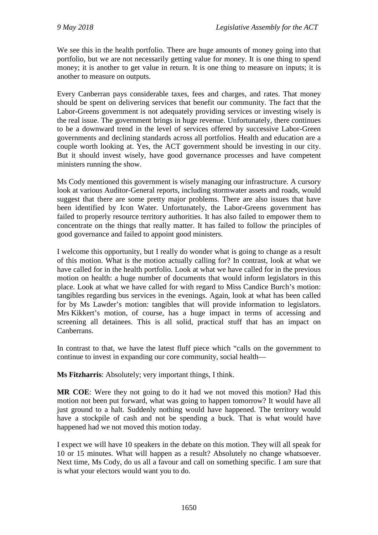We see this in the health portfolio. There are huge amounts of money going into that portfolio, but we are not necessarily getting value for money. It is one thing to spend money; it is another to get value in return. It is one thing to measure on inputs; it is another to measure on outputs.

Every Canberran pays considerable taxes, fees and charges, and rates. That money should be spent on delivering services that benefit our community. The fact that the Labor-Greens government is not adequately providing services or investing wisely is the real issue. The government brings in huge revenue. Unfortunately, there continues to be a downward trend in the level of services offered by successive Labor-Green governments and declining standards across all portfolios. Health and education are a couple worth looking at. Yes, the ACT government should be investing in our city. But it should invest wisely, have good governance processes and have competent ministers running the show.

Ms Cody mentioned this government is wisely managing our infrastructure. A cursory look at various Auditor-General reports, including stormwater assets and roads, would suggest that there are some pretty major problems. There are also issues that have been identified by Icon Water. Unfortunately, the Labor-Greens government has failed to properly resource territory authorities. It has also failed to empower them to concentrate on the things that really matter. It has failed to follow the principles of good governance and failed to appoint good ministers.

I welcome this opportunity, but I really do wonder what is going to change as a result of this motion. What is the motion actually calling for? In contrast, look at what we have called for in the health portfolio. Look at what we have called for in the previous motion on health: a huge number of documents that would inform legislators in this place. Look at what we have called for with regard to Miss Candice Burch's motion: tangibles regarding bus services in the evenings. Again, look at what has been called for by Ms Lawder's motion: tangibles that will provide information to legislators. Mrs Kikkert's motion, of course, has a huge impact in terms of accessing and screening all detainees. This is all solid, practical stuff that has an impact on Canberrans.

In contrast to that, we have the latest fluff piece which "calls on the government to continue to invest in expanding our core community, social health—

**Ms Fitzharris**: Absolutely; very important things, I think.

**MR COE**: Were they not going to do it had we not moved this motion? Had this motion not been put forward, what was going to happen tomorrow? It would have all just ground to a halt. Suddenly nothing would have happened. The territory would have a stockpile of cash and not be spending a buck. That is what would have happened had we not moved this motion today.

I expect we will have 10 speakers in the debate on this motion. They will all speak for 10 or 15 minutes. What will happen as a result? Absolutely no change whatsoever. Next time, Ms Cody, do us all a favour and call on something specific. I am sure that is what your electors would want you to do.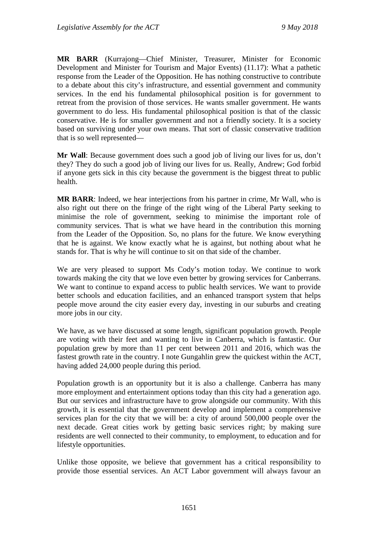**MR BARR** (Kurrajong—Chief Minister, Treasurer, Minister for Economic Development and Minister for Tourism and Major Events) (11.17): What a pathetic response from the Leader of the Opposition. He has nothing constructive to contribute to a debate about this city's infrastructure, and essential government and community services. In the end his fundamental philosophical position is for government to retreat from the provision of those services. He wants smaller government. He wants government to do less. His fundamental philosophical position is that of the classic conservative. He is for smaller government and not a friendly society. It is a society based on surviving under your own means. That sort of classic conservative tradition that is so well represented—

**Mr Wall**: Because government does such a good job of living our lives for us, don't they? They do such a good job of living our lives for us. Really, Andrew; God forbid if anyone gets sick in this city because the government is the biggest threat to public health.

**MR BARR**: Indeed, we hear interjections from his partner in crime, Mr Wall, who is also right out there on the fringe of the right wing of the Liberal Party seeking to minimise the role of government, seeking to minimise the important role of community services. That is what we have heard in the contribution this morning from the Leader of the Opposition. So, no plans for the future. We know everything that he is against. We know exactly what he is against, but nothing about what he stands for. That is why he will continue to sit on that side of the chamber.

We are very pleased to support Ms Cody's motion today. We continue to work towards making the city that we love even better by growing services for Canberrans. We want to continue to expand access to public health services. We want to provide better schools and education facilities, and an enhanced transport system that helps people move around the city easier every day, investing in our suburbs and creating more jobs in our city.

We have, as we have discussed at some length, significant population growth. People are voting with their feet and wanting to live in Canberra, which is fantastic. Our population grew by more than 11 per cent between 2011 and 2016, which was the fastest growth rate in the country. I note Gungahlin grew the quickest within the ACT, having added 24,000 people during this period.

Population growth is an opportunity but it is also a challenge. Canberra has many more employment and entertainment options today than this city had a generation ago. But our services and infrastructure have to grow alongside our community. With this growth, it is essential that the government develop and implement a comprehensive services plan for the city that we will be: a city of around 500,000 people over the next decade. Great cities work by getting basic services right; by making sure residents are well connected to their community, to employment, to education and for lifestyle opportunities.

Unlike those opposite, we believe that government has a critical responsibility to provide those essential services. An ACT Labor government will always favour an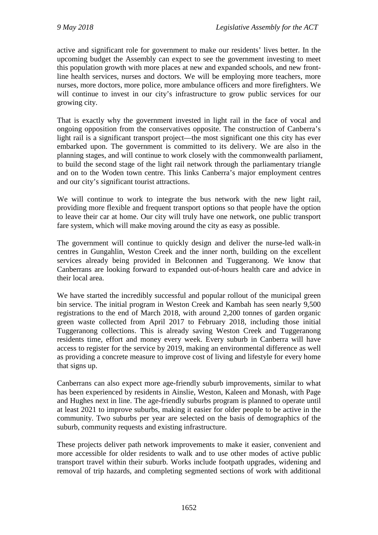active and significant role for government to make our residents' lives better. In the upcoming budget the Assembly can expect to see the government investing to meet this population growth with more places at new and expanded schools, and new frontline health services, nurses and doctors. We will be employing more teachers, more nurses, more doctors, more police, more ambulance officers and more firefighters. We will continue to invest in our city's infrastructure to grow public services for our growing city.

That is exactly why the government invested in light rail in the face of vocal and ongoing opposition from the conservatives opposite. The construction of Canberra's light rail is a significant transport project—the most significant one this city has ever embarked upon. The government is committed to its delivery. We are also in the planning stages, and will continue to work closely with the commonwealth parliament, to build the second stage of the light rail network through the parliamentary triangle and on to the Woden town centre. This links Canberra's major employment centres and our city's significant tourist attractions.

We will continue to work to integrate the bus network with the new light rail, providing more flexible and frequent transport options so that people have the option to leave their car at home. Our city will truly have one network, one public transport fare system, which will make moving around the city as easy as possible.

The government will continue to quickly design and deliver the nurse-led walk-in centres in Gungahlin, Weston Creek and the inner north, building on the excellent services already being provided in Belconnen and Tuggeranong. We know that Canberrans are looking forward to expanded out-of-hours health care and advice in their local area.

We have started the incredibly successful and popular rollout of the municipal green bin service. The initial program in Weston Creek and Kambah has seen nearly 9,500 registrations to the end of March 2018, with around 2,200 tonnes of garden organic green waste collected from April 2017 to February 2018, including those initial Tuggeranong collections. This is already saving Weston Creek and Tuggeranong residents time, effort and money every week. Every suburb in Canberra will have access to register for the service by 2019, making an environmental difference as well as providing a concrete measure to improve cost of living and lifestyle for every home that signs up.

Canberrans can also expect more age-friendly suburb improvements, similar to what has been experienced by residents in Ainslie, Weston, Kaleen and Monash, with Page and Hughes next in line. The age-friendly suburbs program is planned to operate until at least 2021 to improve suburbs, making it easier for older people to be active in the community. Two suburbs per year are selected on the basis of demographics of the suburb, community requests and existing infrastructure.

These projects deliver path network improvements to make it easier, convenient and more accessible for older residents to walk and to use other modes of active public transport travel within their suburb. Works include footpath upgrades, widening and removal of trip hazards, and completing segmented sections of work with additional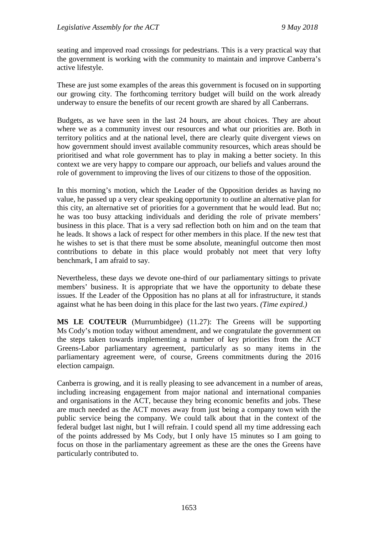seating and improved road crossings for pedestrians. This is a very practical way that the government is working with the community to maintain and improve Canberra's active lifestyle.

These are just some examples of the areas this government is focused on in supporting our growing city. The forthcoming territory budget will build on the work already underway to ensure the benefits of our recent growth are shared by all Canberrans.

Budgets, as we have seen in the last 24 hours, are about choices. They are about where we as a community invest our resources and what our priorities are. Both in territory politics and at the national level, there are clearly quite divergent views on how government should invest available community resources, which areas should be prioritised and what role government has to play in making a better society. In this context we are very happy to compare our approach, our beliefs and values around the role of government to improving the lives of our citizens to those of the opposition.

In this morning's motion, which the Leader of the Opposition derides as having no value, he passed up a very clear speaking opportunity to outline an alternative plan for this city, an alternative set of priorities for a government that he would lead. But no; he was too busy attacking individuals and deriding the role of private members' business in this place. That is a very sad reflection both on him and on the team that he leads. It shows a lack of respect for other members in this place. If the new test that he wishes to set is that there must be some absolute, meaningful outcome then most contributions to debate in this place would probably not meet that very lofty benchmark, I am afraid to say.

Nevertheless, these days we devote one-third of our parliamentary sittings to private members' business. It is appropriate that we have the opportunity to debate these issues. If the Leader of the Opposition has no plans at all for infrastructure, it stands against what he has been doing in this place for the last two years. *(Time expired.)*

**MS LE COUTEUR** (Murrumbidgee) (11.27): The Greens will be supporting Ms Cody's motion today without amendment, and we congratulate the government on the steps taken towards implementing a number of key priorities from the ACT Greens-Labor parliamentary agreement, particularly as so many items in the parliamentary agreement were, of course, Greens commitments during the 2016 election campaign.

Canberra is growing, and it is really pleasing to see advancement in a number of areas, including increasing engagement from major national and international companies and organisations in the ACT, because they bring economic benefits and jobs. These are much needed as the ACT moves away from just being a company town with the public service being the company. We could talk about that in the context of the federal budget last night, but I will refrain. I could spend all my time addressing each of the points addressed by Ms Cody, but I only have 15 minutes so I am going to focus on those in the parliamentary agreement as these are the ones the Greens have particularly contributed to.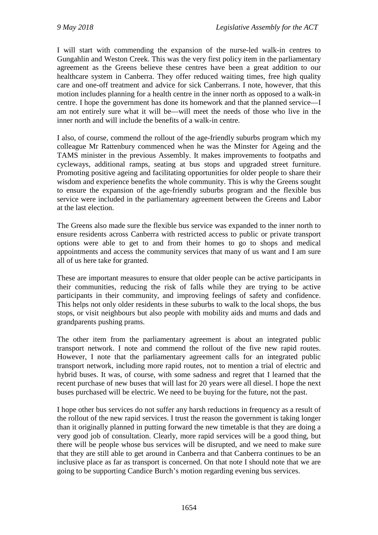I will start with commending the expansion of the nurse-led walk-in centres to Gungahlin and Weston Creek. This was the very first policy item in the parliamentary agreement as the Greens believe these centres have been a great addition to our healthcare system in Canberra. They offer reduced waiting times, free high quality care and one-off treatment and advice for sick Canberrans. I note, however, that this motion includes planning for a health centre in the inner north as opposed to a walk-in centre. I hope the government has done its homework and that the planned service—I am not entirely sure what it will be—will meet the needs of those who live in the inner north and will include the benefits of a walk-in centre.

I also, of course, commend the rollout of the age-friendly suburbs program which my colleague Mr Rattenbury commenced when he was the Minster for Ageing and the TAMS minister in the previous Assembly. It makes improvements to footpaths and cycleways, additional ramps, seating at bus stops and upgraded street furniture. Promoting positive ageing and facilitating opportunities for older people to share their wisdom and experience benefits the whole community. This is why the Greens sought to ensure the expansion of the age-friendly suburbs program and the flexible bus service were included in the parliamentary agreement between the Greens and Labor at the last election.

The Greens also made sure the flexible bus service was expanded to the inner north to ensure residents across Canberra with restricted access to public or private transport options were able to get to and from their homes to go to shops and medical appointments and access the community services that many of us want and I am sure all of us here take for granted.

These are important measures to ensure that older people can be active participants in their communities, reducing the risk of falls while they are trying to be active participants in their community, and improving feelings of safety and confidence. This helps not only older residents in these suburbs to walk to the local shops, the bus stops, or visit neighbours but also people with mobility aids and mums and dads and grandparents pushing prams.

The other item from the parliamentary agreement is about an integrated public transport network. I note and commend the rollout of the five new rapid routes. However, I note that the parliamentary agreement calls for an integrated public transport network, including more rapid routes, not to mention a trial of electric and hybrid buses. It was, of course, with some sadness and regret that I learned that the recent purchase of new buses that will last for 20 years were all diesel. I hope the next buses purchased will be electric. We need to be buying for the future, not the past.

I hope other bus services do not suffer any harsh reductions in frequency as a result of the rollout of the new rapid services. I trust the reason the government is taking longer than it originally planned in putting forward the new timetable is that they are doing a very good job of consultation. Clearly, more rapid services will be a good thing, but there will be people whose bus services will be disrupted, and we need to make sure that they are still able to get around in Canberra and that Canberra continues to be an inclusive place as far as transport is concerned. On that note I should note that we are going to be supporting Candice Burch's motion regarding evening bus services.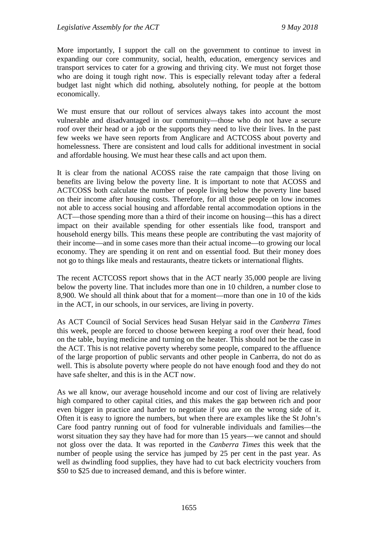More importantly, I support the call on the government to continue to invest in expanding our core community, social, health, education, emergency services and transport services to cater for a growing and thriving city. We must not forget those who are doing it tough right now. This is especially relevant today after a federal budget last night which did nothing, absolutely nothing, for people at the bottom economically.

We must ensure that our rollout of services always takes into account the most vulnerable and disadvantaged in our community—those who do not have a secure roof over their head or a job or the supports they need to live their lives. In the past few weeks we have seen reports from Anglicare and ACTCOSS about poverty and homelessness. There are consistent and loud calls for additional investment in social and affordable housing. We must hear these calls and act upon them.

It is clear from the national ACOSS raise the rate campaign that those living on benefits are living below the poverty line. It is important to note that ACOSS and ACTCOSS both calculate the number of people living below the poverty line based on their income after housing costs. Therefore, for all those people on low incomes not able to access social housing and affordable rental accommodation options in the ACT—those spending more than a third of their income on housing—this has a direct impact on their available spending for other essentials like food, transport and household energy bills. This means these people are contributing the vast majority of their income—and in some cases more than their actual income—to growing our local economy. They are spending it on rent and on essential food. But their money does not go to things like meals and restaurants, theatre tickets or international flights.

The recent ACTCOSS report shows that in the ACT nearly 35,000 people are living below the poverty line. That includes more than one in 10 children, a number close to 8,900. We should all think about that for a moment—more than one in 10 of the kids in the ACT, in our schools, in our services, are living in poverty.

As ACT Council of Social Services head Susan Helyar said in the *Canberra Times* this week, people are forced to choose between keeping a roof over their head, food on the table, buying medicine and turning on the heater. This should not be the case in the ACT. This is not relative poverty whereby some people, compared to the affluence of the large proportion of public servants and other people in Canberra, do not do as well. This is absolute poverty where people do not have enough food and they do not have safe shelter, and this is in the ACT now.

As we all know, our average household income and our cost of living are relatively high compared to other capital cities, and this makes the gap between rich and poor even bigger in practice and harder to negotiate if you are on the wrong side of it. Often it is easy to ignore the numbers, but when there are examples like the St John's Care food pantry running out of food for vulnerable individuals and families—the worst situation they say they have had for more than 15 years—we cannot and should not gloss over the data. It was reported in the *Canberra Times* this week that the number of people using the service has jumped by 25 per cent in the past year. As well as dwindling food supplies, they have had to cut back electricity vouchers from \$50 to \$25 due to increased demand, and this is before winter.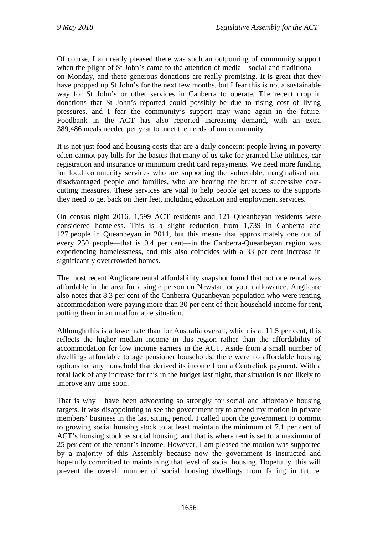Of course, I am really pleased there was such an outpouring of community support when the plight of St John's came to the attention of media—social and traditional on Monday, and these generous donations are really promising. It is great that they have propped up St John's for the next few months, but I fear this is not a sustainable way for St John's or other services in Canberra to operate. The recent drop in donations that St John's reported could possibly be due to rising cost of living pressures, and I fear the community's support may wane again in the future. Foodbank in the ACT has also reported increasing demand, with an extra 389,486 meals needed per year to meet the needs of our community.

It is not just food and housing costs that are a daily concern; people living in poverty often cannot pay bills for the basics that many of us take for granted like utilities, car registration and insurance or minimum credit card repayments. We need more funding for local community services who are supporting the vulnerable, marginalised and disadvantaged people and families, who are bearing the brunt of successive costcutting measures. These services are vital to help people get access to the supports they need to get back on their feet, including education and employment services.

On census night 2016, 1,599 ACT residents and 121 Queanbeyan residents were considered homeless. This is a slight reduction from 1,739 in Canberra and 127 people in Queanbeyan in 2011, but this means that approximately one out of every 250 people—that is 0.4 per cent—in the Canberra-Queanbeyan region was experiencing homelessness, and this also coincides with a 33 per cent increase in significantly overcrowded homes.

The most recent Anglicare rental affordability snapshot found that not one rental was affordable in the area for a single person on Newstart or youth allowance. Anglicare also notes that 8.3 per cent of the Canberra-Queanbeyan population who were renting accommodation were paying more than 30 per cent of their household income for rent, putting them in an unaffordable situation.

Although this is a lower rate than for Australia overall, which is at 11.5 per cent, this reflects the higher median income in this region rather than the affordability of accommodation for low income earners in the ACT. Aside from a small number of dwellings affordable to age pensioner households, there were no affordable housing options for any household that derived its income from a Centrelink payment. With a total lack of any increase for this in the budget last night, that situation is not likely to improve any time soon.

That is why I have been advocating so strongly for social and affordable housing targets. It was disappointing to see the government try to amend my motion in private members' business in the last sitting period. I called upon the government to commit to growing social housing stock to at least maintain the minimum of 7.1 per cent of ACT's housing stock as social housing, and that is where rent is set to a maximum of 25 per cent of the tenant's income. However, I am pleased the motion was supported by a majority of this Assembly because now the government is instructed and hopefully committed to maintaining that level of social housing. Hopefully, this will prevent the overall number of social housing dwellings from falling in future.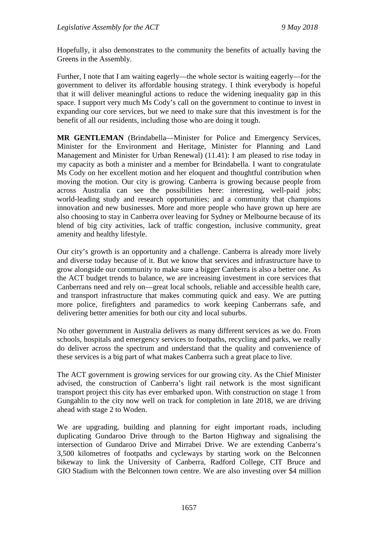Hopefully, it also demonstrates to the community the benefits of actually having the Greens in the Assembly.

Further, I note that I am waiting eagerly—the whole sector is waiting eagerly—for the government to deliver its affordable housing strategy. I think everybody is hopeful that it will deliver meaningful actions to reduce the widening inequality gap in this space. I support very much Ms Cody's call on the government to continue to invest in expanding our core services, but we need to make sure that this investment is for the benefit of all our residents, including those who are doing it tough.

**MR GENTLEMAN** (Brindabella—Minister for Police and Emergency Services, Minister for the Environment and Heritage, Minister for Planning and Land Management and Minister for Urban Renewal) (11.41): I am pleased to rise today in my capacity as both a minister and a member for Brindabella. I want to congratulate Ms Cody on her excellent motion and her eloquent and thoughtful contribution when moving the motion. Our city is growing. Canberra is growing because people from across Australia can see the possibilities here: interesting, well-paid jobs; world-leading study and research opportunities; and a community that champions innovation and new businesses. More and more people who have grown up here are also choosing to stay in Canberra over leaving for Sydney or Melbourne because of its blend of big city activities, lack of traffic congestion, inclusive community, great amenity and healthy lifestyle.

Our city's growth is an opportunity and a challenge. Canberra is already more lively and diverse today because of it. But we know that services and infrastructure have to grow alongside our community to make sure a bigger Canberra is also a better one. As the ACT budget trends to balance, we are increasing investment in core services that Canberrans need and rely on—great local schools, reliable and accessible health care, and transport infrastructure that makes commuting quick and easy. We are putting more police, firefighters and paramedics to work keeping Canberrans safe, and delivering better amenities for both our city and local suburbs.

No other government in Australia delivers as many different services as we do. From schools, hospitals and emergency services to footpaths, recycling and parks, we really do deliver across the spectrum and understand that the quality and convenience of these services is a big part of what makes Canberra such a great place to live.

The ACT government is growing services for our growing city. As the Chief Minister advised, the construction of Canberra's light rail network is the most significant transport project this city has ever embarked upon. With construction on stage 1 from Gungahlin to the city now well on track for completion in late 2018, we are driving ahead with stage 2 to Woden.

We are upgrading, building and planning for eight important roads, including duplicating Gundaroo Drive through to the Barton Highway and signalising the intersection of Gundaroo Drive and Mirrabei Drive. We are extending Canberra's 3,500 kilometres of footpaths and cycleways by starting work on the Belconnen bikeway to link the University of Canberra, Radford College, CIT Bruce and GIO Stadium with the Belconnen town centre. We are also investing over \$4 million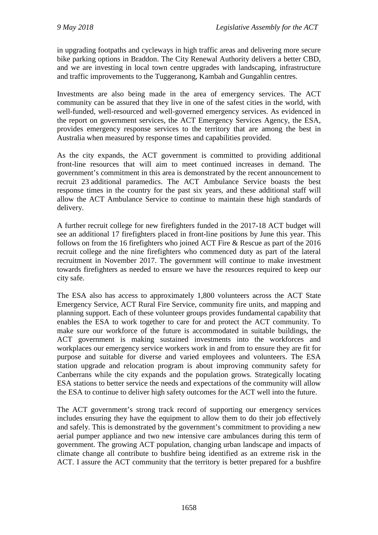in upgrading footpaths and cycleways in high traffic areas and delivering more secure bike parking options in Braddon. The City Renewal Authority delivers a better CBD, and we are investing in local town centre upgrades with landscaping, infrastructure and traffic improvements to the Tuggeranong, Kambah and Gungahlin centres.

Investments are also being made in the area of emergency services. The ACT community can be assured that they live in one of the safest cities in the world, with well-funded, well-resourced and well-governed emergency services. As evidenced in the report on government services, the ACT Emergency Services Agency, the ESA, provides emergency response services to the territory that are among the best in Australia when measured by response times and capabilities provided.

As the city expands, the ACT government is committed to providing additional front-line resources that will aim to meet continued increases in demand. The government's commitment in this area is demonstrated by the recent announcement to recruit 23 additional paramedics. The ACT Ambulance Service boasts the best response times in the country for the past six years, and these additional staff will allow the ACT Ambulance Service to continue to maintain these high standards of delivery.

A further recruit college for new firefighters funded in the 2017-18 ACT budget will see an additional 17 firefighters placed in front-line positions by June this year. This follows on from the 16 firefighters who joined ACT Fire & Rescue as part of the 2016 recruit college and the nine firefighters who commenced duty as part of the lateral recruitment in November 2017. The government will continue to make investment towards firefighters as needed to ensure we have the resources required to keep our city safe.

The ESA also has access to approximately 1,800 volunteers across the ACT State Emergency Service, ACT Rural Fire Service, community fire units, and mapping and planning support. Each of these volunteer groups provides fundamental capability that enables the ESA to work together to care for and protect the ACT community. To make sure our workforce of the future is accommodated in suitable buildings, the ACT government is making sustained investments into the workforces and workplaces our emergency service workers work in and from to ensure they are fit for purpose and suitable for diverse and varied employees and volunteers. The ESA station upgrade and relocation program is about improving community safety for Canberrans while the city expands and the population grows. Strategically locating ESA stations to better service the needs and expectations of the community will allow the ESA to continue to deliver high safety outcomes for the ACT well into the future.

The ACT government's strong track record of supporting our emergency services includes ensuring they have the equipment to allow them to do their job effectively and safely. This is demonstrated by the government's commitment to providing a new aerial pumper appliance and two new intensive care ambulances during this term of government. The growing ACT population, changing urban landscape and impacts of climate change all contribute to bushfire being identified as an extreme risk in the ACT. I assure the ACT community that the territory is better prepared for a bushfire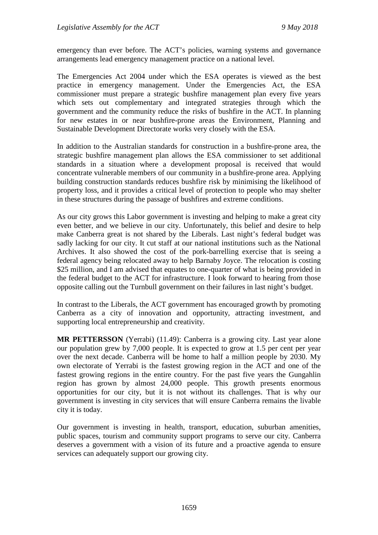emergency than ever before. The ACT's policies, warning systems and governance arrangements lead emergency management practice on a national level.

The Emergencies Act 2004 under which the ESA operates is viewed as the best practice in emergency management. Under the Emergencies Act, the ESA commissioner must prepare a strategic bushfire management plan every five years which sets out complementary and integrated strategies through which the government and the community reduce the risks of bushfire in the ACT. In planning for new estates in or near bushfire-prone areas the Environment, Planning and Sustainable Development Directorate works very closely with the ESA.

In addition to the Australian standards for construction in a bushfire-prone area, the strategic bushfire management plan allows the ESA commissioner to set additional standards in a situation where a development proposal is received that would concentrate vulnerable members of our community in a bushfire-prone area. Applying building construction standards reduces bushfire risk by minimising the likelihood of property loss, and it provides a critical level of protection to people who may shelter in these structures during the passage of bushfires and extreme conditions.

As our city grows this Labor government is investing and helping to make a great city even better, and we believe in our city. Unfortunately, this belief and desire to help make Canberra great is not shared by the Liberals. Last night's federal budget was sadly lacking for our city. It cut staff at our national institutions such as the National Archives. It also showed the cost of the pork-barrelling exercise that is seeing a federal agency being relocated away to help Barnaby Joyce. The relocation is costing \$25 million, and I am advised that equates to one-quarter of what is being provided in the federal budget to the ACT for infrastructure. I look forward to hearing from those opposite calling out the Turnbull government on their failures in last night's budget.

In contrast to the Liberals, the ACT government has encouraged growth by promoting Canberra as a city of innovation and opportunity, attracting investment, and supporting local entrepreneurship and creativity.

**MR PETTERSSON** (Yerrabi) (11.49): Canberra is a growing city. Last year alone our population grew by 7,000 people. It is expected to grow at 1.5 per cent per year over the next decade. Canberra will be home to half a million people by 2030. My own electorate of Yerrabi is the fastest growing region in the ACT and one of the fastest growing regions in the entire country. For the past five years the Gungahlin region has grown by almost 24,000 people. This growth presents enormous opportunities for our city, but it is not without its challenges. That is why our government is investing in city services that will ensure Canberra remains the livable city it is today.

Our government is investing in health, transport, education, suburban amenities, public spaces, tourism and community support programs to serve our city. Canberra deserves a government with a vision of its future and a proactive agenda to ensure services can adequately support our growing city.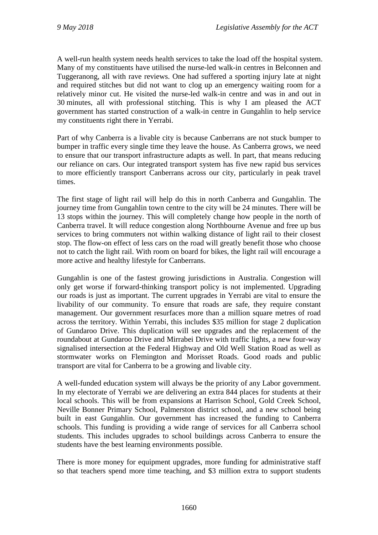A well-run health system needs health services to take the load off the hospital system. Many of my constituents have utilised the nurse-led walk-in centres in Belconnen and Tuggeranong, all with rave reviews. One had suffered a sporting injury late at night and required stitches but did not want to clog up an emergency waiting room for a relatively minor cut. He visited the nurse-led walk-in centre and was in and out in 30 minutes, all with professional stitching. This is why I am pleased the ACT government has started construction of a walk-in centre in Gungahlin to help service my constituents right there in Yerrabi.

Part of why Canberra is a livable city is because Canberrans are not stuck bumper to bumper in traffic every single time they leave the house. As Canberra grows, we need to ensure that our transport infrastructure adapts as well. In part, that means reducing our reliance on cars. Our integrated transport system has five new rapid bus services to more efficiently transport Canberrans across our city, particularly in peak travel times.

The first stage of light rail will help do this in north Canberra and Gungahlin. The journey time from Gungahlin town centre to the city will be 24 minutes. There will be 13 stops within the journey. This will completely change how people in the north of Canberra travel. It will reduce congestion along Northbourne Avenue and free up bus services to bring commuters not within walking distance of light rail to their closest stop. The flow-on effect of less cars on the road will greatly benefit those who choose not to catch the light rail. With room on board for bikes, the light rail will encourage a more active and healthy lifestyle for Canberrans.

Gungahlin is one of the fastest growing jurisdictions in Australia. Congestion will only get worse if forward-thinking transport policy is not implemented. Upgrading our roads is just as important. The current upgrades in Yerrabi are vital to ensure the livability of our community. To ensure that roads are safe, they require constant management. Our government resurfaces more than a million square metres of road across the territory. Within Yerrabi, this includes \$35 million for stage 2 duplication of Gundaroo Drive. This duplication will see upgrades and the replacement of the roundabout at Gundaroo Drive and Mirrabei Drive with traffic lights, a new four-way signalised intersection at the Federal Highway and Old Well Station Road as well as stormwater works on Flemington and Morisset Roads. Good roads and public transport are vital for Canberra to be a growing and livable city.

A well-funded education system will always be the priority of any Labor government. In my electorate of Yerrabi we are delivering an extra 844 places for students at their local schools. This will be from expansions at Harrison School, Gold Creek School, Neville Bonner Primary School, Palmerston district school, and a new school being built in east Gungahlin. Our government has increased the funding to Canberra schools. This funding is providing a wide range of services for all Canberra school students. This includes upgrades to school buildings across Canberra to ensure the students have the best learning environments possible.

There is more money for equipment upgrades, more funding for administrative staff so that teachers spend more time teaching, and \$3 million extra to support students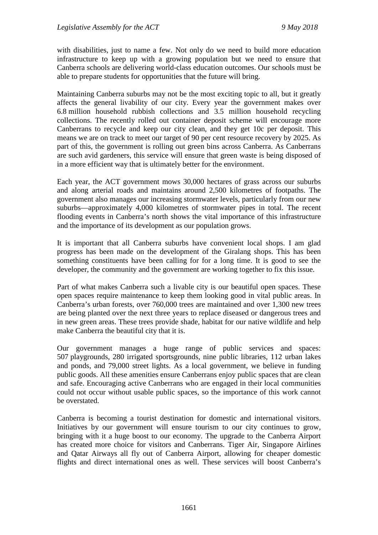with disabilities, just to name a few. Not only do we need to build more education infrastructure to keep up with a growing population but we need to ensure that Canberra schools are delivering world-class education outcomes. Our schools must be able to prepare students for opportunities that the future will bring.

Maintaining Canberra suburbs may not be the most exciting topic to all, but it greatly affects the general livability of our city. Every year the government makes over 6.8 million household rubbish collections and 3.5 million household recycling collections. The recently rolled out container deposit scheme will encourage more Canberrans to recycle and keep our city clean, and they get 10c per deposit. This means we are on track to meet our target of 90 per cent resource recovery by 2025. As part of this, the government is rolling out green bins across Canberra. As Canberrans are such avid gardeners, this service will ensure that green waste is being disposed of in a more efficient way that is ultimately better for the environment.

Each year, the ACT government mows 30,000 hectares of grass across our suburbs and along arterial roads and maintains around 2,500 kilometres of footpaths. The government also manages our increasing stormwater levels, particularly from our new suburbs—approximately 4,000 kilometres of stormwater pipes in total. The recent flooding events in Canberra's north shows the vital importance of this infrastructure and the importance of its development as our population grows.

It is important that all Canberra suburbs have convenient local shops. I am glad progress has been made on the development of the Giralang shops. This has been something constituents have been calling for for a long time. It is good to see the developer, the community and the government are working together to fix this issue.

Part of what makes Canberra such a livable city is our beautiful open spaces. These open spaces require maintenance to keep them looking good in vital public areas. In Canberra's urban forests, over 760,000 trees are maintained and over 1,300 new trees are being planted over the next three years to replace diseased or dangerous trees and in new green areas. These trees provide shade, habitat for our native wildlife and help make Canberra the beautiful city that it is.

Our government manages a huge range of public services and spaces: 507 playgrounds, 280 irrigated sportsgrounds, nine public libraries, 112 urban lakes and ponds, and 79,000 street lights. As a local government, we believe in funding public goods. All these amenities ensure Canberrans enjoy public spaces that are clean and safe. Encouraging active Canberrans who are engaged in their local communities could not occur without usable public spaces, so the importance of this work cannot be overstated.

Canberra is becoming a tourist destination for domestic and international visitors. Initiatives by our government will ensure tourism to our city continues to grow, bringing with it a huge boost to our economy. The upgrade to the Canberra Airport has created more choice for visitors and Canberrans. Tiger Air, Singapore Airlines and Qatar Airways all fly out of Canberra Airport, allowing for cheaper domestic flights and direct international ones as well. These services will boost Canberra's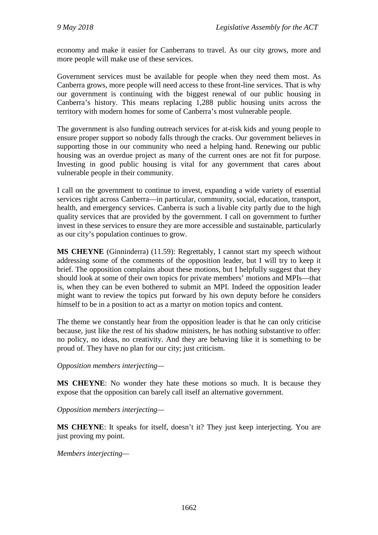economy and make it easier for Canberrans to travel. As our city grows, more and more people will make use of these services.

Government services must be available for people when they need them most. As Canberra grows, more people will need access to these front-line services. That is why our government is continuing with the biggest renewal of our public housing in Canberra's history. This means replacing 1,288 public housing units across the territory with modern homes for some of Canberra's most vulnerable people.

The government is also funding outreach services for at-risk kids and young people to ensure proper support so nobody falls through the cracks. Our government believes in supporting those in our community who need a helping hand. Renewing our public housing was an overdue project as many of the current ones are not fit for purpose. Investing in good public housing is vital for any government that cares about vulnerable people in their community.

I call on the government to continue to invest, expanding a wide variety of essential services right across Canberra—in particular, community, social, education, transport, health, and emergency services. Canberra is such a livable city partly due to the high quality services that are provided by the government. I call on government to further invest in these services to ensure they are more accessible and sustainable, particularly as our city's population continues to grow.

**MS CHEYNE** (Ginninderra) (11.59): Regrettably, I cannot start my speech without addressing some of the comments of the opposition leader, but I will try to keep it brief. The opposition complains about these motions, but I helpfully suggest that they should look at some of their own topics for private members' motions and MPIs—that is, when they can be even bothered to submit an MPI. Indeed the opposition leader might want to review the topics put forward by his own deputy before he considers himself to be in a position to act as a martyr on motion topics and content.

The theme we constantly hear from the opposition leader is that he can only criticise because, just like the rest of his shadow ministers, he has nothing substantive to offer: no policy, no ideas, no creativity. And they are behaving like it is something to be proud of. They have no plan for our city; just criticism.

*Opposition members interjecting—*

**MS CHEYNE**: No wonder they hate these motions so much. It is because they expose that the opposition can barely call itself an alternative government.

*Opposition members interjecting—*

**MS CHEYNE**: It speaks for itself, doesn't it? They just keep interjecting. You are just proving my point.

*Members interjecting—*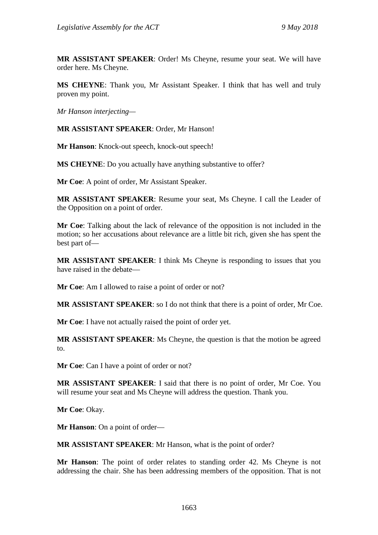**MR ASSISTANT SPEAKER**: Order! Ms Cheyne, resume your seat. We will have order here. Ms Cheyne.

**MS CHEYNE**: Thank you, Mr Assistant Speaker. I think that has well and truly proven my point.

*Mr Hanson interjecting—*

**MR ASSISTANT SPEAKER**: Order, Mr Hanson!

**Mr Hanson**: Knock-out speech, knock-out speech!

**MS CHEYNE**: Do you actually have anything substantive to offer?

**Mr Coe**: A point of order, Mr Assistant Speaker.

**MR ASSISTANT SPEAKER**: Resume your seat, Ms Cheyne. I call the Leader of the Opposition on a point of order.

**Mr Coe**: Talking about the lack of relevance of the opposition is not included in the motion; so her accusations about relevance are a little bit rich, given she has spent the best part of—

**MR ASSISTANT SPEAKER**: I think Ms Cheyne is responding to issues that you have raised in the debate—

**Mr Coe**: Am I allowed to raise a point of order or not?

**MR ASSISTANT SPEAKER**: so I do not think that there is a point of order, Mr Coe.

**Mr Coe**: I have not actually raised the point of order yet.

**MR ASSISTANT SPEAKER**: Ms Cheyne, the question is that the motion be agreed to.

**Mr Coe**: Can I have a point of order or not?

**MR ASSISTANT SPEAKER**: I said that there is no point of order, Mr Coe. You will resume your seat and Ms Cheyne will address the question. Thank you.

**Mr Coe**: Okay.

**Mr Hanson**: On a point of order—

**MR ASSISTANT SPEAKER**: Mr Hanson, what is the point of order?

**Mr Hanson**: The point of order relates to standing order 42. Ms Cheyne is not addressing the chair. She has been addressing members of the opposition. That is not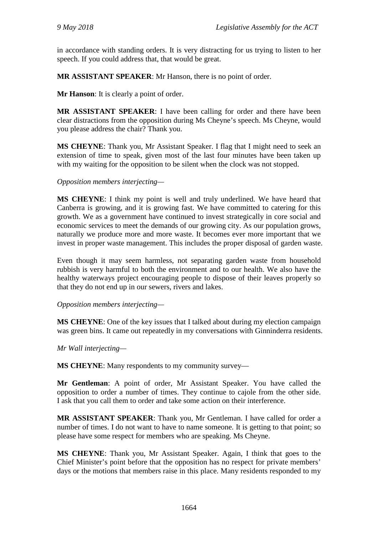in accordance with standing orders. It is very distracting for us trying to listen to her speech. If you could address that, that would be great.

**MR ASSISTANT SPEAKER**: Mr Hanson, there is no point of order.

**Mr Hanson**: It is clearly a point of order.

**MR ASSISTANT SPEAKER**: I have been calling for order and there have been clear distractions from the opposition during Ms Cheyne's speech. Ms Cheyne, would you please address the chair? Thank you.

**MS CHEYNE**: Thank you, Mr Assistant Speaker. I flag that I might need to seek an extension of time to speak, given most of the last four minutes have been taken up with my waiting for the opposition to be silent when the clock was not stopped.

#### *Opposition members interjecting—*

**MS CHEYNE**: I think my point is well and truly underlined. We have heard that Canberra is growing, and it is growing fast. We have committed to catering for this growth. We as a government have continued to invest strategically in core social and economic services to meet the demands of our growing city. As our population grows, naturally we produce more and more waste. It becomes ever more important that we invest in proper waste management. This includes the proper disposal of garden waste.

Even though it may seem harmless, not separating garden waste from household rubbish is very harmful to both the environment and to our health. We also have the healthy waterways project encouraging people to dispose of their leaves properly so that they do not end up in our sewers, rivers and lakes.

*Opposition members interjecting—*

**MS CHEYNE**: One of the key issues that I talked about during my election campaign was green bins. It came out repeatedly in my conversations with Ginninderra residents.

*Mr Wall interjecting—*

**MS CHEYNE**: Many respondents to my community survey—

**Mr Gentleman**: A point of order, Mr Assistant Speaker. You have called the opposition to order a number of times. They continue to cajole from the other side. I ask that you call them to order and take some action on their interference.

**MR ASSISTANT SPEAKER**: Thank you, Mr Gentleman. I have called for order a number of times. I do not want to have to name someone. It is getting to that point; so please have some respect for members who are speaking. Ms Cheyne.

**MS CHEYNE**: Thank you, Mr Assistant Speaker. Again, I think that goes to the Chief Minister's point before that the opposition has no respect for private members' days or the motions that members raise in this place. Many residents responded to my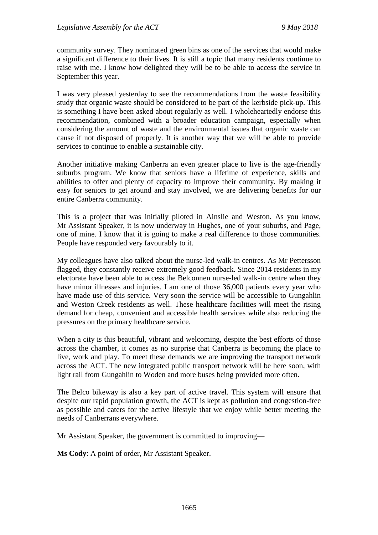community survey. They nominated green bins as one of the services that would make a significant difference to their lives. It is still a topic that many residents continue to raise with me. I know how delighted they will be to be able to access the service in September this year.

I was very pleased yesterday to see the recommendations from the waste feasibility study that organic waste should be considered to be part of the kerbside pick-up. This is something I have been asked about regularly as well. I wholeheartedly endorse this recommendation, combined with a broader education campaign, especially when considering the amount of waste and the environmental issues that organic waste can cause if not disposed of properly. It is another way that we will be able to provide services to continue to enable a sustainable city.

Another initiative making Canberra an even greater place to live is the age-friendly suburbs program. We know that seniors have a lifetime of experience, skills and abilities to offer and plenty of capacity to improve their community. By making it easy for seniors to get around and stay involved, we are delivering benefits for our entire Canberra community.

This is a project that was initially piloted in Ainslie and Weston. As you know, Mr Assistant Speaker, it is now underway in Hughes, one of your suburbs, and Page, one of mine. I know that it is going to make a real difference to those communities. People have responded very favourably to it.

My colleagues have also talked about the nurse-led walk-in centres. As Mr Pettersson flagged, they constantly receive extremely good feedback. Since 2014 residents in my electorate have been able to access the Belconnen nurse-led walk-in centre when they have minor illnesses and injuries. I am one of those 36,000 patients every year who have made use of this service. Very soon the service will be accessible to Gungahlin and Weston Creek residents as well. These healthcare facilities will meet the rising demand for cheap, convenient and accessible health services while also reducing the pressures on the primary healthcare service.

When a city is this beautiful, vibrant and welcoming, despite the best efforts of those across the chamber, it comes as no surprise that Canberra is becoming the place to live, work and play. To meet these demands we are improving the transport network across the ACT. The new integrated public transport network will be here soon, with light rail from Gungahlin to Woden and more buses being provided more often.

The Belco bikeway is also a key part of active travel. This system will ensure that despite our rapid population growth, the ACT is kept as pollution and congestion-free as possible and caters for the active lifestyle that we enjoy while better meeting the needs of Canberrans everywhere.

Mr Assistant Speaker, the government is committed to improving—

**Ms Cody**: A point of order, Mr Assistant Speaker.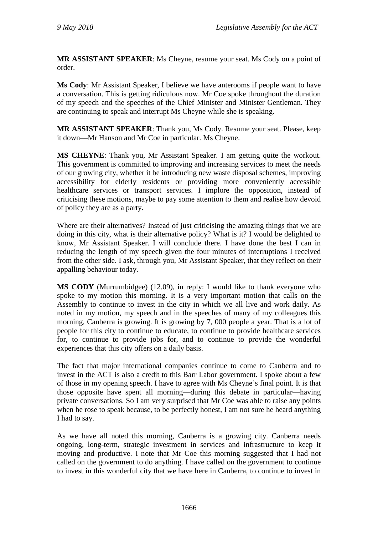**MR ASSISTANT SPEAKER**: Ms Cheyne, resume your seat. Ms Cody on a point of order.

**Ms Cody**: Mr Assistant Speaker, I believe we have anterooms if people want to have a conversation. This is getting ridiculous now. Mr Coe spoke throughout the duration of my speech and the speeches of the Chief Minister and Minister Gentleman. They are continuing to speak and interrupt Ms Cheyne while she is speaking.

**MR ASSISTANT SPEAKER**: Thank you, Ms Cody. Resume your seat. Please, keep it down—Mr Hanson and Mr Coe in particular. Ms Cheyne.

**MS CHEYNE**: Thank you, Mr Assistant Speaker. I am getting quite the workout. This government is committed to improving and increasing services to meet the needs of our growing city, whether it be introducing new waste disposal schemes, improving accessibility for elderly residents or providing more conveniently accessible healthcare services or transport services. I implore the opposition, instead of criticising these motions, maybe to pay some attention to them and realise how devoid of policy they are as a party.

Where are their alternatives? Instead of just criticising the amazing things that we are doing in this city, what is their alternative policy? What is it? I would be delighted to know, Mr Assistant Speaker. I will conclude there. I have done the best I can in reducing the length of my speech given the four minutes of interruptions I received from the other side. I ask, through you, Mr Assistant Speaker, that they reflect on their appalling behaviour today.

**MS CODY** (Murrumbidgee) (12.09), in reply: I would like to thank everyone who spoke to my motion this morning. It is a very important motion that calls on the Assembly to continue to invest in the city in which we all live and work daily. As noted in my motion, my speech and in the speeches of many of my colleagues this morning, Canberra is growing. It is growing by 7, 000 people a year. That is a lot of people for this city to continue to educate, to continue to provide healthcare services for, to continue to provide jobs for, and to continue to provide the wonderful experiences that this city offers on a daily basis.

The fact that major international companies continue to come to Canberra and to invest in the ACT is also a credit to this Barr Labor government. I spoke about a few of those in my opening speech. I have to agree with Ms Cheyne's final point. It is that those opposite have spent all morning—during this debate in particular—having private conversations. So I am very surprised that Mr Coe was able to raise any points when he rose to speak because, to be perfectly honest, I am not sure he heard anything I had to say.

As we have all noted this morning, Canberra is a growing city. Canberra needs ongoing, long-term, strategic investment in services and infrastructure to keep it moving and productive. I note that Mr Coe this morning suggested that I had not called on the government to do anything. I have called on the government to continue to invest in this wonderful city that we have here in Canberra, to continue to invest in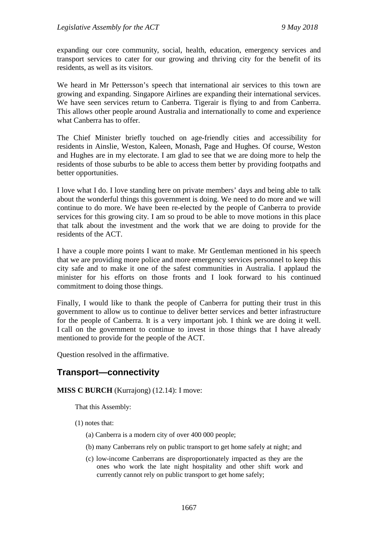expanding our core community, social, health, education, emergency services and transport services to cater for our growing and thriving city for the benefit of its residents, as well as its visitors.

We heard in Mr Pettersson's speech that international air services to this town are growing and expanding. Singapore Airlines are expanding their international services. We have seen services return to Canberra. Tigerair is flying to and from Canberra. This allows other people around Australia and internationally to come and experience what Canberra has to offer.

The Chief Minister briefly touched on age-friendly cities and accessibility for residents in Ainslie, Weston, Kaleen, Monash, Page and Hughes. Of course, Weston and Hughes are in my electorate. I am glad to see that we are doing more to help the residents of those suburbs to be able to access them better by providing footpaths and better opportunities.

I love what I do. I love standing here on private members' days and being able to talk about the wonderful things this government is doing. We need to do more and we will continue to do more. We have been re-elected by the people of Canberra to provide services for this growing city. I am so proud to be able to move motions in this place that talk about the investment and the work that we are doing to provide for the residents of the ACT.

I have a couple more points I want to make. Mr Gentleman mentioned in his speech that we are providing more police and more emergency services personnel to keep this city safe and to make it one of the safest communities in Australia. I applaud the minister for his efforts on those fronts and I look forward to his continued commitment to doing those things.

Finally, I would like to thank the people of Canberra for putting their trust in this government to allow us to continue to deliver better services and better infrastructure for the people of Canberra. It is a very important job. I think we are doing it well. I call on the government to continue to invest in those things that I have already mentioned to provide for the people of the ACT.

Question resolved in the affirmative.

# **Transport—connectivity**

#### **MISS C BURCH** (Kurrajong) (12.14): I move:

That this Assembly:

- (1) notes that:
	- (a) Canberra is a modern city of over 400 000 people;
	- (b) many Canberrans rely on public transport to get home safely at night; and
	- (c) low-income Canberrans are disproportionately impacted as they are the ones who work the late night hospitality and other shift work and currently cannot rely on public transport to get home safely;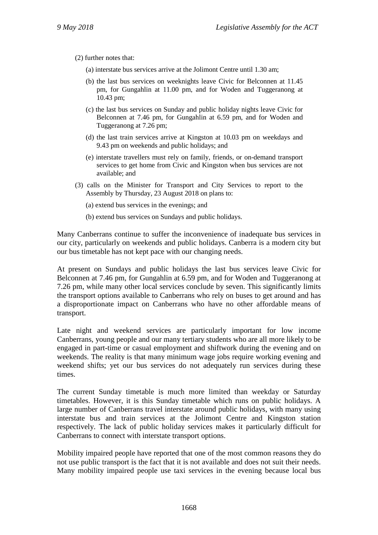(2) further notes that:

- (a) interstate bus services arrive at the Jolimont Centre until 1.30 am;
- (b) the last bus services on weeknights leave Civic for Belconnen at 11.45 pm, for Gungahlin at 11.00 pm, and for Woden and Tuggeranong at 10.43 pm;
- (c) the last bus services on Sunday and public holiday nights leave Civic for Belconnen at 7.46 pm, for Gungahlin at 6.59 pm, and for Woden and Tuggeranong at 7.26 pm;
- (d) the last train services arrive at Kingston at 10.03 pm on weekdays and 9.43 pm on weekends and public holidays; and
- (e) interstate travellers must rely on family, friends, or on-demand transport services to get home from Civic and Kingston when bus services are not available; and
- (3) calls on the Minister for Transport and City Services to report to the Assembly by Thursday, 23 August 2018 on plans to:
	- (a) extend bus services in the evenings; and
	- (b) extend bus services on Sundays and public holidays.

Many Canberrans continue to suffer the inconvenience of inadequate bus services in our city, particularly on weekends and public holidays. Canberra is a modern city but our bus timetable has not kept pace with our changing needs.

At present on Sundays and public holidays the last bus services leave Civic for Belconnen at 7.46 pm, for Gungahlin at 6.59 pm, and for Woden and Tuggeranong at 7.26 pm, while many other local services conclude by seven. This significantly limits the transport options available to Canberrans who rely on buses to get around and has a disproportionate impact on Canberrans who have no other affordable means of transport.

Late night and weekend services are particularly important for low income Canberrans, young people and our many tertiary students who are all more likely to be engaged in part-time or casual employment and shiftwork during the evening and on weekends. The reality is that many minimum wage jobs require working evening and weekend shifts; yet our bus services do not adequately run services during these times.

The current Sunday timetable is much more limited than weekday or Saturday timetables. However, it is this Sunday timetable which runs on public holidays. A large number of Canberrans travel interstate around public holidays, with many using interstate bus and train services at the Jolimont Centre and Kingston station respectively. The lack of public holiday services makes it particularly difficult for Canberrans to connect with interstate transport options.

Mobility impaired people have reported that one of the most common reasons they do not use public transport is the fact that it is not available and does not suit their needs. Many mobility impaired people use taxi services in the evening because local bus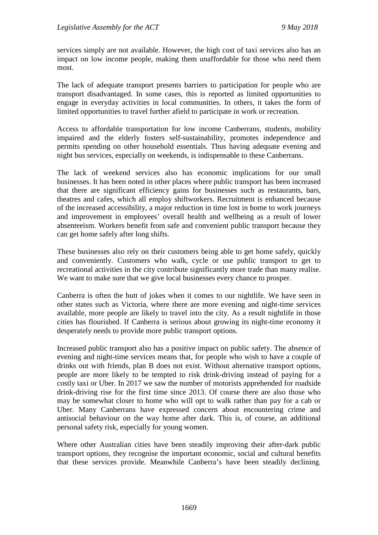services simply are not available. However, the high cost of taxi services also has an impact on low income people, making them unaffordable for those who need them most.

The lack of adequate transport presents barriers to participation for people who are transport disadvantaged. In some cases, this is reported as limited opportunities to engage in everyday activities in local communities. In others, it takes the form of limited opportunities to travel further afield to participate in work or recreation.

Access to affordable transportation for low income Canberrans, students, mobility impaired and the elderly fosters self-sustainability, promotes independence and permits spending on other household essentials. Thus having adequate evening and night bus services, especially on weekends, is indispensable to these Canberrans.

The lack of weekend services also has economic implications for our small businesses. It has been noted in other places where public transport has been increased that there are significant efficiency gains for businesses such as restaurants, bars, theatres and cafes, which all employ shiftworkers. Recruitment is enhanced because of the increased accessibility, a major reduction in time lost in home to work journeys and improvement in employees' overall health and wellbeing as a result of lower absenteeism. Workers benefit from safe and convenient public transport because they can get home safely after long shifts.

These businesses also rely on their customers being able to get home safely, quickly and conveniently. Customers who walk, cycle or use public transport to get to recreational activities in the city contribute significantly more trade than many realise. We want to make sure that we give local businesses every chance to prosper.

Canberra is often the butt of jokes when it comes to our nightlife. We have seen in other states such as Victoria, where there are more evening and night-time services available, more people are likely to travel into the city. As a result nightlife in those cities has flourished. If Canberra is serious about growing its night-time economy it desperately needs to provide more public transport options.

Increased public transport also has a positive impact on public safety. The absence of evening and night-time services means that, for people who wish to have a couple of drinks out with friends, plan B does not exist. Without alternative transport options, people are more likely to be tempted to risk drink-driving instead of paying for a costly taxi or Uber. In 2017 we saw the number of motorists apprehended for roadside drink-driving rise for the first time since 2013. Of course there are also those who may be somewhat closer to home who will opt to walk rather than pay for a cab or Uber. Many Canberrans have expressed concern about encountering crime and antisocial behaviour on the way home after dark. This is, of course, an additional personal safety risk, especially for young women.

Where other Australian cities have been steadily improving their after-dark public transport options, they recognise the important economic, social and cultural benefits that these services provide. Meanwhile Canberra's have been steadily declining.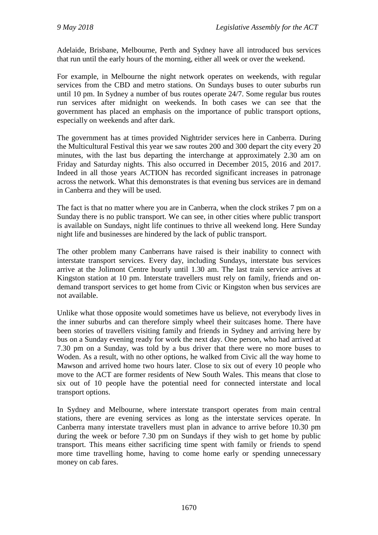Adelaide, Brisbane, Melbourne, Perth and Sydney have all introduced bus services that run until the early hours of the morning, either all week or over the weekend.

For example, in Melbourne the night network operates on weekends, with regular services from the CBD and metro stations. On Sundays buses to outer suburbs run until 10 pm. In Sydney a number of bus routes operate 24/7. Some regular bus routes run services after midnight on weekends. In both cases we can see that the government has placed an emphasis on the importance of public transport options, especially on weekends and after dark.

The government has at times provided Nightrider services here in Canberra. During the Multicultural Festival this year we saw routes 200 and 300 depart the city every 20 minutes, with the last bus departing the interchange at approximately 2.30 am on Friday and Saturday nights. This also occurred in December 2015, 2016 and 2017. Indeed in all those years ACTION has recorded significant increases in patronage across the network. What this demonstrates is that evening bus services are in demand in Canberra and they will be used.

The fact is that no matter where you are in Canberra, when the clock strikes 7 pm on a Sunday there is no public transport. We can see, in other cities where public transport is available on Sundays, night life continues to thrive all weekend long. Here Sunday night life and businesses are hindered by the lack of public transport.

The other problem many Canberrans have raised is their inability to connect with interstate transport services. Every day, including Sundays, interstate bus services arrive at the Jolimont Centre hourly until 1.30 am. The last train service arrives at Kingston station at 10 pm. Interstate travellers must rely on family, friends and ondemand transport services to get home from Civic or Kingston when bus services are not available.

Unlike what those opposite would sometimes have us believe, not everybody lives in the inner suburbs and can therefore simply wheel their suitcases home. There have been stories of travellers visiting family and friends in Sydney and arriving here by bus on a Sunday evening ready for work the next day. One person, who had arrived at 7.30 pm on a Sunday, was told by a bus driver that there were no more buses to Woden. As a result, with no other options, he walked from Civic all the way home to Mawson and arrived home two hours later. Close to six out of every 10 people who move to the ACT are former residents of New South Wales. This means that close to six out of 10 people have the potential need for connected interstate and local transport options.

In Sydney and Melbourne, where interstate transport operates from main central stations, there are evening services as long as the interstate services operate. In Canberra many interstate travellers must plan in advance to arrive before 10.30 pm during the week or before 7.30 pm on Sundays if they wish to get home by public transport. This means either sacrificing time spent with family or friends to spend more time travelling home, having to come home early or spending unnecessary money on cab fares.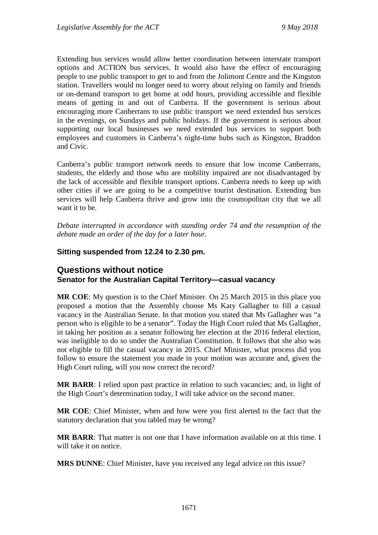Extending bus services would allow better coordination between interstate transport options and ACTION bus services. It would also have the effect of encouraging people to use public transport to get to and from the Jolimont Centre and the Kingston station. Travellers would no longer need to worry about relying on family and friends or on-demand transport to get home at odd hours, providing accessible and flexible means of getting in and out of Canberra. If the government is serious about encouraging more Canberrans to use public transport we need extended bus services in the evenings, on Sundays and public holidays. If the government is serious about supporting our local businesses we need extended bus services to support both employees and customers in Canberra's night-time hubs such as Kingston, Braddon and Civic.

Canberra's public transport network needs to ensure that low income Canberrans, students, the elderly and those who are mobility impaired are not disadvantaged by the lack of accessible and flexible transport options. Canberra needs to keep up with other cities if we are going to be a competitive tourist destination. Extending bus services will help Canberra thrive and grow into the cosmopolitan city that we all want it to be.

*Debate interrupted in accordance with standing order 74 and the resumption of the debate made an order of the day for a later hour.*

### **Sitting suspended from 12.24 to 2.30 pm.**

## **Questions without notice Senator for the Australian Capital Territory—casual vacancy**

**MR COE**: My question is to the Chief Minister. On 25 March 2015 in this place you proposed a motion that the Assembly choose Ms Katy Gallagher to fill a casual vacancy in the Australian Senate. In that motion you stated that Ms Gallagher was "a person who is eligible to be a senator". Today the High Court ruled that Ms Gallagher, in taking her position as a senator following her election at the 2016 federal election, was ineligible to do so under the Australian Constitution. It follows that she also was not eligible to fill the casual vacancy in 2015. Chief Minister, what process did you follow to ensure the statement you made in your motion was accurate and, given the High Court ruling, will you now correct the record?

**MR BARR**: I relied upon past practice in relation to such vacancies; and, in light of the High Court's determination today, I will take advice on the second matter.

**MR COE**: Chief Minister, when and how were you first alerted to the fact that the statutory declaration that you tabled may be wrong?

**MR BARR**: That matter is not one that I have information available on at this time. I will take it on notice.

**MRS DUNNE**: Chief Minister, have you received any legal advice on this issue?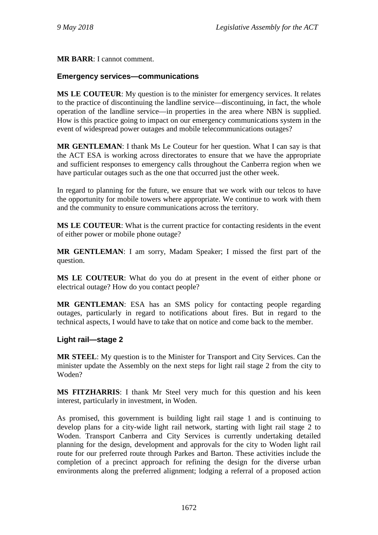**MR BARR**: I cannot comment.

## **Emergency services—communications**

**MS LE COUTEUR**: My question is to the minister for emergency services. It relates to the practice of discontinuing the landline service—discontinuing, in fact, the whole operation of the landline service—in properties in the area where NBN is supplied. How is this practice going to impact on our emergency communications system in the event of widespread power outages and mobile telecommunications outages?

**MR GENTLEMAN**: I thank Ms Le Couteur for her question. What I can say is that the ACT ESA is working across directorates to ensure that we have the appropriate and sufficient responses to emergency calls throughout the Canberra region when we have particular outages such as the one that occurred just the other week.

In regard to planning for the future, we ensure that we work with our telcos to have the opportunity for mobile towers where appropriate. We continue to work with them and the community to ensure communications across the territory.

**MS LE COUTEUR**: What is the current practice for contacting residents in the event of either power or mobile phone outage?

**MR GENTLEMAN**: I am sorry, Madam Speaker; I missed the first part of the question.

**MS LE COUTEUR**: What do you do at present in the event of either phone or electrical outage? How do you contact people?

**MR GENTLEMAN**: ESA has an SMS policy for contacting people regarding outages, particularly in regard to notifications about fires. But in regard to the technical aspects, I would have to take that on notice and come back to the member.

### **Light rail—stage 2**

**MR STEEL**: My question is to the Minister for Transport and City Services. Can the minister update the Assembly on the next steps for light rail stage 2 from the city to Woden?

**MS FITZHARRIS**: I thank Mr Steel very much for this question and his keen interest, particularly in investment, in Woden.

As promised, this government is building light rail stage 1 and is continuing to develop plans for a city-wide light rail network, starting with light rail stage 2 to Woden. Transport Canberra and City Services is currently undertaking detailed planning for the design, development and approvals for the city to Woden light rail route for our preferred route through Parkes and Barton. These activities include the completion of a precinct approach for refining the design for the diverse urban environments along the preferred alignment; lodging a referral of a proposed action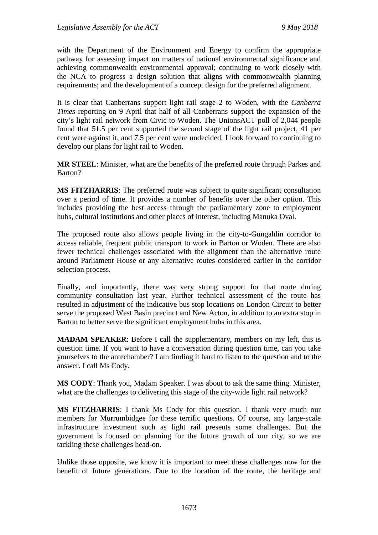with the Department of the Environment and Energy to confirm the appropriate pathway for assessing impact on matters of national environmental significance and achieving commonwealth environmental approval; continuing to work closely with the NCA to progress a design solution that aligns with commonwealth planning requirements; and the development of a concept design for the preferred alignment.

It is clear that Canberrans support light rail stage 2 to Woden, with the *Canberra Times* reporting on 9 April that half of all Canberrans support the expansion of the city's light rail network from Civic to Woden. The UnionsACT poll of 2,044 people found that 51.5 per cent supported the second stage of the light rail project, 41 per cent were against it, and 7.5 per cent were undecided. I look forward to continuing to develop our plans for light rail to Woden.

**MR STEEL**: Minister, what are the benefits of the preferred route through Parkes and Barton?

**MS FITZHARRIS**: The preferred route was subject to quite significant consultation over a period of time. It provides a number of benefits over the other option. This includes providing the best access through the parliamentary zone to employment hubs, cultural institutions and other places of interest, including Manuka Oval.

The proposed route also allows people living in the city-to-Gungahlin corridor to access reliable, frequent public transport to work in Barton or Woden. There are also fewer technical challenges associated with the alignment than the alternative route around Parliament House or any alternative routes considered earlier in the corridor selection process.

Finally, and importantly, there was very strong support for that route during community consultation last year. Further technical assessment of the route has resulted in adjustment of the indicative bus stop locations on London Circuit to better serve the proposed West Basin precinct and New Acton, in addition to an extra stop in Barton to better serve the significant employment hubs in this area.

**MADAM SPEAKER**: Before I call the supplementary, members on my left, this is question time. If you want to have a conversation during question time, can you take yourselves to the antechamber? I am finding it hard to listen to the question and to the answer. I call Ms Cody.

**MS CODY**: Thank you, Madam Speaker. I was about to ask the same thing. Minister, what are the challenges to delivering this stage of the city-wide light rail network?

**MS FITZHARRIS**: I thank Ms Cody for this question. I thank very much our members for Murrumbidgee for these terrific questions. Of course, any large-scale infrastructure investment such as light rail presents some challenges. But the government is focused on planning for the future growth of our city, so we are tackling these challenges head-on.

Unlike those opposite, we know it is important to meet these challenges now for the benefit of future generations. Due to the location of the route, the heritage and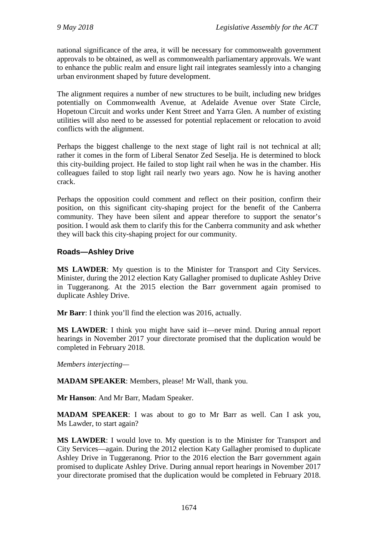national significance of the area, it will be necessary for commonwealth government approvals to be obtained, as well as commonwealth parliamentary approvals. We want to enhance the public realm and ensure light rail integrates seamlessly into a changing urban environment shaped by future development.

The alignment requires a number of new structures to be built, including new bridges potentially on Commonwealth Avenue, at Adelaide Avenue over State Circle, Hopetoun Circuit and works under Kent Street and Yarra Glen. A number of existing utilities will also need to be assessed for potential replacement or relocation to avoid conflicts with the alignment.

Perhaps the biggest challenge to the next stage of light rail is not technical at all; rather it comes in the form of Liberal Senator Zed Seselja. He is determined to block this city-building project. He failed to stop light rail when he was in the chamber. His colleagues failed to stop light rail nearly two years ago. Now he is having another crack.

Perhaps the opposition could comment and reflect on their position, confirm their position, on this significant city-shaping project for the benefit of the Canberra community. They have been silent and appear therefore to support the senator's position. I would ask them to clarify this for the Canberra community and ask whether they will back this city-shaping project for our community.

# **Roads—Ashley Drive**

**MS LAWDER**: My question is to the Minister for Transport and City Services. Minister, during the 2012 election Katy Gallagher promised to duplicate Ashley Drive in Tuggeranong. At the 2015 election the Barr government again promised to duplicate Ashley Drive.

**Mr Barr**: I think you'll find the election was 2016, actually.

**MS LAWDER**: I think you might have said it—never mind. During annual report hearings in November 2017 your directorate promised that the duplication would be completed in February 2018.

*Members interjecting—*

**MADAM SPEAKER**: Members, please! Mr Wall, thank you.

**Mr Hanson**: And Mr Barr, Madam Speaker.

**MADAM SPEAKER:** I was about to go to Mr Barr as well. Can I ask you, Ms Lawder, to start again?

**MS LAWDER**: I would love to. My question is to the Minister for Transport and City Services—again. During the 2012 election Katy Gallagher promised to duplicate Ashley Drive in Tuggeranong. Prior to the 2016 election the Barr government again promised to duplicate Ashley Drive. During annual report hearings in November 2017 your directorate promised that the duplication would be completed in February 2018.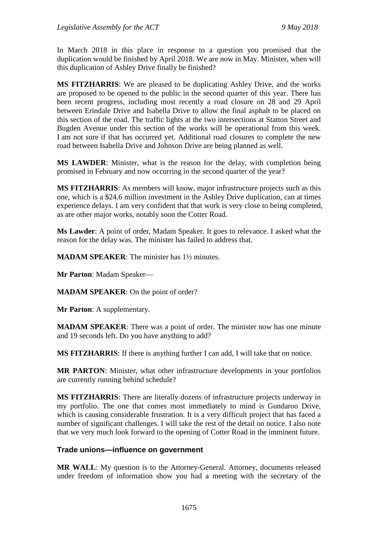In March 2018 in this place in response to a question you promised that the duplication would be finished by April 2018. We are now in May. Minister, when will this duplication of Ashley Drive finally be finished?

**MS FITZHARRIS**: We are pleased to be duplicating Ashley Drive, and the works are proposed to be opened to the public in the second quarter of this year. There has been recent progress, including most recently a road closure on 28 and 29 April between Erindale Drive and Isabella Drive to allow the final asphalt to be placed on this section of the road. The traffic lights at the two intersections at Statton Street and Bugden Avenue under this section of the works will be operational from this week. I am not sure if that has occurred yet. Additional road closures to complete the new road between Isabella Drive and Johnson Drive are being planned as well.

**MS LAWDER**: Minister, what is the reason for the delay, with completion being promised in February and now occurring in the second quarter of the year?

**MS FITZHARRIS**: As members will know, major infrastructure projects such as this one, which is a \$24.6 million investment in the Ashley Drive duplication, can at times experience delays. I am very confident that that work is very close to being completed, as are other major works, notably soon the Cotter Road.

**Ms Lawder**: A point of order, Madam Speaker. It goes to relevance. I asked what the reason for the delay was. The minister has failed to address that.

**MADAM SPEAKER**: The minister has 1½ minutes.

**Mr Parton**: Madam Speaker—

**MADAM SPEAKER**: On the point of order?

**Mr Parton**: A supplementary.

**MADAM SPEAKER**: There was a point of order. The minister now has one minute and 19 seconds left. Do you have anything to add?

**MS FITZHARRIS**: If there is anything further I can add, I will take that on notice.

**MR PARTON**: Minister, what other infrastructure developments in your portfolios are currently running behind schedule?

**MS FITZHARRIS**: There are literally dozens of infrastructure projects underway in my portfolio. The one that comes most immediately to mind is Gundaroo Drive, which is causing considerable frustration. It is a very difficult project that has faced a number of significant challenges. I will take the rest of the detail on notice. I also note that we very much look forward to the opening of Cotter Road in the imminent future.

### **Trade unions—influence on government**

**MR WALL**: My question is to the Attorney-General. Attorney, documents released under freedom of information show you had a meeting with the secretary of the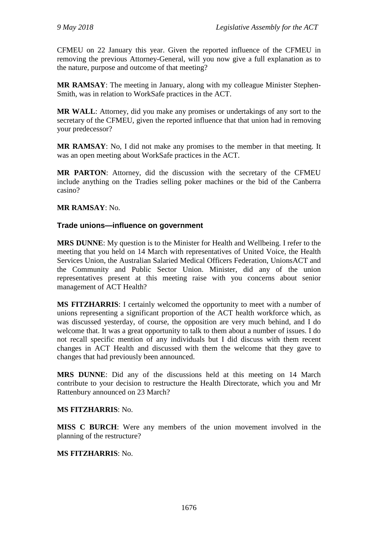CFMEU on 22 January this year. Given the reported influence of the CFMEU in removing the previous Attorney-General, will you now give a full explanation as to the nature, purpose and outcome of that meeting?

**MR RAMSAY**: The meeting in January, along with my colleague Minister Stephen-Smith, was in relation to WorkSafe practices in the ACT.

**MR WALL**: Attorney, did you make any promises or undertakings of any sort to the secretary of the CFMEU, given the reported influence that that union had in removing your predecessor?

**MR RAMSAY**: No, I did not make any promises to the member in that meeting. It was an open meeting about WorkSafe practices in the ACT.

**MR PARTON**: Attorney, did the discussion with the secretary of the CFMEU include anything on the Tradies selling poker machines or the bid of the Canberra casino?

### **MR RAMSAY**: No.

## **Trade unions—influence on government**

**MRS DUNNE**: My question is to the Minister for Health and Wellbeing. I refer to the meeting that you held on 14 March with representatives of United Voice, the Health Services Union, the Australian Salaried Medical Officers Federation, UnionsACT and the Community and Public Sector Union. Minister, did any of the union representatives present at this meeting raise with you concerns about senior management of ACT Health?

**MS FITZHARRIS**: I certainly welcomed the opportunity to meet with a number of unions representing a significant proportion of the ACT health workforce which, as was discussed yesterday, of course, the opposition are very much behind, and I do welcome that. It was a great opportunity to talk to them about a number of issues. I do not recall specific mention of any individuals but I did discuss with them recent changes in ACT Health and discussed with them the welcome that they gave to changes that had previously been announced.

**MRS DUNNE**: Did any of the discussions held at this meeting on 14 March contribute to your decision to restructure the Health Directorate, which you and Mr Rattenbury announced on 23 March?

### **MS FITZHARRIS**: No.

**MISS C BURCH**: Were any members of the union movement involved in the planning of the restructure?

### **MS FITZHARRIS**: No.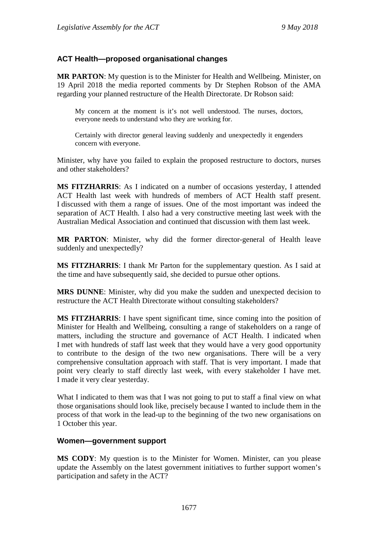## **ACT Health—proposed organisational changes**

**MR PARTON**: My question is to the Minister for Health and Wellbeing. Minister, on 19 April 2018 the media reported comments by Dr Stephen Robson of the AMA regarding your planned restructure of the Health Directorate. Dr Robson said:

My concern at the moment is it's not well understood. The nurses, doctors, everyone needs to understand who they are working for.

Certainly with director general leaving suddenly and unexpectedly it engenders concern with everyone.

Minister, why have you failed to explain the proposed restructure to doctors, nurses and other stakeholders?

**MS FITZHARRIS**: As I indicated on a number of occasions yesterday, I attended ACT Health last week with hundreds of members of ACT Health staff present. I discussed with them a range of issues. One of the most important was indeed the separation of ACT Health. I also had a very constructive meeting last week with the Australian Medical Association and continued that discussion with them last week.

**MR PARTON**: Minister, why did the former director-general of Health leave suddenly and unexpectedly?

**MS FITZHARRIS**: I thank Mr Parton for the supplementary question. As I said at the time and have subsequently said, she decided to pursue other options.

**MRS DUNNE**: Minister, why did you make the sudden and unexpected decision to restructure the ACT Health Directorate without consulting stakeholders?

**MS FITZHARRIS**: I have spent significant time, since coming into the position of Minister for Health and Wellbeing, consulting a range of stakeholders on a range of matters, including the structure and governance of ACT Health. I indicated when I met with hundreds of staff last week that they would have a very good opportunity to contribute to the design of the two new organisations. There will be a very comprehensive consultation approach with staff. That is very important. I made that point very clearly to staff directly last week, with every stakeholder I have met. I made it very clear yesterday.

What I indicated to them was that I was not going to put to staff a final view on what those organisations should look like, precisely because I wanted to include them in the process of that work in the lead-up to the beginning of the two new organisations on 1 October this year.

#### **Women—government support**

**MS CODY**: My question is to the Minister for Women. Minister, can you please update the Assembly on the latest government initiatives to further support women's participation and safety in the ACT?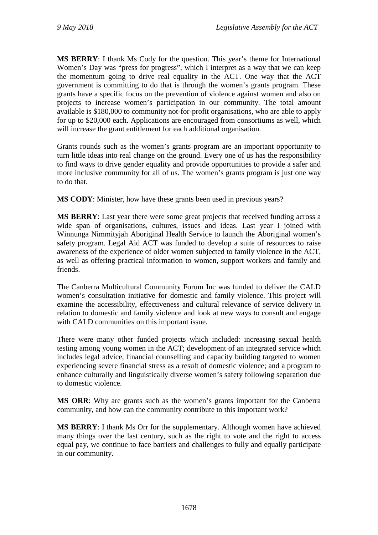**MS BERRY**: I thank Ms Cody for the question. This year's theme for International Women's Day was "press for progress", which I interpret as a way that we can keep the momentum going to drive real equality in the ACT. One way that the ACT government is committing to do that is through the women's grants program. These grants have a specific focus on the prevention of violence against women and also on projects to increase women's participation in our community. The total amount available is \$180,000 to community not-for-profit organisations, who are able to apply for up to \$20,000 each. Applications are encouraged from consortiums as well, which will increase the grant entitlement for each additional organisation.

Grants rounds such as the women's grants program are an important opportunity to turn little ideas into real change on the ground. Every one of us has the responsibility to find ways to drive gender equality and provide opportunities to provide a safer and more inclusive community for all of us. The women's grants program is just one way to do that.

**MS CODY**: Minister, how have these grants been used in previous years?

**MS BERRY**: Last year there were some great projects that received funding across a wide span of organisations, cultures, issues and ideas. Last year I joined with Winnunga Nimmityjah Aboriginal Health Service to launch the Aboriginal women's safety program. Legal Aid ACT was funded to develop a suite of resources to raise awareness of the experience of older women subjected to family violence in the ACT, as well as offering practical information to women, support workers and family and friends.

The Canberra Multicultural Community Forum Inc was funded to deliver the CALD women's consultation initiative for domestic and family violence. This project will examine the accessibility, effectiveness and cultural relevance of service delivery in relation to domestic and family violence and look at new ways to consult and engage with CALD communities on this important issue.

There were many other funded projects which included: increasing sexual health testing among young women in the ACT; development of an integrated service which includes legal advice, financial counselling and capacity building targeted to women experiencing severe financial stress as a result of domestic violence; and a program to enhance culturally and linguistically diverse women's safety following separation due to domestic violence.

**MS ORR**: Why are grants such as the women's grants important for the Canberra community, and how can the community contribute to this important work?

**MS BERRY**: I thank Ms Orr for the supplementary. Although women have achieved many things over the last century, such as the right to vote and the right to access equal pay, we continue to face barriers and challenges to fully and equally participate in our community.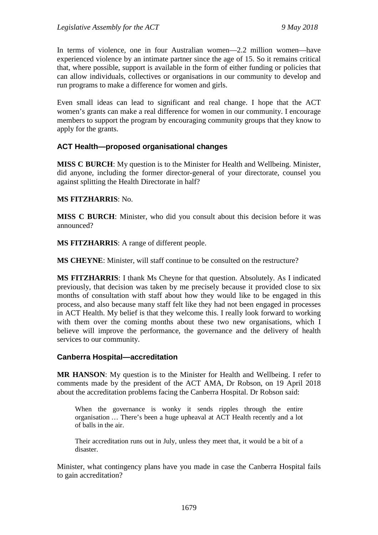In terms of violence, one in four Australian women—2.2 million women—have experienced violence by an intimate partner since the age of 15. So it remains critical that, where possible, support is available in the form of either funding or policies that can allow individuals, collectives or organisations in our community to develop and run programs to make a difference for women and girls.

Even small ideas can lead to significant and real change. I hope that the ACT women's grants can make a real difference for women in our community. I encourage members to support the program by encouraging community groups that they know to apply for the grants.

## **ACT Health—proposed organisational changes**

**MISS C BURCH**: My question is to the Minister for Health and Wellbeing. Minister, did anyone, including the former director-general of your directorate, counsel you against splitting the Health Directorate in half?

#### **MS FITZHARRIS**: No.

**MISS C BURCH**: Minister, who did you consult about this decision before it was announced?

**MS FITZHARRIS**: A range of different people.

**MS CHEYNE**: Minister, will staff continue to be consulted on the restructure?

**MS FITZHARRIS**: I thank Ms Cheyne for that question. Absolutely. As I indicated previously, that decision was taken by me precisely because it provided close to six months of consultation with staff about how they would like to be engaged in this process, and also because many staff felt like they had not been engaged in processes in ACT Health. My belief is that they welcome this. I really look forward to working with them over the coming months about these two new organisations, which I believe will improve the performance, the governance and the delivery of health services to our community.

#### **Canberra Hospital—accreditation**

**MR HANSON**: My question is to the Minister for Health and Wellbeing. I refer to comments made by the president of the ACT AMA, Dr Robson, on 19 April 2018 about the accreditation problems facing the Canberra Hospital. Dr Robson said:

When the governance is wonky it sends ripples through the entire organisation … There's been a huge upheaval at ACT Health recently and a lot of balls in the air.

Their accreditation runs out in July, unless they meet that, it would be a bit of a disaster.

Minister, what contingency plans have you made in case the Canberra Hospital fails to gain accreditation?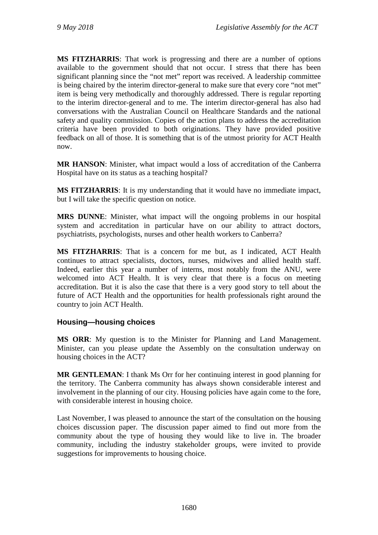**MS FITZHARRIS**: That work is progressing and there are a number of options available to the government should that not occur. I stress that there has been significant planning since the "not met" report was received. A leadership committee is being chaired by the interim director-general to make sure that every core "not met" item is being very methodically and thoroughly addressed. There is regular reporting to the interim director-general and to me. The interim director-general has also had conversations with the Australian Council on Healthcare Standards and the national safety and quality commission. Copies of the action plans to address the accreditation criteria have been provided to both originations. They have provided positive feedback on all of those. It is something that is of the utmost priority for ACT Health now.

**MR HANSON**: Minister, what impact would a loss of accreditation of the Canberra Hospital have on its status as a teaching hospital?

**MS FITZHARRIS**: It is my understanding that it would have no immediate impact, but I will take the specific question on notice.

**MRS DUNNE**: Minister, what impact will the ongoing problems in our hospital system and accreditation in particular have on our ability to attract doctors, psychiatrists, psychologists, nurses and other health workers to Canberra?

**MS FITZHARRIS**: That is a concern for me but, as I indicated, ACT Health continues to attract specialists, doctors, nurses, midwives and allied health staff. Indeed, earlier this year a number of interns, most notably from the ANU, were welcomed into ACT Health. It is very clear that there is a focus on meeting accreditation. But it is also the case that there is a very good story to tell about the future of ACT Health and the opportunities for health professionals right around the country to join ACT Health.

# **Housing—housing choices**

**MS ORR**: My question is to the Minister for Planning and Land Management. Minister, can you please update the Assembly on the consultation underway on housing choices in the ACT?

**MR GENTLEMAN**: I thank Ms Orr for her continuing interest in good planning for the territory. The Canberra community has always shown considerable interest and involvement in the planning of our city. Housing policies have again come to the fore, with considerable interest in housing choice.

Last November, I was pleased to announce the start of the consultation on the housing choices discussion paper. The discussion paper aimed to find out more from the community about the type of housing they would like to live in. The broader community, including the industry stakeholder groups, were invited to provide suggestions for improvements to housing choice.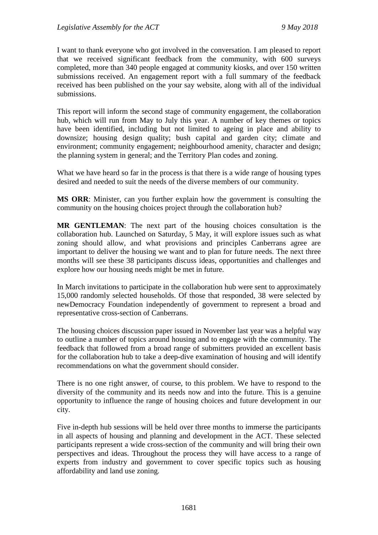I want to thank everyone who got involved in the conversation. I am pleased to report that we received significant feedback from the community, with 600 surveys completed, more than 340 people engaged at community kiosks, and over 150 written submissions received. An engagement report with a full summary of the feedback received has been published on the your say website, along with all of the individual submissions.

This report will inform the second stage of community engagement, the collaboration hub, which will run from May to July this year. A number of key themes or topics have been identified, including but not limited to ageing in place and ability to downsize; housing design quality; bush capital and garden city; climate and environment; community engagement; neighbourhood amenity, character and design; the planning system in general; and the Territory Plan codes and zoning.

What we have heard so far in the process is that there is a wide range of housing types desired and needed to suit the needs of the diverse members of our community.

**MS ORR**: Minister, can you further explain how the government is consulting the community on the housing choices project through the collaboration hub?

**MR GENTLEMAN**: The next part of the housing choices consultation is the collaboration hub. Launched on Saturday, 5 May, it will explore issues such as what zoning should allow, and what provisions and principles Canberrans agree are important to deliver the housing we want and to plan for future needs. The next three months will see these 38 participants discuss ideas, opportunities and challenges and explore how our housing needs might be met in future.

In March invitations to participate in the collaboration hub were sent to approximately 15,000 randomly selected households. Of those that responded, 38 were selected by newDemocracy Foundation independently of government to represent a broad and representative cross-section of Canberrans.

The housing choices discussion paper issued in November last year was a helpful way to outline a number of topics around housing and to engage with the community. The feedback that followed from a broad range of submitters provided an excellent basis for the collaboration hub to take a deep-dive examination of housing and will identify recommendations on what the government should consider.

There is no one right answer, of course, to this problem. We have to respond to the diversity of the community and its needs now and into the future. This is a genuine opportunity to influence the range of housing choices and future development in our city.

Five in-depth hub sessions will be held over three months to immerse the participants in all aspects of housing and planning and development in the ACT. These selected participants represent a wide cross-section of the community and will bring their own perspectives and ideas. Throughout the process they will have access to a range of experts from industry and government to cover specific topics such as housing affordability and land use zoning.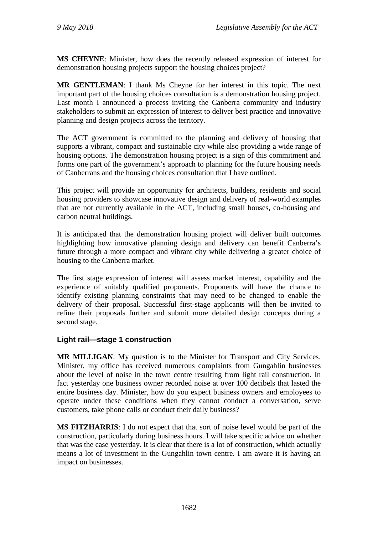**MS CHEYNE**: Minister, how does the recently released expression of interest for demonstration housing projects support the housing choices project?

**MR GENTLEMAN**: I thank Ms Cheyne for her interest in this topic. The next important part of the housing choices consultation is a demonstration housing project. Last month I announced a process inviting the Canberra community and industry stakeholders to submit an expression of interest to deliver best practice and innovative planning and design projects across the territory.

The ACT government is committed to the planning and delivery of housing that supports a vibrant, compact and sustainable city while also providing a wide range of housing options. The demonstration housing project is a sign of this commitment and forms one part of the government's approach to planning for the future housing needs of Canberrans and the housing choices consultation that I have outlined.

This project will provide an opportunity for architects, builders, residents and social housing providers to showcase innovative design and delivery of real-world examples that are not currently available in the ACT, including small houses, co-housing and carbon neutral buildings.

It is anticipated that the demonstration housing project will deliver built outcomes highlighting how innovative planning design and delivery can benefit Canberra's future through a more compact and vibrant city while delivering a greater choice of housing to the Canberra market.

The first stage expression of interest will assess market interest, capability and the experience of suitably qualified proponents. Proponents will have the chance to identify existing planning constraints that may need to be changed to enable the delivery of their proposal. Successful first-stage applicants will then be invited to refine their proposals further and submit more detailed design concepts during a second stage.

# **Light rail—stage 1 construction**

**MR MILLIGAN**: My question is to the Minister for Transport and City Services. Minister, my office has received numerous complaints from Gungahlin businesses about the level of noise in the town centre resulting from light rail construction. In fact yesterday one business owner recorded noise at over 100 decibels that lasted the entire business day. Minister, how do you expect business owners and employees to operate under these conditions when they cannot conduct a conversation, serve customers, take phone calls or conduct their daily business?

**MS FITZHARRIS**: I do not expect that that sort of noise level would be part of the construction, particularly during business hours. I will take specific advice on whether that was the case yesterday. It is clear that there is a lot of construction, which actually means a lot of investment in the Gungahlin town centre. I am aware it is having an impact on businesses.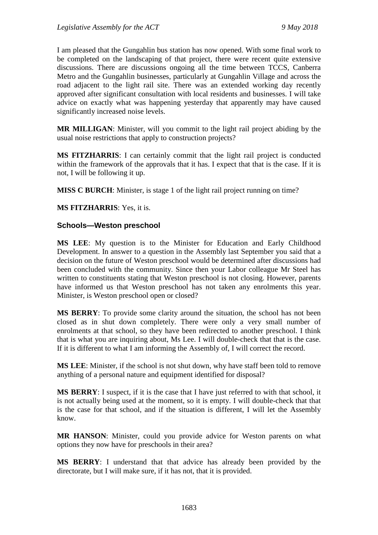I am pleased that the Gungahlin bus station has now opened. With some final work to be completed on the landscaping of that project, there were recent quite extensive discussions. There are discussions ongoing all the time between TCCS, Canberra Metro and the Gungahlin businesses, particularly at Gungahlin Village and across the road adjacent to the light rail site. There was an extended working day recently approved after significant consultation with local residents and businesses. I will take advice on exactly what was happening yesterday that apparently may have caused significantly increased noise levels.

**MR MILLIGAN**: Minister, will you commit to the light rail project abiding by the usual noise restrictions that apply to construction projects?

**MS FITZHARRIS**: I can certainly commit that the light rail project is conducted within the framework of the approvals that it has. I expect that that is the case. If it is not, I will be following it up.

**MISS C BURCH**: Minister, is stage 1 of the light rail project running on time?

**MS FITZHARRIS**: Yes, it is.

#### **Schools—Weston preschool**

**MS LEE**: My question is to the Minister for Education and Early Childhood Development. In answer to a question in the Assembly last September you said that a decision on the future of Weston preschool would be determined after discussions had been concluded with the community. Since then your Labor colleague Mr Steel has written to constituents stating that Weston preschool is not closing. However, parents have informed us that Weston preschool has not taken any enrolments this year. Minister, is Weston preschool open or closed?

**MS BERRY**: To provide some clarity around the situation, the school has not been closed as in shut down completely. There were only a very small number of enrolments at that school, so they have been redirected to another preschool. I think that is what you are inquiring about, Ms Lee. I will double-check that that is the case. If it is different to what I am informing the Assembly of, I will correct the record.

**MS LEE**: Minister, if the school is not shut down, why have staff been told to remove anything of a personal nature and equipment identified for disposal?

**MS BERRY**: I suspect, if it is the case that I have just referred to with that school, it is not actually being used at the moment, so it is empty. I will double-check that that is the case for that school, and if the situation is different, I will let the Assembly know.

**MR HANSON**: Minister, could you provide advice for Weston parents on what options they now have for preschools in their area?

**MS BERRY**: I understand that that advice has already been provided by the directorate, but I will make sure, if it has not, that it is provided.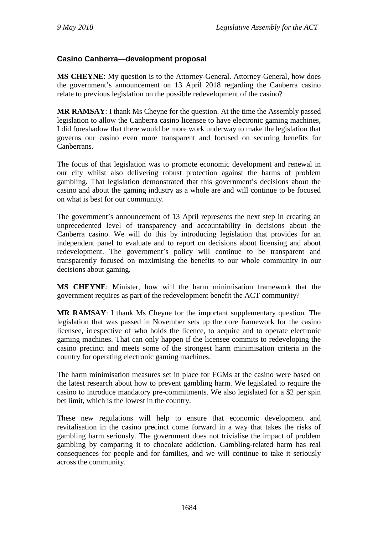## **Casino Canberra—development proposal**

**MS CHEYNE**: My question is to the Attorney-General. Attorney-General, how does the government's announcement on 13 April 2018 regarding the Canberra casino relate to previous legislation on the possible redevelopment of the casino?

**MR RAMSAY**: I thank Ms Cheyne for the question. At the time the Assembly passed legislation to allow the Canberra casino licensee to have electronic gaming machines, I did foreshadow that there would be more work underway to make the legislation that governs our casino even more transparent and focused on securing benefits for Canberrans.

The focus of that legislation was to promote economic development and renewal in our city whilst also delivering robust protection against the harms of problem gambling. That legislation demonstrated that this government's decisions about the casino and about the gaming industry as a whole are and will continue to be focused on what is best for our community.

The government's announcement of 13 April represents the next step in creating an unprecedented level of transparency and accountability in decisions about the Canberra casino. We will do this by introducing legislation that provides for an independent panel to evaluate and to report on decisions about licensing and about redevelopment. The government's policy will continue to be transparent and transparently focused on maximising the benefits to our whole community in our decisions about gaming.

**MS CHEYNE**: Minister, how will the harm minimisation framework that the government requires as part of the redevelopment benefit the ACT community?

**MR RAMSAY**: I thank Ms Cheyne for the important supplementary question. The legislation that was passed in November sets up the core framework for the casino licensee, irrespective of who holds the licence, to acquire and to operate electronic gaming machines. That can only happen if the licensee commits to redeveloping the casino precinct and meets some of the strongest harm minimisation criteria in the country for operating electronic gaming machines.

The harm minimisation measures set in place for EGMs at the casino were based on the latest research about how to prevent gambling harm. We legislated to require the casino to introduce mandatory pre-commitments. We also legislated for a \$2 per spin bet limit, which is the lowest in the country.

These new regulations will help to ensure that economic development and revitalisation in the casino precinct come forward in a way that takes the risks of gambling harm seriously. The government does not trivialise the impact of problem gambling by comparing it to chocolate addiction. Gambling-related harm has real consequences for people and for families, and we will continue to take it seriously across the community.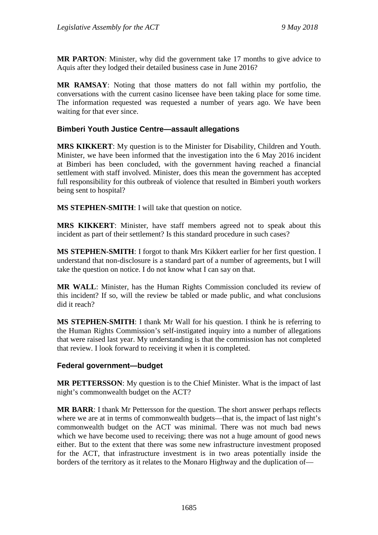**MR PARTON**: Minister, why did the government take 17 months to give advice to Aquis after they lodged their detailed business case in June 2016?

**MR RAMSAY**: Noting that those matters do not fall within my portfolio, the conversations with the current casino licensee have been taking place for some time. The information requested was requested a number of years ago. We have been waiting for that ever since.

## **Bimberi Youth Justice Centre—assault allegations**

**MRS KIKKERT**: My question is to the Minister for Disability, Children and Youth. Minister, we have been informed that the investigation into the 6 May 2016 incident at Bimberi has been concluded, with the government having reached a financial settlement with staff involved. Minister, does this mean the government has accepted full responsibility for this outbreak of violence that resulted in Bimberi youth workers being sent to hospital?

**MS STEPHEN-SMITH**: I will take that question on notice.

**MRS KIKKERT**: Minister, have staff members agreed not to speak about this incident as part of their settlement? Is this standard procedure in such cases?

**MS STEPHEN-SMITH**: I forgot to thank Mrs Kikkert earlier for her first question. I understand that non-disclosure is a standard part of a number of agreements, but I will take the question on notice. I do not know what I can say on that.

**MR WALL**: Minister, has the Human Rights Commission concluded its review of this incident? If so, will the review be tabled or made public, and what conclusions did it reach?

**MS STEPHEN-SMITH**: I thank Mr Wall for his question. I think he is referring to the Human Rights Commission's self-instigated inquiry into a number of allegations that were raised last year. My understanding is that the commission has not completed that review. I look forward to receiving it when it is completed.

### **Federal government—budget**

**MR PETTERSSON**: My question is to the Chief Minister. What is the impact of last night's commonwealth budget on the ACT?

**MR BARR**: I thank Mr Pettersson for the question. The short answer perhaps reflects where we are at in terms of commonwealth budgets—that is, the impact of last night's commonwealth budget on the ACT was minimal. There was not much bad news which we have become used to receiving; there was not a huge amount of good news either. But to the extent that there was some new infrastructure investment proposed for the ACT, that infrastructure investment is in two areas potentially inside the borders of the territory as it relates to the Monaro Highway and the duplication of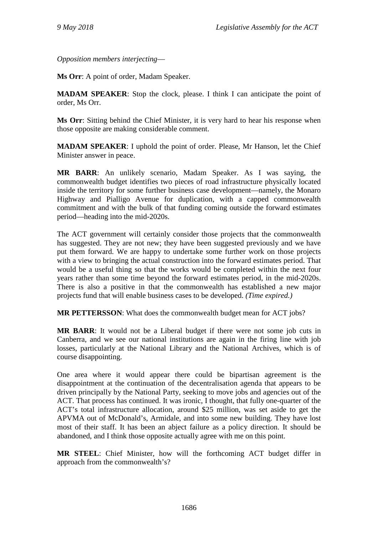*Opposition members interjecting*—

**Ms Orr**: A point of order, Madam Speaker.

**MADAM SPEAKER**: Stop the clock, please. I think I can anticipate the point of order, Ms Orr.

**Ms Orr**: Sitting behind the Chief Minister, it is very hard to hear his response when those opposite are making considerable comment.

**MADAM SPEAKER**: I uphold the point of order. Please, Mr Hanson, let the Chief Minister answer in peace.

**MR BARR**: An unlikely scenario, Madam Speaker. As I was saying, the commonwealth budget identifies two pieces of road infrastructure physically located inside the territory for some further business case development—namely, the Monaro Highway and Pialligo Avenue for duplication, with a capped commonwealth commitment and with the bulk of that funding coming outside the forward estimates period—heading into the mid-2020s.

The ACT government will certainly consider those projects that the commonwealth has suggested. They are not new; they have been suggested previously and we have put them forward. We are happy to undertake some further work on those projects with a view to bringing the actual construction into the forward estimates period. That would be a useful thing so that the works would be completed within the next four years rather than some time beyond the forward estimates period, in the mid-2020s. There is also a positive in that the commonwealth has established a new major projects fund that will enable business cases to be developed. *(Time expired.)*

**MR PETTERSSON**: What does the commonwealth budget mean for ACT jobs?

**MR BARR**: It would not be a Liberal budget if there were not some job cuts in Canberra, and we see our national institutions are again in the firing line with job losses, particularly at the National Library and the National Archives, which is of course disappointing.

One area where it would appear there could be bipartisan agreement is the disappointment at the continuation of the decentralisation agenda that appears to be driven principally by the National Party, seeking to move jobs and agencies out of the ACT. That process has continued. It was ironic, I thought, that fully one-quarter of the ACT's total infrastructure allocation, around \$25 million, was set aside to get the APVMA out of McDonald's, Armidale, and into some new building. They have lost most of their staff. It has been an abject failure as a policy direction. It should be abandoned, and I think those opposite actually agree with me on this point.

**MR STEEL**: Chief Minister, how will the forthcoming ACT budget differ in approach from the commonwealth's?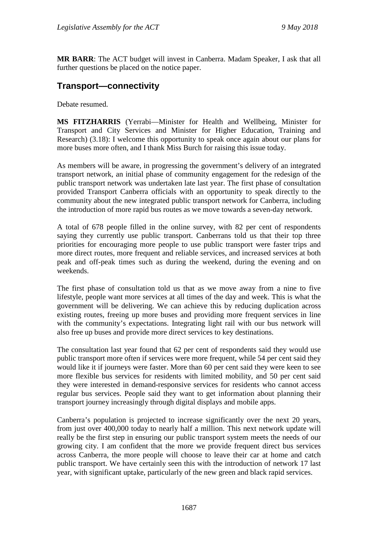**MR BARR**: The ACT budget will invest in Canberra. Madam Speaker, I ask that all further questions be placed on the notice paper.

# **Transport—connectivity**

Debate resumed.

**MS FITZHARRIS** (Yerrabi—Minister for Health and Wellbeing, Minister for Transport and City Services and Minister for Higher Education, Training and Research) (3.18): I welcome this opportunity to speak once again about our plans for more buses more often, and I thank Miss Burch for raising this issue today.

As members will be aware, in progressing the government's delivery of an integrated transport network, an initial phase of community engagement for the redesign of the public transport network was undertaken late last year. The first phase of consultation provided Transport Canberra officials with an opportunity to speak directly to the community about the new integrated public transport network for Canberra, including the introduction of more rapid bus routes as we move towards a seven-day network.

A total of 678 people filled in the online survey, with 82 per cent of respondents saying they currently use public transport. Canberrans told us that their top three priorities for encouraging more people to use public transport were faster trips and more direct routes, more frequent and reliable services, and increased services at both peak and off-peak times such as during the weekend, during the evening and on weekends.

The first phase of consultation told us that as we move away from a nine to five lifestyle, people want more services at all times of the day and week. This is what the government will be delivering. We can achieve this by reducing duplication across existing routes, freeing up more buses and providing more frequent services in line with the community's expectations. Integrating light rail with our bus network will also free up buses and provide more direct services to key destinations.

The consultation last year found that 62 per cent of respondents said they would use public transport more often if services were more frequent, while 54 per cent said they would like it if journeys were faster. More than 60 per cent said they were keen to see more flexible bus services for residents with limited mobility, and 50 per cent said they were interested in demand-responsive services for residents who cannot access regular bus services. People said they want to get information about planning their transport journey increasingly through digital displays and mobile apps.

Canberra's population is projected to increase significantly over the next 20 years, from just over 400,000 today to nearly half a million. This next network update will really be the first step in ensuring our public transport system meets the needs of our growing city. I am confident that the more we provide frequent direct bus services across Canberra, the more people will choose to leave their car at home and catch public transport. We have certainly seen this with the introduction of network 17 last year, with significant uptake, particularly of the new green and black rapid services.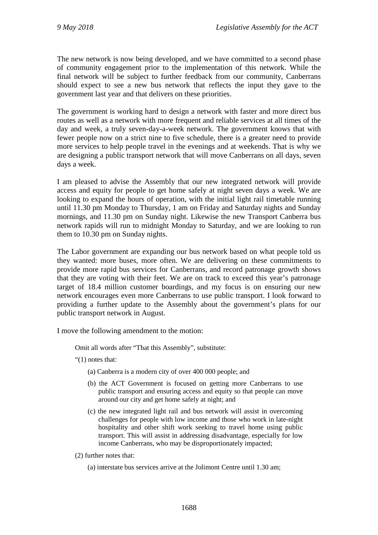The new network is now being developed, and we have committed to a second phase of community engagement prior to the implementation of this network. While the final network will be subject to further feedback from our community, Canberrans should expect to see a new bus network that reflects the input they gave to the government last year and that delivers on these priorities.

The government is working hard to design a network with faster and more direct bus routes as well as a network with more frequent and reliable services at all times of the day and week, a truly seven-day-a-week network. The government knows that with fewer people now on a strict nine to five schedule, there is a greater need to provide more services to help people travel in the evenings and at weekends. That is why we are designing a public transport network that will move Canberrans on all days, seven days a week.

I am pleased to advise the Assembly that our new integrated network will provide access and equity for people to get home safely at night seven days a week. We are looking to expand the hours of operation, with the initial light rail timetable running until 11.30 pm Monday to Thursday, 1 am on Friday and Saturday nights and Sunday mornings, and 11.30 pm on Sunday night. Likewise the new Transport Canberra bus network rapids will run to midnight Monday to Saturday, and we are looking to run them to 10.30 pm on Sunday nights.

The Labor government are expanding our bus network based on what people told us they wanted: more buses, more often. We are delivering on these commitments to provide more rapid bus services for Canberrans, and record patronage growth shows that they are voting with their feet. We are on track to exceed this year's patronage target of 18.4 million customer boardings, and my focus is on ensuring our new network encourages even more Canberrans to use public transport. I look forward to providing a further update to the Assembly about the government's plans for our public transport network in August.

I move the following amendment to the motion:

Omit all words after "That this Assembly", substitute:

"(1) notes that:

- (a) Canberra is a modern city of over 400 000 people; and
- (b) the ACT Government is focused on getting more Canberrans to use public transport and ensuring access and equity so that people can move around our city and get home safely at night; and
- (c) the new integrated light rail and bus network will assist in overcoming challenges for people with low income and those who work in late-night hospitality and other shift work seeking to travel home using public transport. This will assist in addressing disadvantage, especially for low income Canberrans, who may be disproportionately impacted;
- (2) further notes that:
	- (a) interstate bus services arrive at the Jolimont Centre until 1.30 am;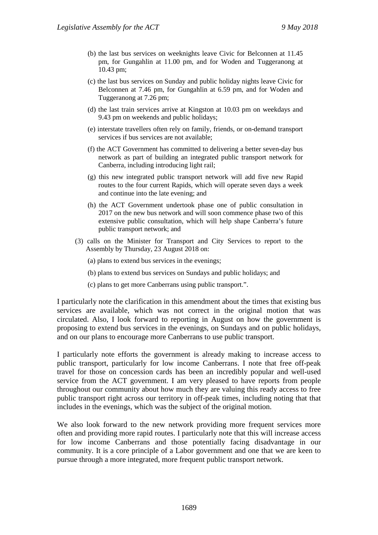- (b) the last bus services on weeknights leave Civic for Belconnen at 11.45 pm, for Gungahlin at 11.00 pm, and for Woden and Tuggeranong at 10.43 pm;
- (c) the last bus services on Sunday and public holiday nights leave Civic for Belconnen at 7.46 pm, for Gungahlin at 6.59 pm, and for Woden and Tuggeranong at 7.26 pm;
- (d) the last train services arrive at Kingston at 10.03 pm on weekdays and 9.43 pm on weekends and public holidays;
- (e) interstate travellers often rely on family, friends, or on-demand transport services if bus services are not available;
- (f) the ACT Government has committed to delivering a better seven-day bus network as part of building an integrated public transport network for Canberra, including introducing light rail;
- (g) this new integrated public transport network will add five new Rapid routes to the four current Rapids, which will operate seven days a week and continue into the late evening; and
- (h) the ACT Government undertook phase one of public consultation in 2017 on the new bus network and will soon commence phase two of this extensive public consultation, which will help shape Canberra's future public transport network; and
- (3) calls on the Minister for Transport and City Services to report to the Assembly by Thursday, 23 August 2018 on:
	- (a) plans to extend bus services in the evenings;
	- (b) plans to extend bus services on Sundays and public holidays; and
	- (c) plans to get more Canberrans using public transport.".

I particularly note the clarification in this amendment about the times that existing bus services are available, which was not correct in the original motion that was circulated. Also, I look forward to reporting in August on how the government is proposing to extend bus services in the evenings, on Sundays and on public holidays, and on our plans to encourage more Canberrans to use public transport.

I particularly note efforts the government is already making to increase access to public transport, particularly for low income Canberrans. I note that free off-peak travel for those on concession cards has been an incredibly popular and well-used service from the ACT government. I am very pleased to have reports from people throughout our community about how much they are valuing this ready access to free public transport right across our territory in off-peak times, including noting that that includes in the evenings, which was the subject of the original motion.

We also look forward to the new network providing more frequent services more often and providing more rapid routes. I particularly note that this will increase access for low income Canberrans and those potentially facing disadvantage in our community. It is a core principle of a Labor government and one that we are keen to pursue through a more integrated, more frequent public transport network.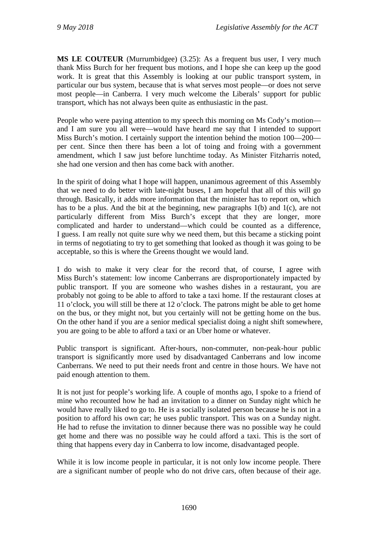**MS LE COUTEUR** (Murrumbidgee) (3.25): As a frequent bus user, I very much thank Miss Burch for her frequent bus motions, and I hope she can keep up the good work. It is great that this Assembly is looking at our public transport system, in particular our bus system, because that is what serves most people—or does not serve most people—in Canberra. I very much welcome the Liberals' support for public transport, which has not always been quite as enthusiastic in the past.

People who were paying attention to my speech this morning on Ms Cody's motion and I am sure you all were—would have heard me say that I intended to support Miss Burch's motion. I certainly support the intention behind the motion 100—200 per cent. Since then there has been a lot of toing and froing with a government amendment, which I saw just before lunchtime today. As Minister Fitzharris noted, she had one version and then has come back with another.

In the spirit of doing what I hope will happen, unanimous agreement of this Assembly that we need to do better with late-night buses, I am hopeful that all of this will go through. Basically, it adds more information that the minister has to report on, which has to be a plus. And the bit at the beginning, new paragraphs 1(b) and 1(c), are not particularly different from Miss Burch's except that they are longer, more complicated and harder to understand—which could be counted as a difference, I guess. I am really not quite sure why we need them, but this became a sticking point in terms of negotiating to try to get something that looked as though it was going to be acceptable, so this is where the Greens thought we would land.

I do wish to make it very clear for the record that, of course, I agree with Miss Burch's statement: low income Canberrans are disproportionately impacted by public transport. If you are someone who washes dishes in a restaurant, you are probably not going to be able to afford to take a taxi home. If the restaurant closes at 11 o'clock, you will still be there at 12 o'clock. The patrons might be able to get home on the bus, or they might not, but you certainly will not be getting home on the bus. On the other hand if you are a senior medical specialist doing a night shift somewhere, you are going to be able to afford a taxi or an Uber home or whatever.

Public transport is significant. After-hours, non-commuter, non-peak-hour public transport is significantly more used by disadvantaged Canberrans and low income Canberrans. We need to put their needs front and centre in those hours. We have not paid enough attention to them.

It is not just for people's working life. A couple of months ago, I spoke to a friend of mine who recounted how he had an invitation to a dinner on Sunday night which he would have really liked to go to. He is a socially isolated person because he is not in a position to afford his own car; he uses public transport. This was on a Sunday night. He had to refuse the invitation to dinner because there was no possible way he could get home and there was no possible way he could afford a taxi. This is the sort of thing that happens every day in Canberra to low income, disadvantaged people.

While it is low income people in particular, it is not only low income people. There are a significant number of people who do not drive cars, often because of their age.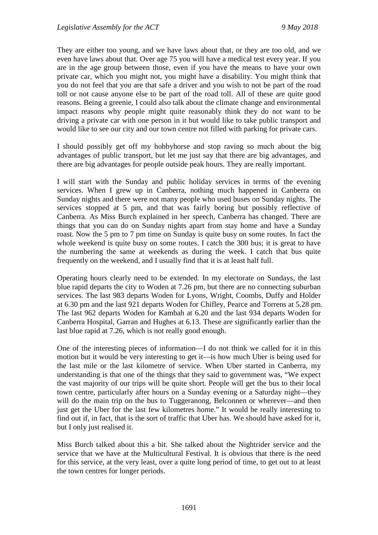They are either too young, and we have laws about that, or they are too old, and we even have laws about that. Over age 75 you will have a medical test every year. If you are in the age group between those, even if you have the means to have your own private car, which you might not, you might have a disability. You might think that you do not feel that you are that safe a driver and you wish to not be part of the road toll or not cause anyone else to be part of the road toll. All of these are quite good reasons. Being a greenie, I could also talk about the climate change and environmental impact reasons why people might quite reasonably think they do not want to be driving a private car with one person in it but would like to take public transport and would like to see our city and our town centre not filled with parking for private cars.

I should possibly get off my hobbyhorse and stop raving so much about the big advantages of public transport, but let me just say that there are big advantages, and there are big advantages for people outside peak hours. They are really important.

I will start with the Sunday and public holiday services in terms of the evening services. When I grew up in Canberra, nothing much happened in Canberra on Sunday nights and there were not many people who used buses on Sunday nights. The services stopped at 5 pm, and that was fairly boring but possibly reflective of Canberra. As Miss Burch explained in her speech, Canberra has changed. There are things that you can do on Sunday nights apart from stay home and have a Sunday roast. Now the 5 pm to 7 pm time on Sunday is quite busy on some routes. In fact the whole weekend is quite busy on some routes. I catch the 300 bus; it is great to have the numbering the same at weekends as during the week. I catch that bus quite frequently on the weekend, and I usually find that it is at least half full.

Operating hours clearly need to be extended. In my electorate on Sundays, the last blue rapid departs the city to Woden at 7.26 pm, but there are no connecting suburban services. The last 983 departs Woden for Lyons, Wright, Coombs, Duffy and Holder at 6.30 pm and the last 921 departs Woden for Chifley, Pearce and Torrens at 5.28 pm. The last 962 departs Woden for Kambah at 6.20 and the last 934 departs Woden for Canberra Hospital, Garran and Hughes at 6.13. These are significantly earlier than the last blue rapid at 7.26, which is not really good enough.

One of the interesting pieces of information—I do not think we called for it in this motion but it would be very interesting to get it—is how much Uber is being used for the last mile or the last kilometre of service. When Uber started in Canberra, my understanding is that one of the things that they said to government was, "We expect the vast majority of our trips will be quite short. People will get the bus to their local town centre, particularly after hours on a Sunday evening or a Saturday night—they will do the main trip on the bus to Tuggeranong, Belconnen or wherever—and then just get the Uber for the last few kilometres home." It would be really interesting to find out if, in fact, that is the sort of traffic that Uber has. We should have asked for it, but I only just realised it.

Miss Burch talked about this a bit. She talked about the Nightrider service and the service that we have at the Multicultural Festival. It is obvious that there is the need for this service, at the very least, over a quite long period of time, to get out to at least the town centres for longer periods.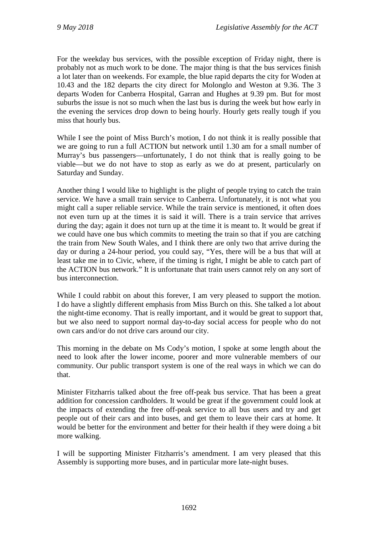For the weekday bus services, with the possible exception of Friday night, there is probably not as much work to be done. The major thing is that the bus services finish a lot later than on weekends. For example, the blue rapid departs the city for Woden at 10.43 and the 182 departs the city direct for Molonglo and Weston at 9.36. The 3 departs Woden for Canberra Hospital, Garran and Hughes at 9.39 pm. But for most suburbs the issue is not so much when the last bus is during the week but how early in the evening the services drop down to being hourly. Hourly gets really tough if you miss that hourly bus.

While I see the point of Miss Burch's motion, I do not think it is really possible that we are going to run a full ACTION but network until 1.30 am for a small number of Murray's bus passengers—unfortunately, I do not think that is really going to be viable—but we do not have to stop as early as we do at present, particularly on Saturday and Sunday.

Another thing I would like to highlight is the plight of people trying to catch the train service. We have a small train service to Canberra. Unfortunately, it is not what you might call a super reliable service. While the train service is mentioned, it often does not even turn up at the times it is said it will. There is a train service that arrives during the day; again it does not turn up at the time it is meant to. It would be great if we could have one bus which commits to meeting the train so that if you are catching the train from New South Wales, and I think there are only two that arrive during the day or during a 24-hour period, you could say, "Yes, there will be a bus that will at least take me in to Civic, where, if the timing is right, I might be able to catch part of the ACTION bus network." It is unfortunate that train users cannot rely on any sort of bus interconnection.

While I could rabbit on about this forever, I am very pleased to support the motion. I do have a slightly different emphasis from Miss Burch on this. She talked a lot about the night-time economy. That is really important, and it would be great to support that, but we also need to support normal day-to-day social access for people who do not own cars and/or do not drive cars around our city.

This morning in the debate on Ms Cody's motion, I spoke at some length about the need to look after the lower income, poorer and more vulnerable members of our community. Our public transport system is one of the real ways in which we can do that.

Minister Fitzharris talked about the free off-peak bus service. That has been a great addition for concession cardholders. It would be great if the government could look at the impacts of extending the free off-peak service to all bus users and try and get people out of their cars and into buses, and get them to leave their cars at home. It would be better for the environment and better for their health if they were doing a bit more walking.

I will be supporting Minister Fitzharris's amendment. I am very pleased that this Assembly is supporting more buses, and in particular more late-night buses.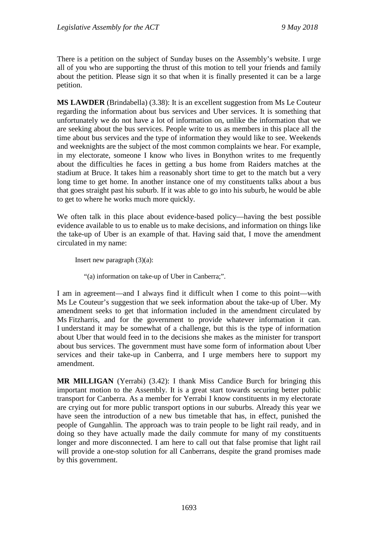There is a petition on the subject of Sunday buses on the Assembly's website. I urge all of you who are supporting the thrust of this motion to tell your friends and family about the petition. Please sign it so that when it is finally presented it can be a large petition.

**MS LAWDER** (Brindabella) (3.38): It is an excellent suggestion from Ms Le Couteur regarding the information about bus services and Uber services. It is something that unfortunately we do not have a lot of information on, unlike the information that we are seeking about the bus services. People write to us as members in this place all the time about bus services and the type of information they would like to see. Weekends and weeknights are the subject of the most common complaints we hear. For example, in my electorate, someone I know who lives in Bonython writes to me frequently about the difficulties he faces in getting a bus home from Raiders matches at the stadium at Bruce. It takes him a reasonably short time to get to the match but a very long time to get home. In another instance one of my constituents talks about a bus that goes straight past his suburb. If it was able to go into his suburb, he would be able to get to where he works much more quickly.

We often talk in this place about evidence-based policy—having the best possible evidence available to us to enable us to make decisions, and information on things like the take-up of Uber is an example of that. Having said that, I move the amendment circulated in my name:

Insert new paragraph  $(3)(a)$ :

"(a) information on take-up of Uber in Canberra;".

I am in agreement—and I always find it difficult when I come to this point—with Ms Le Couteur's suggestion that we seek information about the take-up of Uber. My amendment seeks to get that information included in the amendment circulated by Ms Fitzharris, and for the government to provide whatever information it can. I understand it may be somewhat of a challenge, but this is the type of information about Uber that would feed in to the decisions she makes as the minister for transport about bus services. The government must have some form of information about Uber services and their take-up in Canberra, and I urge members here to support my amendment.

**MR MILLIGAN** (Yerrabi) (3.42): I thank Miss Candice Burch for bringing this important motion to the Assembly. It is a great start towards securing better public transport for Canberra. As a member for Yerrabi I know constituents in my electorate are crying out for more public transport options in our suburbs. Already this year we have seen the introduction of a new bus timetable that has, in effect, punished the people of Gungahlin. The approach was to train people to be light rail ready, and in doing so they have actually made the daily commute for many of my constituents longer and more disconnected. I am here to call out that false promise that light rail will provide a one-stop solution for all Canberrans, despite the grand promises made by this government.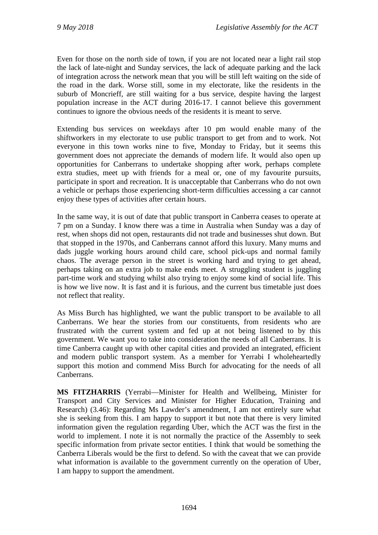Even for those on the north side of town, if you are not located near a light rail stop the lack of late-night and Sunday services, the lack of adequate parking and the lack of integration across the network mean that you will be still left waiting on the side of the road in the dark. Worse still, some in my electorate, like the residents in the suburb of Moncrieff, are still waiting for a bus service, despite having the largest population increase in the ACT during 2016-17. I cannot believe this government continues to ignore the obvious needs of the residents it is meant to serve.

Extending bus services on weekdays after 10 pm would enable many of the shiftworkers in my electorate to use public transport to get from and to work. Not everyone in this town works nine to five, Monday to Friday, but it seems this government does not appreciate the demands of modern life. It would also open up opportunities for Canberrans to undertake shopping after work, perhaps complete extra studies, meet up with friends for a meal or, one of my favourite pursuits, participate in sport and recreation. It is unacceptable that Canberrans who do not own a vehicle or perhaps those experiencing short-term difficulties accessing a car cannot enjoy these types of activities after certain hours.

In the same way, it is out of date that public transport in Canberra ceases to operate at 7 pm on a Sunday. I know there was a time in Australia when Sunday was a day of rest, when shops did not open, restaurants did not trade and businesses shut down. But that stopped in the 1970s, and Canberrans cannot afford this luxury. Many mums and dads juggle working hours around child care, school pick-ups and normal family chaos. The average person in the street is working hard and trying to get ahead, perhaps taking on an extra job to make ends meet. A struggling student is juggling part-time work and studying whilst also trying to enjoy some kind of social life. This is how we live now. It is fast and it is furious, and the current bus timetable just does not reflect that reality.

As Miss Burch has highlighted, we want the public transport to be available to all Canberrans. We hear the stories from our constituents, from residents who are frustrated with the current system and fed up at not being listened to by this government. We want you to take into consideration the needs of all Canberrans. It is time Canberra caught up with other capital cities and provided an integrated, efficient and modern public transport system. As a member for Yerrabi I wholeheartedly support this motion and commend Miss Burch for advocating for the needs of all Canberrans.

**MS FITZHARRIS** (Yerrabi—Minister for Health and Wellbeing, Minister for Transport and City Services and Minister for Higher Education, Training and Research) (3.46): Regarding Ms Lawder's amendment, I am not entirely sure what she is seeking from this. I am happy to support it but note that there is very limited information given the regulation regarding Uber, which the ACT was the first in the world to implement. I note it is not normally the practice of the Assembly to seek specific information from private sector entities. I think that would be something the Canberra Liberals would be the first to defend. So with the caveat that we can provide what information is available to the government currently on the operation of Uber, I am happy to support the amendment.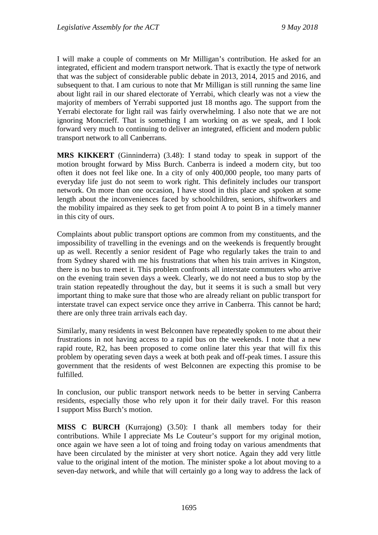I will make a couple of comments on Mr Milligan's contribution. He asked for an integrated, efficient and modern transport network. That is exactly the type of network that was the subject of considerable public debate in 2013, 2014, 2015 and 2016, and subsequent to that. I am curious to note that Mr Milligan is still running the same line about light rail in our shared electorate of Yerrabi, which clearly was not a view the majority of members of Yerrabi supported just 18 months ago. The support from the Yerrabi electorate for light rail was fairly overwhelming. I also note that we are not ignoring Moncrieff. That is something I am working on as we speak, and I look forward very much to continuing to deliver an integrated, efficient and modern public transport network to all Canberrans.

**MRS KIKKERT** (Ginninderra) (3.48): I stand today to speak in support of the motion brought forward by Miss Burch. Canberra is indeed a modern city, but too often it does not feel like one. In a city of only 400,000 people, too many parts of everyday life just do not seem to work right. This definitely includes our transport network. On more than one occasion, I have stood in this place and spoken at some length about the inconveniences faced by schoolchildren, seniors, shiftworkers and the mobility impaired as they seek to get from point A to point B in a timely manner in this city of ours.

Complaints about public transport options are common from my constituents, and the impossibility of travelling in the evenings and on the weekends is frequently brought up as well. Recently a senior resident of Page who regularly takes the train to and from Sydney shared with me his frustrations that when his train arrives in Kingston, there is no bus to meet it. This problem confronts all interstate commuters who arrive on the evening train seven days a week. Clearly, we do not need a bus to stop by the train station repeatedly throughout the day, but it seems it is such a small but very important thing to make sure that those who are already reliant on public transport for interstate travel can expect service once they arrive in Canberra. This cannot be hard; there are only three train arrivals each day.

Similarly, many residents in west Belconnen have repeatedly spoken to me about their frustrations in not having access to a rapid bus on the weekends. I note that a new rapid route, R2, has been proposed to come online later this year that will fix this problem by operating seven days a week at both peak and off-peak times. I assure this government that the residents of west Belconnen are expecting this promise to be fulfilled.

In conclusion, our public transport network needs to be better in serving Canberra residents, especially those who rely upon it for their daily travel. For this reason I support Miss Burch's motion.

**MISS C BURCH** (Kurrajong) (3.50): I thank all members today for their contributions. While I appreciate Ms Le Couteur's support for my original motion, once again we have seen a lot of toing and froing today on various amendments that have been circulated by the minister at very short notice. Again they add very little value to the original intent of the motion. The minister spoke a lot about moving to a seven-day network, and while that will certainly go a long way to address the lack of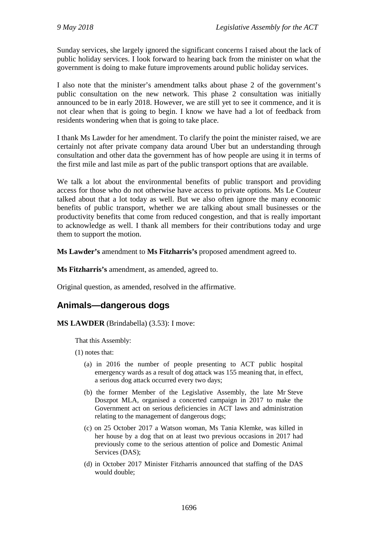Sunday services, she largely ignored the significant concerns I raised about the lack of public holiday services. I look forward to hearing back from the minister on what the government is doing to make future improvements around public holiday services.

I also note that the minister's amendment talks about phase 2 of the government's public consultation on the new network. This phase 2 consultation was initially announced to be in early 2018. However, we are still yet to see it commence, and it is not clear when that is going to begin. I know we have had a lot of feedback from residents wondering when that is going to take place.

I thank Ms Lawder for her amendment. To clarify the point the minister raised, we are certainly not after private company data around Uber but an understanding through consultation and other data the government has of how people are using it in terms of the first mile and last mile as part of the public transport options that are available.

We talk a lot about the environmental benefits of public transport and providing access for those who do not otherwise have access to private options. Ms Le Couteur talked about that a lot today as well. But we also often ignore the many economic benefits of public transport, whether we are talking about small businesses or the productivity benefits that come from reduced congestion, and that is really important to acknowledge as well. I thank all members for their contributions today and urge them to support the motion.

**Ms Lawder's** amendment to **Ms Fitzharris's** proposed amendment agreed to.

**Ms Fitzharris's** amendment, as amended, agreed to.

Original question, as amended, resolved in the affirmative.

## **Animals—dangerous dogs**

**MS LAWDER** (Brindabella) (3.53): I move:

That this Assembly:

- (1) notes that:
	- (a) in 2016 the number of people presenting to ACT public hospital emergency wards as a result of dog attack was 155 meaning that, in effect, a serious dog attack occurred every two days;
	- (b) the former Member of the Legislative Assembly, the late Mr Steve Doszpot MLA, organised a concerted campaign in 2017 to make the Government act on serious deficiencies in ACT laws and administration relating to the management of dangerous dogs;
	- (c) on 25 October 2017 a Watson woman, Ms Tania Klemke, was killed in her house by a dog that on at least two previous occasions in 2017 had previously come to the serious attention of police and Domestic Animal Services (DAS);
	- (d) in October 2017 Minister Fitzharris announced that staffing of the DAS would double;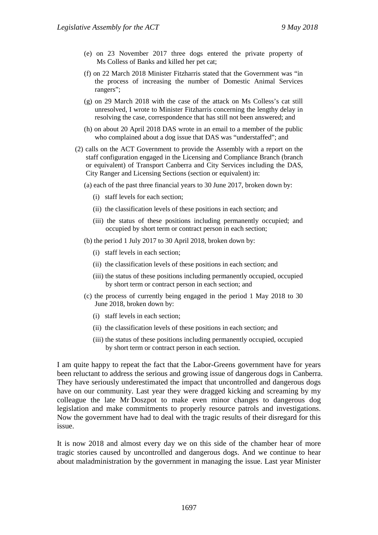- (e) on 23 November 2017 three dogs entered the private property of Ms Colless of Banks and killed her pet cat;
- (f) on 22 March 2018 Minister Fitzharris stated that the Government was "in the process of increasing the number of Domestic Animal Services rangers";
- (g) on 29 March 2018 with the case of the attack on Ms Colless's cat still unresolved, I wrote to Minister Fitzharris concerning the lengthy delay in resolving the case, correspondence that has still not been answered; and
- (h) on about 20 April 2018 DAS wrote in an email to a member of the public who complained about a dog issue that DAS was "understaffed"; and
- (2) calls on the ACT Government to provide the Assembly with a report on the staff configuration engaged in the Licensing and Compliance Branch (branch or equivalent) of Transport Canberra and City Services including the DAS, City Ranger and Licensing Sections (section or equivalent) in:
	- (a) each of the past three financial years to 30 June 2017, broken down by:
		- (i) staff levels for each section;
		- (ii) the classification levels of these positions in each section; and
		- (iii) the status of these positions including permanently occupied; and occupied by short term or contract person in each section;
	- (b) the period 1 July 2017 to 30 April 2018, broken down by:
		- (i) staff levels in each section;
		- (ii) the classification levels of these positions in each section; and
		- (iii) the status of these positions including permanently occupied, occupied by short term or contract person in each section; and
	- (c) the process of currently being engaged in the period 1 May 2018 to 30 June 2018, broken down by:
		- (i) staff levels in each section;
		- (ii) the classification levels of these positions in each section; and
		- (iii) the status of these positions including permanently occupied, occupied by short term or contract person in each section.

I am quite happy to repeat the fact that the Labor-Greens government have for years been reluctant to address the serious and growing issue of dangerous dogs in Canberra. They have seriously underestimated the impact that uncontrolled and dangerous dogs have on our community. Last year they were dragged kicking and screaming by my colleague the late Mr Doszpot to make even minor changes to dangerous dog legislation and make commitments to properly resource patrols and investigations. Now the government have had to deal with the tragic results of their disregard for this issue.

It is now 2018 and almost every day we on this side of the chamber hear of more tragic stories caused by uncontrolled and dangerous dogs. And we continue to hear about maladministration by the government in managing the issue. Last year Minister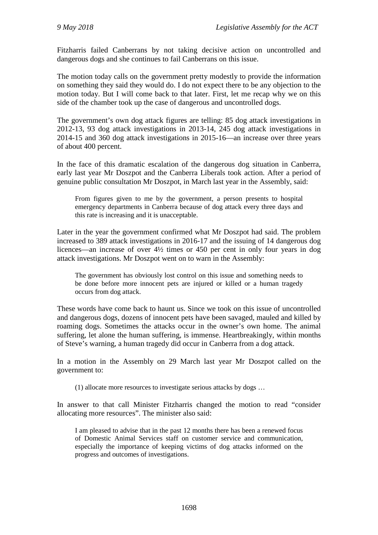Fitzharris failed Canberrans by not taking decisive action on uncontrolled and dangerous dogs and she continues to fail Canberrans on this issue.

The motion today calls on the government pretty modestly to provide the information on something they said they would do. I do not expect there to be any objection to the motion today. But I will come back to that later. First, let me recap why we on this side of the chamber took up the case of dangerous and uncontrolled dogs.

The government's own dog attack figures are telling: 85 dog attack investigations in 2012-13, 93 dog attack investigations in 2013-14, 245 dog attack investigations in 2014-15 and 360 dog attack investigations in 2015-16—an increase over three years of about 400 percent.

In the face of this dramatic escalation of the dangerous dog situation in Canberra, early last year Mr Doszpot and the Canberra Liberals took action. After a period of genuine public consultation Mr Doszpot, in March last year in the Assembly, said:

From figures given to me by the government, a person presents to hospital emergency departments in Canberra because of dog attack every three days and this rate is increasing and it is unacceptable.

Later in the year the government confirmed what Mr Doszpot had said. The problem increased to 389 attack investigations in 2016-17 and the issuing of 14 dangerous dog licences—an increase of over 4½ times or 450 per cent in only four years in dog attack investigations. Mr Doszpot went on to warn in the Assembly:

The government has obviously lost control on this issue and something needs to be done before more innocent pets are injured or killed or a human tragedy occurs from dog attack.

These words have come back to haunt us. Since we took on this issue of uncontrolled and dangerous dogs, dozens of innocent pets have been savaged, mauled and killed by roaming dogs. Sometimes the attacks occur in the owner's own home. The animal suffering, let alone the human suffering, is immense. Heartbreakingly, within months of Steve's warning, a human tragedy did occur in Canberra from a dog attack.

In a motion in the Assembly on 29 March last year Mr Doszpot called on the government to:

(1) allocate more resources to investigate serious attacks by dogs …

In answer to that call Minister Fitzharris changed the motion to read "consider allocating more resources". The minister also said:

I am pleased to advise that in the past 12 months there has been a renewed focus of Domestic Animal Services staff on customer service and communication, especially the importance of keeping victims of dog attacks informed on the progress and outcomes of investigations.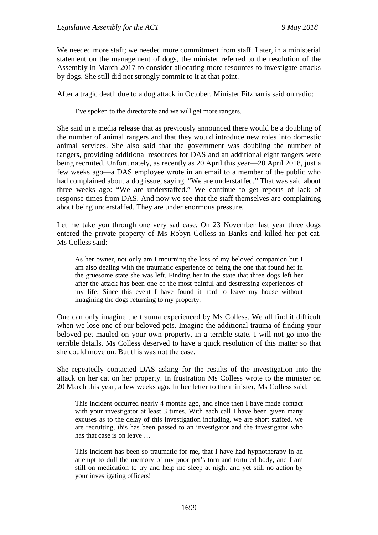We needed more staff; we needed more commitment from staff. Later, in a ministerial statement on the management of dogs, the minister referred to the resolution of the Assembly in March 2017 to consider allocating more resources to investigate attacks by dogs. She still did not strongly commit to it at that point.

After a tragic death due to a dog attack in October, Minister Fitzharris said on radio:

I've spoken to the directorate and we will get more rangers.

She said in a media release that as previously announced there would be a doubling of the number of animal rangers and that they would introduce new roles into domestic animal services. She also said that the government was doubling the number of rangers, providing additional resources for DAS and an additional eight rangers were being recruited. Unfortunately, as recently as 20 April this year—20 April 2018, just a few weeks ago—a DAS employee wrote in an email to a member of the public who had complained about a dog issue, saying, "We are understaffed." That was said about three weeks ago: "We are understaffed." We continue to get reports of lack of response times from DAS. And now we see that the staff themselves are complaining about being understaffed. They are under enormous pressure.

Let me take you through one very sad case. On 23 November last year three dogs entered the private property of Ms Robyn Colless in Banks and killed her pet cat. Ms Colless said:

As her owner, not only am I mourning the loss of my beloved companion but I am also dealing with the traumatic experience of being the one that found her in the gruesome state she was left. Finding her in the state that three dogs left her after the attack has been one of the most painful and destressing experiences of my life. Since this event I have found it hard to leave my house without imagining the dogs returning to my property.

One can only imagine the trauma experienced by Ms Colless. We all find it difficult when we lose one of our beloved pets. Imagine the additional trauma of finding your beloved pet mauled on your own property, in a terrible state. I will not go into the terrible details. Ms Colless deserved to have a quick resolution of this matter so that she could move on. But this was not the case.

She repeatedly contacted DAS asking for the results of the investigation into the attack on her cat on her property. In frustration Ms Colless wrote to the minister on 20 March this year, a few weeks ago. In her letter to the minister, Ms Colless said:

This incident occurred nearly 4 months ago, and since then I have made contact with your investigator at least 3 times. With each call I have been given many excuses as to the delay of this investigation including, we are short staffed, we are recruiting, this has been passed to an investigator and the investigator who has that case is on leave …

This incident has been so traumatic for me, that I have had hypnotherapy in an attempt to dull the memory of my poor pet's torn and tortured body, and I am still on medication to try and help me sleep at night and yet still no action by your investigating officers!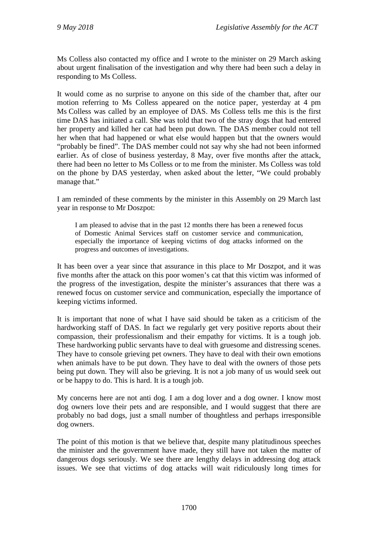Ms Colless also contacted my office and I wrote to the minister on 29 March asking about urgent finalisation of the investigation and why there had been such a delay in responding to Ms Colless.

It would come as no surprise to anyone on this side of the chamber that, after our motion referring to Ms Colless appeared on the notice paper, yesterday at 4 pm Ms Colless was called by an employee of DAS. Ms Colless tells me this is the first time DAS has initiated a call. She was told that two of the stray dogs that had entered her property and killed her cat had been put down. The DAS member could not tell her when that had happened or what else would happen but that the owners would "probably be fined". The DAS member could not say why she had not been informed earlier. As of close of business yesterday, 8 May, over five months after the attack, there had been no letter to Ms Colless or to me from the minister. Ms Colless was told on the phone by DAS yesterday, when asked about the letter, "We could probably manage that."

I am reminded of these comments by the minister in this Assembly on 29 March last year in response to Mr Doszpot:

I am pleased to advise that in the past 12 months there has been a renewed focus of Domestic Animal Services staff on customer service and communication, especially the importance of keeping victims of dog attacks informed on the progress and outcomes of investigations.

It has been over a year since that assurance in this place to Mr Doszpot, and it was five months after the attack on this poor women's cat that this victim was informed of the progress of the investigation, despite the minister's assurances that there was a renewed focus on customer service and communication, especially the importance of keeping victims informed.

It is important that none of what I have said should be taken as a criticism of the hardworking staff of DAS. In fact we regularly get very positive reports about their compassion, their professionalism and their empathy for victims. It is a tough job. These hardworking public servants have to deal with gruesome and distressing scenes. They have to console grieving pet owners. They have to deal with their own emotions when animals have to be put down. They have to deal with the owners of those pets being put down. They will also be grieving. It is not a job many of us would seek out or be happy to do. This is hard. It is a tough job.

My concerns here are not anti dog. I am a dog lover and a dog owner. I know most dog owners love their pets and are responsible, and I would suggest that there are probably no bad dogs, just a small number of thoughtless and perhaps irresponsible dog owners.

The point of this motion is that we believe that, despite many platitudinous speeches the minister and the government have made, they still have not taken the matter of dangerous dogs seriously. We see there are lengthy delays in addressing dog attack issues. We see that victims of dog attacks will wait ridiculously long times for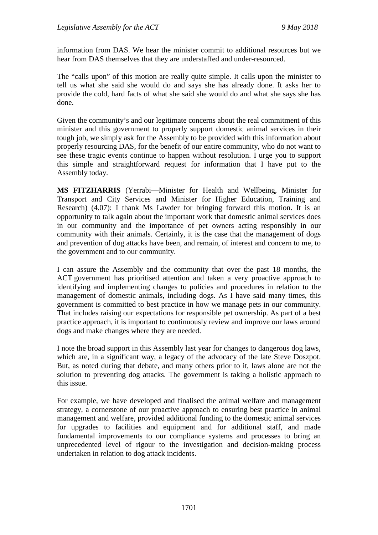information from DAS. We hear the minister commit to additional resources but we hear from DAS themselves that they are understaffed and under-resourced.

The "calls upon" of this motion are really quite simple. It calls upon the minister to tell us what she said she would do and says she has already done. It asks her to provide the cold, hard facts of what she said she would do and what she says she has done.

Given the community's and our legitimate concerns about the real commitment of this minister and this government to properly support domestic animal services in their tough job, we simply ask for the Assembly to be provided with this information about properly resourcing DAS, for the benefit of our entire community, who do not want to see these tragic events continue to happen without resolution. I urge you to support this simple and straightforward request for information that I have put to the Assembly today.

**MS FITZHARRIS** (Yerrabi—Minister for Health and Wellbeing, Minister for Transport and City Services and Minister for Higher Education, Training and Research) (4.07): I thank Ms Lawder for bringing forward this motion. It is an opportunity to talk again about the important work that domestic animal services does in our community and the importance of pet owners acting responsibly in our community with their animals. Certainly, it is the case that the management of dogs and prevention of dog attacks have been, and remain, of interest and concern to me, to the government and to our community.

I can assure the Assembly and the community that over the past 18 months, the ACT government has prioritised attention and taken a very proactive approach to identifying and implementing changes to policies and procedures in relation to the management of domestic animals, including dogs. As I have said many times, this government is committed to best practice in how we manage pets in our community. That includes raising our expectations for responsible pet ownership. As part of a best practice approach, it is important to continuously review and improve our laws around dogs and make changes where they are needed.

I note the broad support in this Assembly last year for changes to dangerous dog laws, which are, in a significant way, a legacy of the advocacy of the late Steve Doszpot. But, as noted during that debate, and many others prior to it, laws alone are not the solution to preventing dog attacks. The government is taking a holistic approach to this issue.

For example, we have developed and finalised the animal welfare and management strategy, a cornerstone of our proactive approach to ensuring best practice in animal management and welfare, provided additional funding to the domestic animal services for upgrades to facilities and equipment and for additional staff, and made fundamental improvements to our compliance systems and processes to bring an unprecedented level of rigour to the investigation and decision-making process undertaken in relation to dog attack incidents.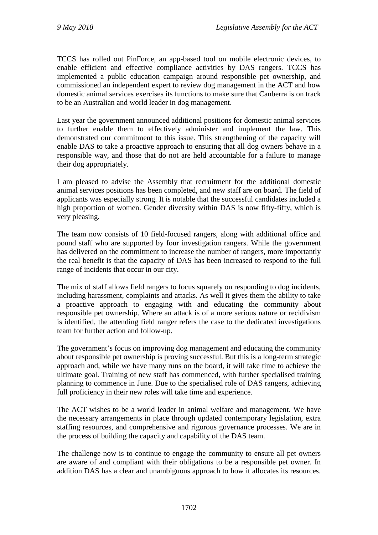TCCS has rolled out PinForce, an app-based tool on mobile electronic devices, to enable efficient and effective compliance activities by DAS rangers. TCCS has implemented a public education campaign around responsible pet ownership, and commissioned an independent expert to review dog management in the ACT and how domestic animal services exercises its functions to make sure that Canberra is on track to be an Australian and world leader in dog management.

Last year the government announced additional positions for domestic animal services to further enable them to effectively administer and implement the law. This demonstrated our commitment to this issue. This strengthening of the capacity will enable DAS to take a proactive approach to ensuring that all dog owners behave in a responsible way, and those that do not are held accountable for a failure to manage their dog appropriately.

I am pleased to advise the Assembly that recruitment for the additional domestic animal services positions has been completed, and new staff are on board. The field of applicants was especially strong. It is notable that the successful candidates included a high proportion of women. Gender diversity within DAS is now fifty-fifty, which is very pleasing.

The team now consists of 10 field-focused rangers, along with additional office and pound staff who are supported by four investigation rangers. While the government has delivered on the commitment to increase the number of rangers, more importantly the real benefit is that the capacity of DAS has been increased to respond to the full range of incidents that occur in our city.

The mix of staff allows field rangers to focus squarely on responding to dog incidents, including harassment, complaints and attacks. As well it gives them the ability to take a proactive approach to engaging with and educating the community about responsible pet ownership. Where an attack is of a more serious nature or recidivism is identified, the attending field ranger refers the case to the dedicated investigations team for further action and follow-up.

The government's focus on improving dog management and educating the community about responsible pet ownership is proving successful. But this is a long-term strategic approach and, while we have many runs on the board, it will take time to achieve the ultimate goal. Training of new staff has commenced, with further specialised training planning to commence in June. Due to the specialised role of DAS rangers, achieving full proficiency in their new roles will take time and experience.

The ACT wishes to be a world leader in animal welfare and management. We have the necessary arrangements in place through updated contemporary legislation, extra staffing resources, and comprehensive and rigorous governance processes. We are in the process of building the capacity and capability of the DAS team.

The challenge now is to continue to engage the community to ensure all pet owners are aware of and compliant with their obligations to be a responsible pet owner. In addition DAS has a clear and unambiguous approach to how it allocates its resources.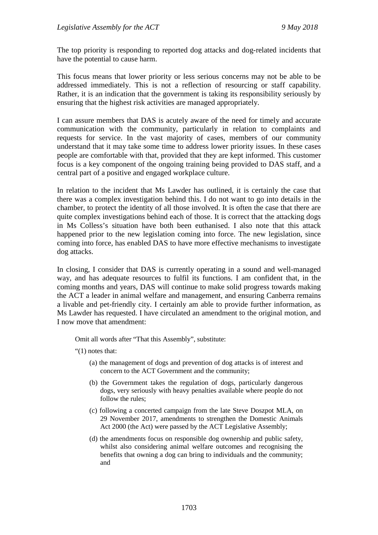The top priority is responding to reported dog attacks and dog-related incidents that have the potential to cause harm.

This focus means that lower priority or less serious concerns may not be able to be addressed immediately. This is not a reflection of resourcing or staff capability. Rather, it is an indication that the government is taking its responsibility seriously by ensuring that the highest risk activities are managed appropriately.

I can assure members that DAS is acutely aware of the need for timely and accurate communication with the community, particularly in relation to complaints and requests for service. In the vast majority of cases, members of our community understand that it may take some time to address lower priority issues. In these cases people are comfortable with that, provided that they are kept informed. This customer focus is a key component of the ongoing training being provided to DAS staff, and a central part of a positive and engaged workplace culture.

In relation to the incident that Ms Lawder has outlined, it is certainly the case that there was a complex investigation behind this. I do not want to go into details in the chamber, to protect the identity of all those involved. It is often the case that there are quite complex investigations behind each of those. It is correct that the attacking dogs in Ms Colless's situation have both been euthanised. I also note that this attack happened prior to the new legislation coming into force. The new legislation, since coming into force, has enabled DAS to have more effective mechanisms to investigate dog attacks.

In closing, I consider that DAS is currently operating in a sound and well-managed way, and has adequate resources to fulfil its functions. I am confident that, in the coming months and years, DAS will continue to make solid progress towards making the ACT a leader in animal welfare and management, and ensuring Canberra remains a livable and pet-friendly city. I certainly am able to provide further information, as Ms Lawder has requested. I have circulated an amendment to the original motion, and I now move that amendment:

Omit all words after "That this Assembly", substitute:

"(1) notes that:

- (a) the management of dogs and prevention of dog attacks is of interest and concern to the ACT Government and the community;
- (b) the Government takes the regulation of dogs, particularly dangerous dogs, very seriously with heavy penalties available where people do not follow the rules;
- (c) following a concerted campaign from the late Steve Doszpot MLA, on 29 November 2017, amendments to strengthen the Domestic Animals Act 2000 (the Act) were passed by the ACT Legislative Assembly;
- (d) the amendments focus on responsible dog ownership and public safety, whilst also considering animal welfare outcomes and recognising the benefits that owning a dog can bring to individuals and the community; and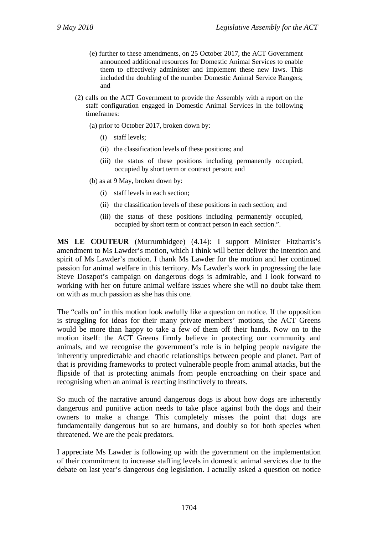- (e) further to these amendments, on 25 October 2017, the ACT Government announced additional resources for Domestic Animal Services to enable them to effectively administer and implement these new laws. This included the doubling of the number Domestic Animal Service Rangers; and
- (2) calls on the ACT Government to provide the Assembly with a report on the staff configuration engaged in Domestic Animal Services in the following timeframes:
	- (a) prior to October 2017, broken down by:
		- (i) staff levels;
		- (ii) the classification levels of these positions; and
		- (iii) the status of these positions including permanently occupied, occupied by short term or contract person; and
	- (b) as at 9 May, broken down by:
		- (i) staff levels in each section;
		- (ii) the classification levels of these positions in each section; and
		- (iii) the status of these positions including permanently occupied, occupied by short term or contract person in each section.".

**MS LE COUTEUR** (Murrumbidgee) (4.14): I support Minister Fitzharris's amendment to Ms Lawder's motion, which I think will better deliver the intention and spirit of Ms Lawder's motion. I thank Ms Lawder for the motion and her continued passion for animal welfare in this territory. Ms Lawder's work in progressing the late Steve Doszpot's campaign on dangerous dogs is admirable, and I look forward to working with her on future animal welfare issues where she will no doubt take them on with as much passion as she has this one.

The "calls on" in this motion look awfully like a question on notice. If the opposition is struggling for ideas for their many private members' motions, the ACT Greens would be more than happy to take a few of them off their hands. Now on to the motion itself: the ACT Greens firmly believe in protecting our community and animals, and we recognise the government's role is in helping people navigate the inherently unpredictable and chaotic relationships between people and planet. Part of that is providing frameworks to protect vulnerable people from animal attacks, but the flipside of that is protecting animals from people encroaching on their space and recognising when an animal is reacting instinctively to threats.

So much of the narrative around dangerous dogs is about how dogs are inherently dangerous and punitive action needs to take place against both the dogs and their owners to make a change. This completely misses the point that dogs are fundamentally dangerous but so are humans, and doubly so for both species when threatened. We are the peak predators.

I appreciate Ms Lawder is following up with the government on the implementation of their commitment to increase staffing levels in domestic animal services due to the debate on last year's dangerous dog legislation. I actually asked a question on notice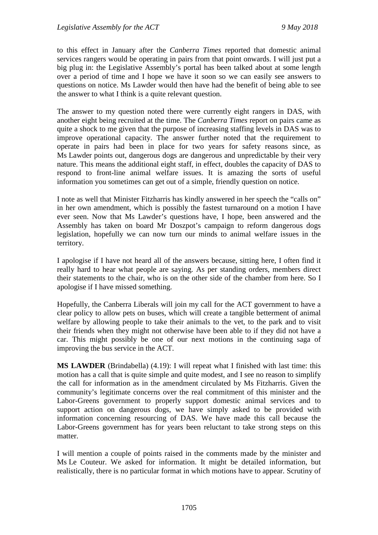to this effect in January after the *Canberra Times* reported that domestic animal services rangers would be operating in pairs from that point onwards. I will just put a big plug in: the Legislative Assembly's portal has been talked about at some length over a period of time and I hope we have it soon so we can easily see answers to questions on notice. Ms Lawder would then have had the benefit of being able to see the answer to what I think is a quite relevant question.

The answer to my question noted there were currently eight rangers in DAS, with another eight being recruited at the time. The *Canberra Times* report on pairs came as quite a shock to me given that the purpose of increasing staffing levels in DAS was to improve operational capacity. The answer further noted that the requirement to operate in pairs had been in place for two years for safety reasons since, as Ms Lawder points out, dangerous dogs are dangerous and unpredictable by their very nature. This means the additional eight staff, in effect, doubles the capacity of DAS to respond to front-line animal welfare issues. It is amazing the sorts of useful information you sometimes can get out of a simple, friendly question on notice.

I note as well that Minister Fitzharris has kindly answered in her speech the "calls on" in her own amendment, which is possibly the fastest turnaround on a motion I have ever seen. Now that Ms Lawder's questions have, I hope, been answered and the Assembly has taken on board Mr Doszpot's campaign to reform dangerous dogs legislation, hopefully we can now turn our minds to animal welfare issues in the territory.

I apologise if I have not heard all of the answers because, sitting here, I often find it really hard to hear what people are saying. As per standing orders, members direct their statements to the chair, who is on the other side of the chamber from here. So I apologise if I have missed something.

Hopefully, the Canberra Liberals will join my call for the ACT government to have a clear policy to allow pets on buses, which will create a tangible betterment of animal welfare by allowing people to take their animals to the vet, to the park and to visit their friends when they might not otherwise have been able to if they did not have a car. This might possibly be one of our next motions in the continuing saga of improving the bus service in the ACT.

**MS LAWDER** (Brindabella) (4.19): I will repeat what I finished with last time: this motion has a call that is quite simple and quite modest, and I see no reason to simplify the call for information as in the amendment circulated by Ms Fitzharris. Given the community's legitimate concerns over the real commitment of this minister and the Labor-Greens government to properly support domestic animal services and to support action on dangerous dogs, we have simply asked to be provided with information concerning resourcing of DAS. We have made this call because the Labor-Greens government has for years been reluctant to take strong steps on this matter.

I will mention a couple of points raised in the comments made by the minister and Ms Le Couteur. We asked for information. It might be detailed information, but realistically, there is no particular format in which motions have to appear. Scrutiny of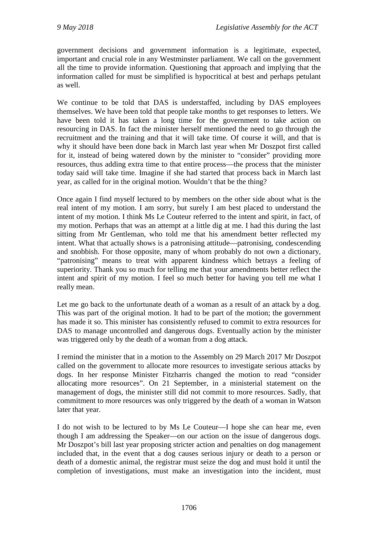government decisions and government information is a legitimate, expected, important and crucial role in any Westminster parliament. We call on the government all the time to provide information. Questioning that approach and implying that the information called for must be simplified is hypocritical at best and perhaps petulant as well.

We continue to be told that DAS is understaffed, including by DAS employees themselves. We have been told that people take months to get responses to letters. We have been told it has taken a long time for the government to take action on resourcing in DAS. In fact the minister herself mentioned the need to go through the recruitment and the training and that it will take time. Of course it will, and that is why it should have been done back in March last year when Mr Doszpot first called for it, instead of being watered down by the minister to "consider" providing more resources, thus adding extra time to that entire process—the process that the minister today said will take time. Imagine if she had started that process back in March last year, as called for in the original motion. Wouldn't that be the thing?

Once again I find myself lectured to by members on the other side about what is the real intent of my motion. I am sorry, but surely I am best placed to understand the intent of my motion. I think Ms Le Couteur referred to the intent and spirit, in fact, of my motion. Perhaps that was an attempt at a little dig at me. I had this during the last sitting from Mr Gentleman, who told me that his amendment better reflected my intent. What that actually shows is a patronising attitude—patronising, condescending and snobbish. For those opposite, many of whom probably do not own a dictionary, "patronising" means to treat with apparent kindness which betrays a feeling of superiority. Thank you so much for telling me that your amendments better reflect the intent and spirit of my motion. I feel so much better for having you tell me what I really mean.

Let me go back to the unfortunate death of a woman as a result of an attack by a dog. This was part of the original motion. It had to be part of the motion; the government has made it so. This minister has consistently refused to commit to extra resources for DAS to manage uncontrolled and dangerous dogs. Eventually action by the minister was triggered only by the death of a woman from a dog attack.

I remind the minister that in a motion to the Assembly on 29 March 2017 Mr Doszpot called on the government to allocate more resources to investigate serious attacks by dogs. In her response Minister Fitzharris changed the motion to read "consider allocating more resources". On 21 September, in a ministerial statement on the management of dogs, the minister still did not commit to more resources. Sadly, that commitment to more resources was only triggered by the death of a woman in Watson later that year.

I do not wish to be lectured to by Ms Le Couteur—I hope she can hear me, even though I am addressing the Speaker—on our action on the issue of dangerous dogs. Mr Doszpot's bill last year proposing stricter action and penalties on dog management included that, in the event that a dog causes serious injury or death to a person or death of a domestic animal, the registrar must seize the dog and must hold it until the completion of investigations, must make an investigation into the incident, must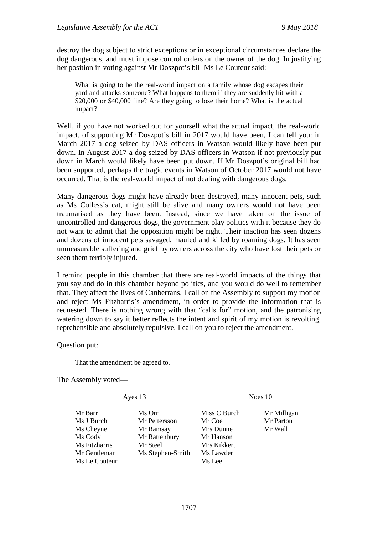destroy the dog subject to strict exceptions or in exceptional circumstances declare the dog dangerous, and must impose control orders on the owner of the dog. In justifying her position in voting against Mr Doszpot's bill Ms Le Couteur said:

What is going to be the real-world impact on a family whose dog escapes their yard and attacks someone? What happens to them if they are suddenly hit with a \$20,000 or \$40,000 fine? Are they going to lose their home? What is the actual impact?

Well, if you have not worked out for yourself what the actual impact, the real-world impact, of supporting Mr Doszpot's bill in 2017 would have been, I can tell you: in March 2017 a dog seized by DAS officers in Watson would likely have been put down. In August 2017 a dog seized by DAS officers in Watson if not previously put down in March would likely have been put down. If Mr Doszpot's original bill had been supported, perhaps the tragic events in Watson of October 2017 would not have occurred. That is the real-world impact of not dealing with dangerous dogs.

Many dangerous dogs might have already been destroyed, many innocent pets, such as Ms Colless's cat, might still be alive and many owners would not have been traumatised as they have been. Instead, since we have taken on the issue of uncontrolled and dangerous dogs, the government play politics with it because they do not want to admit that the opposition might be right. Their inaction has seen dozens and dozens of innocent pets savaged, mauled and killed by roaming dogs. It has seen unmeasurable suffering and grief by owners across the city who have lost their pets or seen them terribly injured.

I remind people in this chamber that there are real-world impacts of the things that you say and do in this chamber beyond politics, and you would do well to remember that. They affect the lives of Canberrans. I call on the Assembly to support my motion and reject Ms Fitzharris's amendment, in order to provide the information that is requested. There is nothing wrong with that "calls for" motion, and the patronising watering down to say it better reflects the intent and spirit of my motion is revolting, reprehensible and absolutely repulsive. I call on you to reject the amendment.

Question put:

That the amendment be agreed to.

The Assembly voted—

#### Ayes 13 Noes 10

Mr Barr Ms Orr Miss C Burch Mr Milligan Ms J Burch Mr Pettersson Mr Coe Mr Parton<br>
Ms Cheyne Mr Ramsay Mrs Dunne Mr Wall Mr Ramsay Mrs Dunne Ms Cody Mr Rattenbury Mr Hanson Ms Fitzharris Mr Steel Mrs Kikkert Mr Gentleman Ms Stephen-Smith Ms Lawder Ms Le Couteur Ms Lee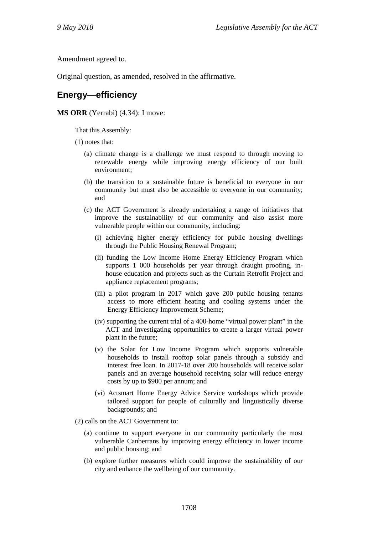Amendment agreed to.

Original question, as amended, resolved in the affirmative.

### **Energy—efficiency**

#### **MS ORR** (Yerrabi) (4.34): I move:

That this Assembly:

- (1) notes that:
	- (a) climate change is a challenge we must respond to through moving to renewable energy while improving energy efficiency of our built environment;
	- (b) the transition to a sustainable future is beneficial to everyone in our community but must also be accessible to everyone in our community; and
	- (c) the ACT Government is already undertaking a range of initiatives that improve the sustainability of our community and also assist more vulnerable people within our community, including:
		- (i) achieving higher energy efficiency for public housing dwellings through the Public Housing Renewal Program;
		- (ii) funding the Low Income Home Energy Efficiency Program which supports 1 000 households per year through draught proofing, inhouse education and projects such as the Curtain Retrofit Project and appliance replacement programs;
		- (iii) a pilot program in 2017 which gave 200 public housing tenants access to more efficient heating and cooling systems under the Energy Efficiency Improvement Scheme;
		- (iv) supporting the current trial of a 400-home "virtual power plant" in the ACT and investigating opportunities to create a larger virtual power plant in the future;
		- (v) the Solar for Low Income Program which supports vulnerable households to install rooftop solar panels through a subsidy and interest free loan. In 2017-18 over 200 households will receive solar panels and an average household receiving solar will reduce energy costs by up to \$900 per annum; and
		- (vi) Actsmart Home Energy Advice Service workshops which provide tailored support for people of culturally and linguistically diverse backgrounds; and
- (2) calls on the ACT Government to:
	- (a) continue to support everyone in our community particularly the most vulnerable Canberrans by improving energy efficiency in lower income and public housing; and
	- (b) explore further measures which could improve the sustainability of our city and enhance the wellbeing of our community.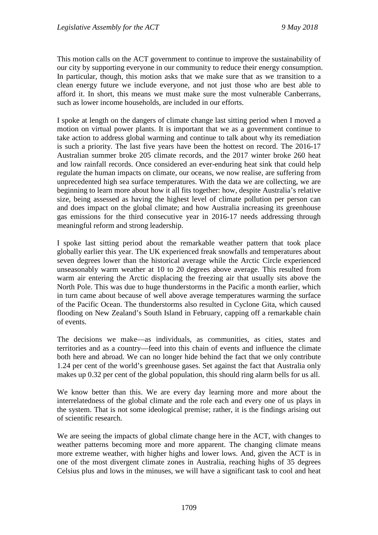This motion calls on the ACT government to continue to improve the sustainability of our city by supporting everyone in our community to reduce their energy consumption. In particular, though, this motion asks that we make sure that as we transition to a clean energy future we include everyone, and not just those who are best able to afford it. In short, this means we must make sure the most vulnerable Canberrans, such as lower income households, are included in our efforts.

I spoke at length on the dangers of climate change last sitting period when I moved a motion on virtual power plants. It is important that we as a government continue to take action to address global warming and continue to talk about why its remediation is such a priority. The last five years have been the hottest on record. The 2016-17 Australian summer broke 205 climate records, and the 2017 winter broke 260 heat and low rainfall records. Once considered an ever-enduring heat sink that could help regulate the human impacts on climate, our oceans, we now realise, are suffering from unprecedented high sea surface temperatures. With the data we are collecting, we are beginning to learn more about how it all fits together: how, despite Australia's relative size, being assessed as having the highest level of climate pollution per person can and does impact on the global climate; and how Australia increasing its greenhouse gas emissions for the third consecutive year in 2016-17 needs addressing through meaningful reform and strong leadership.

I spoke last sitting period about the remarkable weather pattern that took place globally earlier this year. The UK experienced freak snowfalls and temperatures about seven degrees lower than the historical average while the Arctic Circle experienced unseasonably warm weather at 10 to 20 degrees above average. This resulted from warm air entering the Arctic displacing the freezing air that usually sits above the North Pole. This was due to huge thunderstorms in the Pacific a month earlier, which in turn came about because of well above average temperatures warming the surface of the Pacific Ocean. The thunderstorms also resulted in Cyclone Gita, which caused flooding on New Zealand's South Island in February, capping off a remarkable chain of events.

The decisions we make—as individuals, as communities, as cities, states and territories and as a country—feed into this chain of events and influence the climate both here and abroad. We can no longer hide behind the fact that we only contribute 1.24 per cent of the world's greenhouse gases. Set against the fact that Australia only makes up 0.32 per cent of the global population, this should ring alarm bells for us all.

We know better than this. We are every day learning more and more about the interrelatedness of the global climate and the role each and every one of us plays in the system. That is not some ideological premise; rather, it is the findings arising out of scientific research.

We are seeing the impacts of global climate change here in the ACT, with changes to weather patterns becoming more and more apparent. The changing climate means more extreme weather, with higher highs and lower lows. And, given the ACT is in one of the most divergent climate zones in Australia, reaching highs of 35 degrees Celsius plus and lows in the minuses, we will have a significant task to cool and heat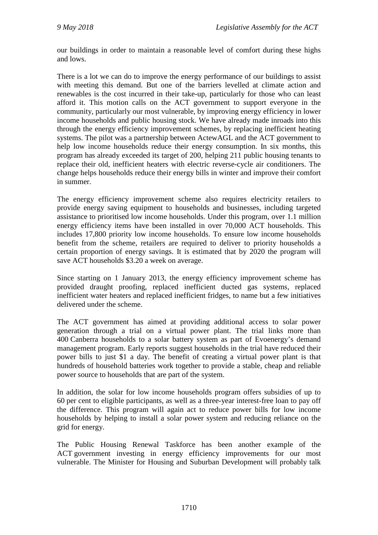our buildings in order to maintain a reasonable level of comfort during these highs and lows.

There is a lot we can do to improve the energy performance of our buildings to assist with meeting this demand. But one of the barriers levelled at climate action and renewables is the cost incurred in their take-up, particularly for those who can least afford it. This motion calls on the ACT government to support everyone in the community, particularly our most vulnerable, by improving energy efficiency in lower income households and public housing stock. We have already made inroads into this through the energy efficiency improvement schemes, by replacing inefficient heating systems. The pilot was a partnership between ActewAGL and the ACT government to help low income households reduce their energy consumption. In six months, this program has already exceeded its target of 200, helping 211 public housing tenants to replace their old, inefficient heaters with electric reverse-cycle air conditioners. The change helps households reduce their energy bills in winter and improve their comfort in summer.

The energy efficiency improvement scheme also requires electricity retailers to provide energy saving equipment to households and businesses, including targeted assistance to prioritised low income households. Under this program, over 1.1 million energy efficiency items have been installed in over 70,000 ACT households. This includes 17,800 priority low income households. To ensure low income households benefit from the scheme, retailers are required to deliver to priority households a certain proportion of energy savings. It is estimated that by 2020 the program will save ACT households \$3.20 a week on average.

Since starting on 1 January 2013, the energy efficiency improvement scheme has provided draught proofing, replaced inefficient ducted gas systems, replaced inefficient water heaters and replaced inefficient fridges, to name but a few initiatives delivered under the scheme.

The ACT government has aimed at providing additional access to solar power generation through a trial on a virtual power plant. The trial links more than 400 Canberra households to a solar battery system as part of Evoenergy's demand management program. Early reports suggest households in the trial have reduced their power bills to just \$1 a day. The benefit of creating a virtual power plant is that hundreds of household batteries work together to provide a stable, cheap and reliable power source to households that are part of the system.

In addition, the solar for low income households program offers subsidies of up to 60 per cent to eligible participants, as well as a three-year interest-free loan to pay off the difference. This program will again act to reduce power bills for low income households by helping to install a solar power system and reducing reliance on the grid for energy.

The Public Housing Renewal Taskforce has been another example of the ACT government investing in energy efficiency improvements for our most vulnerable. The Minister for Housing and Suburban Development will probably talk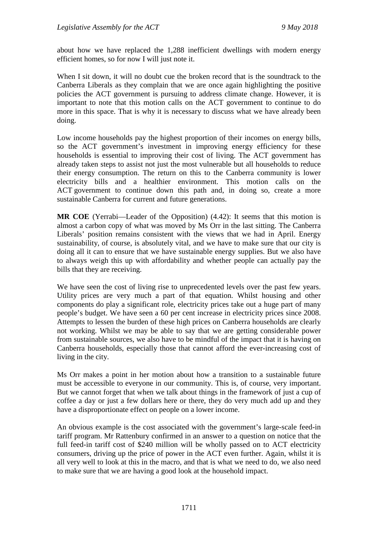about how we have replaced the 1,288 inefficient dwellings with modern energy efficient homes, so for now I will just note it.

When I sit down, it will no doubt cue the broken record that is the soundtrack to the Canberra Liberals as they complain that we are once again highlighting the positive policies the ACT government is pursuing to address climate change. However, it is important to note that this motion calls on the ACT government to continue to do more in this space. That is why it is necessary to discuss what we have already been doing.

Low income households pay the highest proportion of their incomes on energy bills, so the ACT government's investment in improving energy efficiency for these households is essential to improving their cost of living. The ACT government has already taken steps to assist not just the most vulnerable but all households to reduce their energy consumption. The return on this to the Canberra community is lower electricity bills and a healthier environment. This motion calls on the ACT government to continue down this path and, in doing so, create a more sustainable Canberra for current and future generations.

**MR COE** (Yerrabi—Leader of the Opposition) (4.42): It seems that this motion is almost a carbon copy of what was moved by Ms Orr in the last sitting. The Canberra Liberals' position remains consistent with the views that we had in April. Energy sustainability, of course, is absolutely vital, and we have to make sure that our city is doing all it can to ensure that we have sustainable energy supplies. But we also have to always weigh this up with affordability and whether people can actually pay the bills that they are receiving.

We have seen the cost of living rise to unprecedented levels over the past few years. Utility prices are very much a part of that equation. Whilst housing and other components do play a significant role, electricity prices take out a huge part of many people's budget. We have seen a 60 per cent increase in electricity prices since 2008. Attempts to lessen the burden of these high prices on Canberra households are clearly not working. Whilst we may be able to say that we are getting considerable power from sustainable sources, we also have to be mindful of the impact that it is having on Canberra households, especially those that cannot afford the ever-increasing cost of living in the city.

Ms Orr makes a point in her motion about how a transition to a sustainable future must be accessible to everyone in our community. This is, of course, very important. But we cannot forget that when we talk about things in the framework of just a cup of coffee a day or just a few dollars here or there, they do very much add up and they have a disproportionate effect on people on a lower income.

An obvious example is the cost associated with the government's large-scale feed-in tariff program. Mr Rattenbury confirmed in an answer to a question on notice that the full feed-in tariff cost of \$240 million will be wholly passed on to ACT electricity consumers, driving up the price of power in the ACT even further. Again, whilst it is all very well to look at this in the macro, and that is what we need to do, we also need to make sure that we are having a good look at the household impact.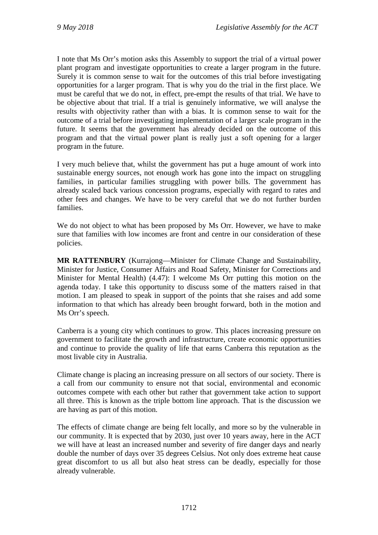I note that Ms Orr's motion asks this Assembly to support the trial of a virtual power plant program and investigate opportunities to create a larger program in the future. Surely it is common sense to wait for the outcomes of this trial before investigating opportunities for a larger program. That is why you do the trial in the first place. We must be careful that we do not, in effect, pre-empt the results of that trial. We have to be objective about that trial. If a trial is genuinely informative, we will analyse the results with objectivity rather than with a bias. It is common sense to wait for the outcome of a trial before investigating implementation of a larger scale program in the future. It seems that the government has already decided on the outcome of this program and that the virtual power plant is really just a soft opening for a larger program in the future.

I very much believe that, whilst the government has put a huge amount of work into sustainable energy sources, not enough work has gone into the impact on struggling families, in particular families struggling with power bills. The government has already scaled back various concession programs, especially with regard to rates and other fees and changes. We have to be very careful that we do not further burden families.

We do not object to what has been proposed by Ms Orr. However, we have to make sure that families with low incomes are front and centre in our consideration of these policies.

**MR RATTENBURY** (Kurrajong—Minister for Climate Change and Sustainability, Minister for Justice, Consumer Affairs and Road Safety, Minister for Corrections and Minister for Mental Health) (4.47): I welcome Ms Orr putting this motion on the agenda today. I take this opportunity to discuss some of the matters raised in that motion. I am pleased to speak in support of the points that she raises and add some information to that which has already been brought forward, both in the motion and Ms Orr's speech.

Canberra is a young city which continues to grow. This places increasing pressure on government to facilitate the growth and infrastructure, create economic opportunities and continue to provide the quality of life that earns Canberra this reputation as the most livable city in Australia.

Climate change is placing an increasing pressure on all sectors of our society. There is a call from our community to ensure not that social, environmental and economic outcomes compete with each other but rather that government take action to support all three. This is known as the triple bottom line approach. That is the discussion we are having as part of this motion.

The effects of climate change are being felt locally, and more so by the vulnerable in our community. It is expected that by 2030, just over 10 years away, here in the ACT we will have at least an increased number and severity of fire danger days and nearly double the number of days over 35 degrees Celsius. Not only does extreme heat cause great discomfort to us all but also heat stress can be deadly, especially for those already vulnerable.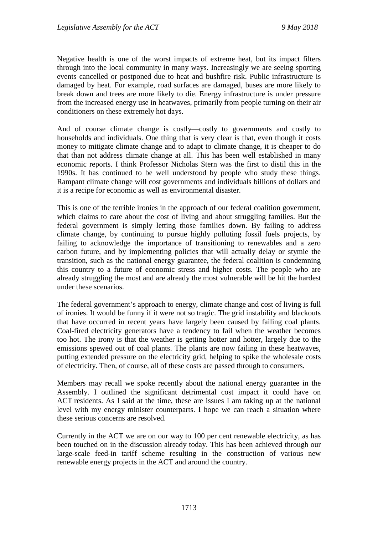Negative health is one of the worst impacts of extreme heat, but its impact filters through into the local community in many ways. Increasingly we are seeing sporting events cancelled or postponed due to heat and bushfire risk. Public infrastructure is damaged by heat. For example, road surfaces are damaged, buses are more likely to break down and trees are more likely to die. Energy infrastructure is under pressure from the increased energy use in heatwaves, primarily from people turning on their air conditioners on these extremely hot days.

And of course climate change is costly—costly to governments and costly to households and individuals. One thing that is very clear is that, even though it costs money to mitigate climate change and to adapt to climate change, it is cheaper to do that than not address climate change at all. This has been well established in many economic reports. I think Professor Nicholas Stern was the first to distil this in the 1990s. It has continued to be well understood by people who study these things. Rampant climate change will cost governments and individuals billions of dollars and it is a recipe for economic as well as environmental disaster.

This is one of the terrible ironies in the approach of our federal coalition government, which claims to care about the cost of living and about struggling families. But the federal government is simply letting those families down. By failing to address climate change, by continuing to pursue highly polluting fossil fuels projects, by failing to acknowledge the importance of transitioning to renewables and a zero carbon future, and by implementing policies that will actually delay or stymie the transition, such as the national energy guarantee, the federal coalition is condemning this country to a future of economic stress and higher costs. The people who are already struggling the most and are already the most vulnerable will be hit the hardest under these scenarios.

The federal government's approach to energy, climate change and cost of living is full of ironies. It would be funny if it were not so tragic. The grid instability and blackouts that have occurred in recent years have largely been caused by failing coal plants. Coal-fired electricity generators have a tendency to fail when the weather becomes too hot. The irony is that the weather is getting hotter and hotter, largely due to the emissions spewed out of coal plants. The plants are now failing in these heatwaves, putting extended pressure on the electricity grid, helping to spike the wholesale costs of electricity. Then, of course, all of these costs are passed through to consumers.

Members may recall we spoke recently about the national energy guarantee in the Assembly. I outlined the significant detrimental cost impact it could have on ACT residents. As I said at the time, these are issues I am taking up at the national level with my energy minister counterparts. I hope we can reach a situation where these serious concerns are resolved.

Currently in the ACT we are on our way to 100 per cent renewable electricity, as has been touched on in the discussion already today. This has been achieved through our large-scale feed-in tariff scheme resulting in the construction of various new renewable energy projects in the ACT and around the country.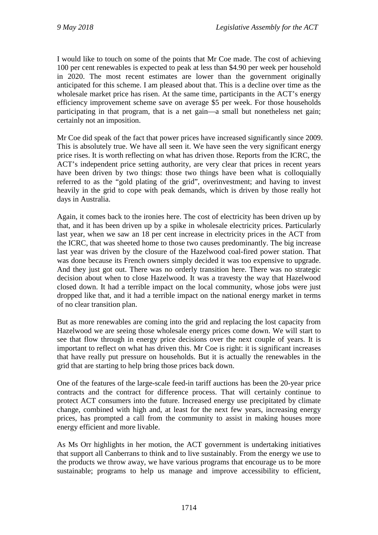I would like to touch on some of the points that Mr Coe made. The cost of achieving 100 per cent renewables is expected to peak at less than \$4.90 per week per household in 2020. The most recent estimates are lower than the government originally anticipated for this scheme. I am pleased about that. This is a decline over time as the wholesale market price has risen. At the same time, participants in the ACT's energy efficiency improvement scheme save on average \$5 per week. For those households participating in that program, that is a net gain—a small but nonetheless net gain; certainly not an imposition.

Mr Coe did speak of the fact that power prices have increased significantly since 2009. This is absolutely true. We have all seen it. We have seen the very significant energy price rises. It is worth reflecting on what has driven those. Reports from the ICRC, the ACT's independent price setting authority, are very clear that prices in recent years have been driven by two things: those two things have been what is colloquially referred to as the "gold plating of the grid", overinvestment; and having to invest heavily in the grid to cope with peak demands, which is driven by those really hot days in Australia.

Again, it comes back to the ironies here. The cost of electricity has been driven up by that, and it has been driven up by a spike in wholesale electricity prices. Particularly last year, when we saw an 18 per cent increase in electricity prices in the ACT from the ICRC, that was sheeted home to those two causes predominantly. The big increase last year was driven by the closure of the Hazelwood coal-fired power station. That was done because its French owners simply decided it was too expensive to upgrade. And they just got out. There was no orderly transition here. There was no strategic decision about when to close Hazelwood. It was a travesty the way that Hazelwood closed down. It had a terrible impact on the local community, whose jobs were just dropped like that, and it had a terrible impact on the national energy market in terms of no clear transition plan.

But as more renewables are coming into the grid and replacing the lost capacity from Hazelwood we are seeing those wholesale energy prices come down. We will start to see that flow through in energy price decisions over the next couple of years. It is important to reflect on what has driven this. Mr Coe is right: it is significant increases that have really put pressure on households. But it is actually the renewables in the grid that are starting to help bring those prices back down.

One of the features of the large-scale feed-in tariff auctions has been the 20-year price contracts and the contract for difference process. That will certainly continue to protect ACT consumers into the future. Increased energy use precipitated by climate change, combined with high and, at least for the next few years, increasing energy prices, has prompted a call from the community to assist in making houses more energy efficient and more livable.

As Ms Orr highlights in her motion, the ACT government is undertaking initiatives that support all Canberrans to think and to live sustainably. From the energy we use to the products we throw away, we have various programs that encourage us to be more sustainable; programs to help us manage and improve accessibility to efficient,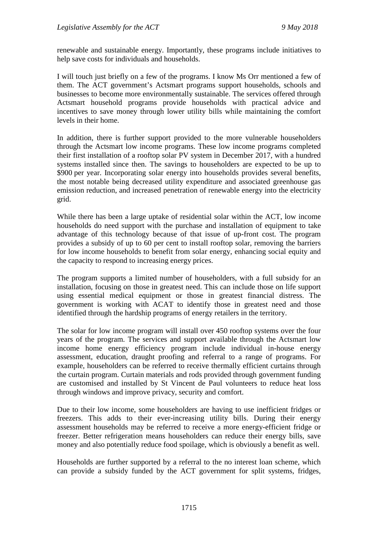renewable and sustainable energy. Importantly, these programs include initiatives to help save costs for individuals and households.

I will touch just briefly on a few of the programs. I know Ms Orr mentioned a few of them. The ACT government's Actsmart programs support households, schools and businesses to become more environmentally sustainable. The services offered through Actsmart household programs provide households with practical advice and incentives to save money through lower utility bills while maintaining the comfort levels in their home.

In addition, there is further support provided to the more vulnerable householders through the Actsmart low income programs. These low income programs completed their first installation of a rooftop solar PV system in December 2017, with a hundred systems installed since then. The savings to householders are expected to be up to \$900 per year. Incorporating solar energy into households provides several benefits, the most notable being decreased utility expenditure and associated greenhouse gas emission reduction, and increased penetration of renewable energy into the electricity grid.

While there has been a large uptake of residential solar within the ACT, low income households do need support with the purchase and installation of equipment to take advantage of this technology because of that issue of up-front cost. The program provides a subsidy of up to 60 per cent to install rooftop solar, removing the barriers for low income households to benefit from solar energy, enhancing social equity and the capacity to respond to increasing energy prices.

The program supports a limited number of householders, with a full subsidy for an installation, focusing on those in greatest need. This can include those on life support using essential medical equipment or those in greatest financial distress. The government is working with ACAT to identify those in greatest need and those identified through the hardship programs of energy retailers in the territory.

The solar for low income program will install over 450 rooftop systems over the four years of the program. The services and support available through the Actsmart low income home energy efficiency program include individual in-house energy assessment, education, draught proofing and referral to a range of programs. For example, householders can be referred to receive thermally efficient curtains through the curtain program. Curtain materials and rods provided through government funding are customised and installed by St Vincent de Paul volunteers to reduce heat loss through windows and improve privacy, security and comfort.

Due to their low income, some householders are having to use inefficient fridges or freezers. This adds to their ever-increasing utility bills. During their energy assessment households may be referred to receive a more energy-efficient fridge or freezer. Better refrigeration means householders can reduce their energy bills, save money and also potentially reduce food spoilage, which is obviously a benefit as well.

Households are further supported by a referral to the no interest loan scheme, which can provide a subsidy funded by the ACT government for split systems, fridges,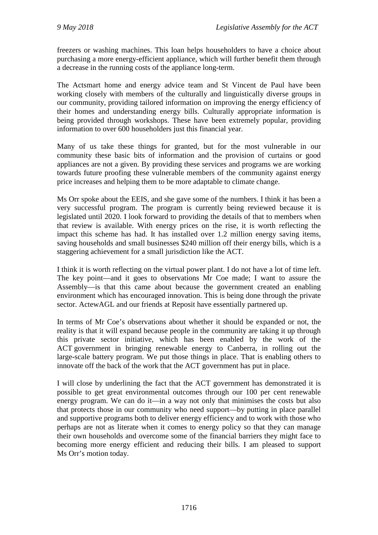freezers or washing machines. This loan helps householders to have a choice about purchasing a more energy-efficient appliance, which will further benefit them through a decrease in the running costs of the appliance long-term.

The Actsmart home and energy advice team and St Vincent de Paul have been working closely with members of the culturally and linguistically diverse groups in our community, providing tailored information on improving the energy efficiency of their homes and understanding energy bills. Culturally appropriate information is being provided through workshops. These have been extremely popular, providing information to over 600 householders just this financial year.

Many of us take these things for granted, but for the most vulnerable in our community these basic bits of information and the provision of curtains or good appliances are not a given. By providing these services and programs we are working towards future proofing these vulnerable members of the community against energy price increases and helping them to be more adaptable to climate change.

Ms Orr spoke about the EEIS, and she gave some of the numbers. I think it has been a very successful program. The program is currently being reviewed because it is legislated until 2020. I look forward to providing the details of that to members when that review is available. With energy prices on the rise, it is worth reflecting the impact this scheme has had. It has installed over 1.2 million energy saving items, saving households and small businesses \$240 million off their energy bills, which is a staggering achievement for a small jurisdiction like the ACT.

I think it is worth reflecting on the virtual power plant. I do not have a lot of time left. The key point—and it goes to observations Mr Coe made; I want to assure the Assembly—is that this came about because the government created an enabling environment which has encouraged innovation. This is being done through the private sector. ActewAGL and our friends at Reposit have essentially partnered up.

In terms of Mr Coe's observations about whether it should be expanded or not, the reality is that it will expand because people in the community are taking it up through this private sector initiative, which has been enabled by the work of the ACT government in bringing renewable energy to Canberra, in rolling out the large-scale battery program. We put those things in place. That is enabling others to innovate off the back of the work that the ACT government has put in place.

I will close by underlining the fact that the ACT government has demonstrated it is possible to get great environmental outcomes through our 100 per cent renewable energy program. We can do it—in a way not only that minimises the costs but also that protects those in our community who need support—by putting in place parallel and supportive programs both to deliver energy efficiency and to work with those who perhaps are not as literate when it comes to energy policy so that they can manage their own households and overcome some of the financial barriers they might face to becoming more energy efficient and reducing their bills. I am pleased to support Ms Orr's motion today.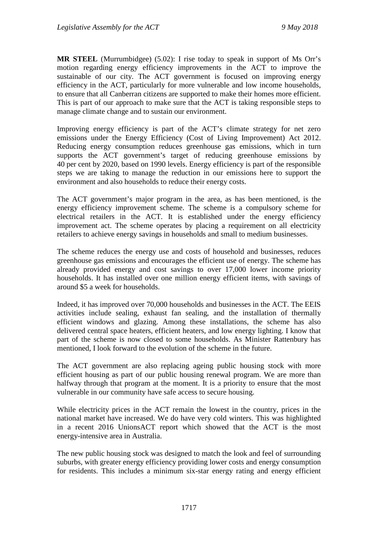**MR STEEL** (Murrumbidgee) (5.02): I rise today to speak in support of Ms Orr's motion regarding energy efficiency improvements in the ACT to improve the sustainable of our city. The ACT government is focused on improving energy efficiency in the ACT, particularly for more vulnerable and low income households, to ensure that all Canberran citizens are supported to make their homes more efficient. This is part of our approach to make sure that the ACT is taking responsible steps to manage climate change and to sustain our environment.

Improving energy efficiency is part of the ACT's climate strategy for net zero emissions under the Energy Efficiency (Cost of Living Improvement) Act 2012. Reducing energy consumption reduces greenhouse gas emissions, which in turn supports the ACT government's target of reducing greenhouse emissions by 40 per cent by 2020, based on 1990 levels. Energy efficiency is part of the responsible steps we are taking to manage the reduction in our emissions here to support the environment and also households to reduce their energy costs.

The ACT government's major program in the area, as has been mentioned, is the energy efficiency improvement scheme. The scheme is a compulsory scheme for electrical retailers in the ACT. It is established under the energy efficiency improvement act. The scheme operates by placing a requirement on all electricity retailers to achieve energy savings in households and small to medium businesses.

The scheme reduces the energy use and costs of household and businesses, reduces greenhouse gas emissions and encourages the efficient use of energy. The scheme has already provided energy and cost savings to over 17,000 lower income priority households. It has installed over one million energy efficient items, with savings of around \$5 a week for households.

Indeed, it has improved over 70,000 households and businesses in the ACT. The EEIS activities include sealing, exhaust fan sealing, and the installation of thermally efficient windows and glazing. Among these installations, the scheme has also delivered central space heaters, efficient heaters, and low energy lighting. I know that part of the scheme is now closed to some households. As Minister Rattenbury has mentioned, I look forward to the evolution of the scheme in the future.

The ACT government are also replacing ageing public housing stock with more efficient housing as part of our public housing renewal program. We are more than halfway through that program at the moment. It is a priority to ensure that the most vulnerable in our community have safe access to secure housing.

While electricity prices in the ACT remain the lowest in the country, prices in the national market have increased. We do have very cold winters. This was highlighted in a recent 2016 UnionsACT report which showed that the ACT is the most energy-intensive area in Australia.

The new public housing stock was designed to match the look and feel of surrounding suburbs, with greater energy efficiency providing lower costs and energy consumption for residents. This includes a minimum six-star energy rating and energy efficient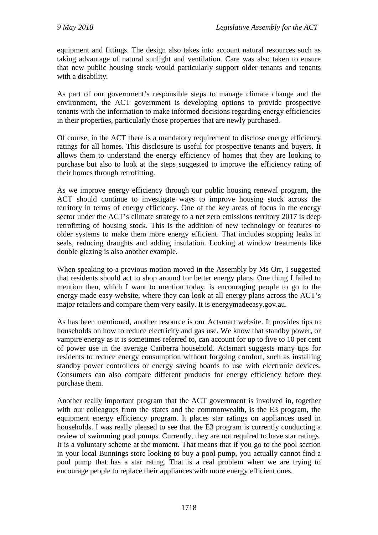equipment and fittings. The design also takes into account natural resources such as taking advantage of natural sunlight and ventilation. Care was also taken to ensure that new public housing stock would particularly support older tenants and tenants with a disability.

As part of our government's responsible steps to manage climate change and the environment, the ACT government is developing options to provide prospective tenants with the information to make informed decisions regarding energy efficiencies in their properties, particularly those properties that are newly purchased.

Of course, in the ACT there is a mandatory requirement to disclose energy efficiency ratings for all homes. This disclosure is useful for prospective tenants and buyers. It allows them to understand the energy efficiency of homes that they are looking to purchase but also to look at the steps suggested to improve the efficiency rating of their homes through retrofitting.

As we improve energy efficiency through our public housing renewal program, the ACT should continue to investigate ways to improve housing stock across the territory in terms of energy efficiency. One of the key areas of focus in the energy sector under the ACT's climate strategy to a net zero emissions territory 2017 is deep retrofitting of housing stock. This is the addition of new technology or features to older systems to make them more energy efficient. That includes stopping leaks in seals, reducing draughts and adding insulation. Looking at window treatments like double glazing is also another example.

When speaking to a previous motion moved in the Assembly by Ms Orr, I suggested that residents should act to shop around for better energy plans. One thing I failed to mention then, which I want to mention today, is encouraging people to go to the energy made easy website, where they can look at all energy plans across the ACT's major retailers and compare them very easily. It is energymadeeasy.gov.au.

As has been mentioned, another resource is our Actsmart website. It provides tips to households on how to reduce electricity and gas use. We know that standby power, or vampire energy as it is sometimes referred to, can account for up to five to 10 per cent of power use in the average Canberra household. Actsmart suggests many tips for residents to reduce energy consumption without forgoing comfort, such as installing standby power controllers or energy saving boards to use with electronic devices. Consumers can also compare different products for energy efficiency before they purchase them.

Another really important program that the ACT government is involved in, together with our colleagues from the states and the commonwealth, is the E3 program, the equipment energy efficiency program. It places star ratings on appliances used in households. I was really pleased to see that the E3 program is currently conducting a review of swimming pool pumps. Currently, they are not required to have star ratings. It is a voluntary scheme at the moment. That means that if you go to the pool section in your local Bunnings store looking to buy a pool pump, you actually cannot find a pool pump that has a star rating. That is a real problem when we are trying to encourage people to replace their appliances with more energy efficient ones.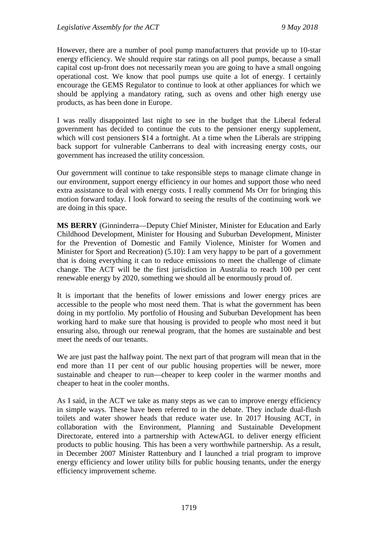However, there are a number of pool pump manufacturers that provide up to 10-star energy efficiency. We should require star ratings on all pool pumps, because a small capital cost up-front does not necessarily mean you are going to have a small ongoing operational cost. We know that pool pumps use quite a lot of energy. I certainly encourage the GEMS Regulator to continue to look at other appliances for which we should be applying a mandatory rating, such as ovens and other high energy use products, as has been done in Europe.

I was really disappointed last night to see in the budget that the Liberal federal government has decided to continue the cuts to the pensioner energy supplement, which will cost pensioners \$14 a fortnight. At a time when the Liberals are stripping back support for vulnerable Canberrans to deal with increasing energy costs, our government has increased the utility concession.

Our government will continue to take responsible steps to manage climate change in our environment, support energy efficiency in our homes and support those who need extra assistance to deal with energy costs. I really commend Ms Orr for bringing this motion forward today. I look forward to seeing the results of the continuing work we are doing in this space.

**MS BERRY** (Ginninderra—Deputy Chief Minister, Minister for Education and Early Childhood Development, Minister for Housing and Suburban Development, Minister for the Prevention of Domestic and Family Violence, Minister for Women and Minister for Sport and Recreation) (5.10): I am very happy to be part of a government that is doing everything it can to reduce emissions to meet the challenge of climate change. The ACT will be the first jurisdiction in Australia to reach 100 per cent renewable energy by 2020, something we should all be enormously proud of.

It is important that the benefits of lower emissions and lower energy prices are accessible to the people who most need them. That is what the government has been doing in my portfolio. My portfolio of Housing and Suburban Development has been working hard to make sure that housing is provided to people who most need it but ensuring also, through our renewal program, that the homes are sustainable and best meet the needs of our tenants.

We are just past the halfway point. The next part of that program will mean that in the end more than 11 per cent of our public housing properties will be newer, more sustainable and cheaper to run—cheaper to keep cooler in the warmer months and cheaper to heat in the cooler months.

As I said, in the ACT we take as many steps as we can to improve energy efficiency in simple ways. These have been referred to in the debate. They include dual-flush toilets and water shower heads that reduce water use. In 2017 Housing ACT, in collaboration with the Environment, Planning and Sustainable Development Directorate, entered into a partnership with ActewAGL to deliver energy efficient products to public housing. This has been a very worthwhile partnership. As a result, in December 2007 Minister Rattenbury and I launched a trial program to improve energy efficiency and lower utility bills for public housing tenants, under the energy efficiency improvement scheme.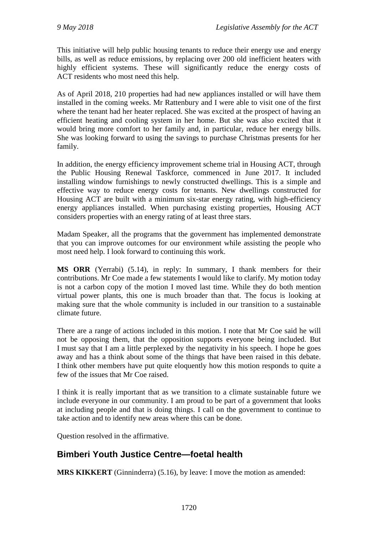This initiative will help public housing tenants to reduce their energy use and energy bills, as well as reduce emissions, by replacing over 200 old inefficient heaters with highly efficient systems. These will significantly reduce the energy costs of ACT residents who most need this help.

As of April 2018, 210 properties had had new appliances installed or will have them installed in the coming weeks. Mr Rattenbury and I were able to visit one of the first where the tenant had her heater replaced. She was excited at the prospect of having an efficient heating and cooling system in her home. But she was also excited that it would bring more comfort to her family and, in particular, reduce her energy bills. She was looking forward to using the savings to purchase Christmas presents for her family.

In addition, the energy efficiency improvement scheme trial in Housing ACT, through the Public Housing Renewal Taskforce, commenced in June 2017. It included installing window furnishings to newly constructed dwellings. This is a simple and effective way to reduce energy costs for tenants. New dwellings constructed for Housing ACT are built with a minimum six-star energy rating, with high-efficiency energy appliances installed. When purchasing existing properties, Housing ACT considers properties with an energy rating of at least three stars.

Madam Speaker, all the programs that the government has implemented demonstrate that you can improve outcomes for our environment while assisting the people who most need help. I look forward to continuing this work.

**MS ORR** (Yerrabi) (5.14), in reply: In summary, I thank members for their contributions. Mr Coe made a few statements I would like to clarify. My motion today is not a carbon copy of the motion I moved last time. While they do both mention virtual power plants, this one is much broader than that. The focus is looking at making sure that the whole community is included in our transition to a sustainable climate future.

There are a range of actions included in this motion. I note that Mr Coe said he will not be opposing them, that the opposition supports everyone being included. But I must say that I am a little perplexed by the negativity in his speech. I hope he goes away and has a think about some of the things that have been raised in this debate. I think other members have put quite eloquently how this motion responds to quite a few of the issues that Mr Coe raised.

I think it is really important that as we transition to a climate sustainable future we include everyone in our community. I am proud to be part of a government that looks at including people and that is doing things. I call on the government to continue to take action and to identify new areas where this can be done.

Question resolved in the affirmative.

# **Bimberi Youth Justice Centre—foetal health**

**MRS KIKKERT** (Ginninderra) (5.16), by leave: I move the motion as amended: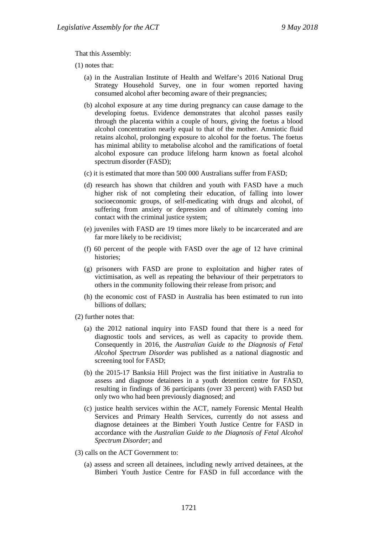That this Assembly:

(1) notes that:

- (a) in the Australian Institute of Health and Welfare's 2016 National Drug Strategy Household Survey, one in four women reported having consumed alcohol after becoming aware of their pregnancies;
- (b) alcohol exposure at any time during pregnancy can cause damage to the developing foetus. Evidence demonstrates that alcohol passes easily through the placenta within a couple of hours, giving the foetus a blood alcohol concentration nearly equal to that of the mother. Amniotic fluid retains alcohol, prolonging exposure to alcohol for the foetus. The foetus has minimal ability to metabolise alcohol and the ramifications of foetal alcohol exposure can produce lifelong harm known as foetal alcohol spectrum disorder (FASD);
- (c) it is estimated that more than 500 000 Australians suffer from FASD;
- (d) research has shown that children and youth with FASD have a much higher risk of not completing their education, of falling into lower socioeconomic groups, of self-medicating with drugs and alcohol, of suffering from anxiety or depression and of ultimately coming into contact with the criminal justice system;
- (e) juveniles with FASD are 19 times more likely to be incarcerated and are far more likely to be recidivist;
- (f) 60 percent of the people with FASD over the age of 12 have criminal histories;
- (g) prisoners with FASD are prone to exploitation and higher rates of victimisation, as well as repeating the behaviour of their perpetrators to others in the community following their release from prison; and
- (h) the economic cost of FASD in Australia has been estimated to run into billions of dollars;

(2) further notes that:

- (a) the 2012 national inquiry into FASD found that there is a need for diagnostic tools and services, as well as capacity to provide them. Consequently in 2016, the *Australian Guide to the Diagnosis of Fetal Alcohol Spectrum Disorder* was published as a national diagnostic and screening tool for FASD;
- (b) the 2015-17 Banksia Hill Project was the first initiative in Australia to assess and diagnose detainees in a youth detention centre for FASD, resulting in findings of 36 participants (over 33 percent) with FASD but only two who had been previously diagnosed; and
- (c) justice health services within the ACT, namely Forensic Mental Health Services and Primary Health Services, currently do not assess and diagnose detainees at the Bimberi Youth Justice Centre for FASD in accordance with the *Australian Guide to the Diagnosis of Fetal Alcohol Spectrum Disorder*; and
- (3) calls on the ACT Government to:
	- (a) assess and screen all detainees, including newly arrived detainees, at the Bimberi Youth Justice Centre for FASD in full accordance with the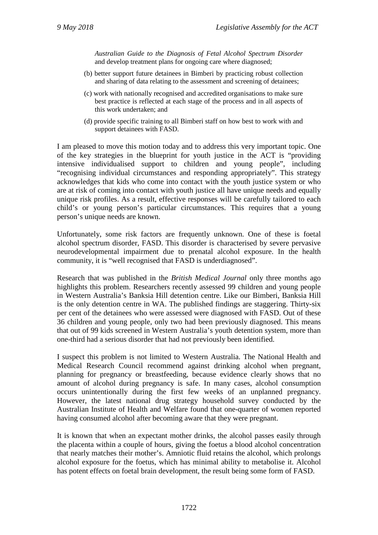*Australian Guide to the Diagnosis of Fetal Alcohol Spectrum Disorder* and develop treatment plans for ongoing care where diagnosed;

- (b) better support future detainees in Bimberi by practicing robust collection and sharing of data relating to the assessment and screening of detainees;
- (c) work with nationally recognised and accredited organisations to make sure best practice is reflected at each stage of the process and in all aspects of this work undertaken; and
- (d) provide specific training to all Bimberi staff on how best to work with and support detainees with FASD.

I am pleased to move this motion today and to address this very important topic. One of the key strategies in the blueprint for youth justice in the ACT is "providing intensive individualised support to children and young people", including "recognising individual circumstances and responding appropriately". This strategy acknowledges that kids who come into contact with the youth justice system or who are at risk of coming into contact with youth justice all have unique needs and equally unique risk profiles. As a result, effective responses will be carefully tailored to each child's or young person's particular circumstances. This requires that a young person's unique needs are known.

Unfortunately, some risk factors are frequently unknown. One of these is foetal alcohol spectrum disorder, FASD. This disorder is characterised by severe pervasive neurodevelopmental impairment due to prenatal alcohol exposure. In the health community, it is "well recognised that FASD is underdiagnosed".

Research that was published in the *British Medical Journal* only three months ago highlights this problem. Researchers recently assessed 99 children and young people in Western Australia's Banksia Hill detention centre. Like our Bimberi, Banksia Hill is the only detention centre in WA. The published findings are staggering. Thirty-six per cent of the detainees who were assessed were diagnosed with FASD. Out of these 36 children and young people, only two had been previously diagnosed. This means that out of 99 kids screened in Western Australia's youth detention system, more than one-third had a serious disorder that had not previously been identified.

I suspect this problem is not limited to Western Australia. The National Health and Medical Research Council recommend against drinking alcohol when pregnant, planning for pregnancy or breastfeeding, because evidence clearly shows that no amount of alcohol during pregnancy is safe. In many cases, alcohol consumption occurs unintentionally during the first few weeks of an unplanned pregnancy. However, the latest national drug strategy household survey conducted by the Australian Institute of Health and Welfare found that one-quarter of women reported having consumed alcohol after becoming aware that they were pregnant.

It is known that when an expectant mother drinks, the alcohol passes easily through the placenta within a couple of hours, giving the foetus a blood alcohol concentration that nearly matches their mother's. Amniotic fluid retains the alcohol, which prolongs alcohol exposure for the foetus, which has minimal ability to metabolise it. Alcohol has potent effects on foetal brain development, the result being some form of FASD.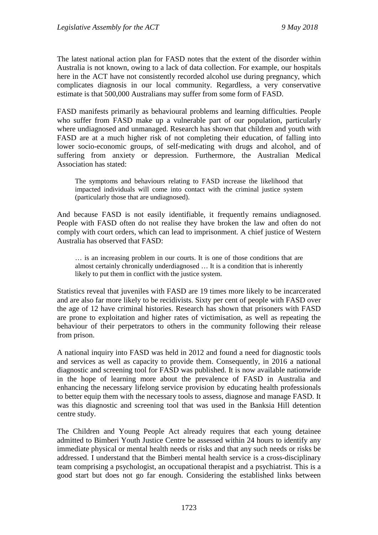The latest national action plan for FASD notes that the extent of the disorder within Australia is not known, owing to a lack of data collection. For example, our hospitals here in the ACT have not consistently recorded alcohol use during pregnancy, which complicates diagnosis in our local community. Regardless, a very conservative estimate is that 500,000 Australians may suffer from some form of FASD.

FASD manifests primarily as behavioural problems and learning difficulties. People who suffer from FASD make up a vulnerable part of our population, particularly where undiagnosed and unmanaged. Research has shown that children and youth with FASD are at a much higher risk of not completing their education, of falling into lower socio-economic groups, of self-medicating with drugs and alcohol, and of suffering from anxiety or depression. Furthermore, the Australian Medical Association has stated:

The symptoms and behaviours relating to FASD increase the likelihood that impacted individuals will come into contact with the criminal justice system (particularly those that are undiagnosed).

And because FASD is not easily identifiable, it frequently remains undiagnosed. People with FASD often do not realise they have broken the law and often do not comply with court orders, which can lead to imprisonment. A chief justice of Western Australia has observed that FASD:

… is an increasing problem in our courts. It is one of those conditions that are almost certainly chronically underdiagnosed … It is a condition that is inherently likely to put them in conflict with the justice system.

Statistics reveal that juveniles with FASD are 19 times more likely to be incarcerated and are also far more likely to be recidivists. Sixty per cent of people with FASD over the age of 12 have criminal histories. Research has shown that prisoners with FASD are prone to exploitation and higher rates of victimisation, as well as repeating the behaviour of their perpetrators to others in the community following their release from prison.

A national inquiry into FASD was held in 2012 and found a need for diagnostic tools and services as well as capacity to provide them. Consequently, in 2016 a national diagnostic and screening tool for FASD was published. It is now available nationwide in the hope of learning more about the prevalence of FASD in Australia and enhancing the necessary lifelong service provision by educating health professionals to better equip them with the necessary tools to assess, diagnose and manage FASD. It was this diagnostic and screening tool that was used in the Banksia Hill detention centre study.

The Children and Young People Act already requires that each young detainee admitted to Bimberi Youth Justice Centre be assessed within 24 hours to identify any immediate physical or mental health needs or risks and that any such needs or risks be addressed. I understand that the Bimberi mental health service is a cross-disciplinary team comprising a psychologist, an occupational therapist and a psychiatrist. This is a good start but does not go far enough. Considering the established links between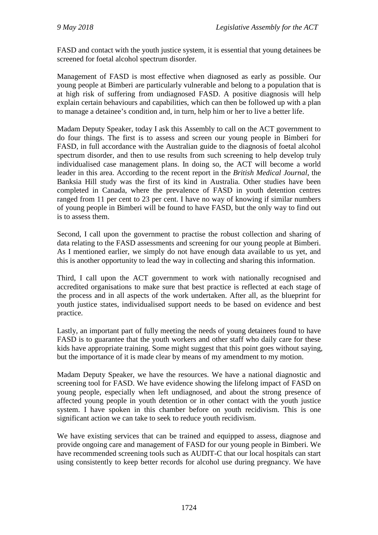FASD and contact with the youth justice system, it is essential that young detainees be screened for foetal alcohol spectrum disorder.

Management of FASD is most effective when diagnosed as early as possible. Our young people at Bimberi are particularly vulnerable and belong to a population that is at high risk of suffering from undiagnosed FASD. A positive diagnosis will help explain certain behaviours and capabilities, which can then be followed up with a plan to manage a detainee's condition and, in turn, help him or her to live a better life.

Madam Deputy Speaker, today I ask this Assembly to call on the ACT government to do four things. The first is to assess and screen our young people in Bimberi for FASD, in full accordance with the Australian guide to the diagnosis of foetal alcohol spectrum disorder, and then to use results from such screening to help develop truly individualised case management plans. In doing so, the ACT will become a world leader in this area. According to the recent report in the *British Medical Journal*, the Banksia Hill study was the first of its kind in Australia. Other studies have been completed in Canada, where the prevalence of FASD in youth detention centres ranged from 11 per cent to 23 per cent. I have no way of knowing if similar numbers of young people in Bimberi will be found to have FASD, but the only way to find out is to assess them.

Second, I call upon the government to practise the robust collection and sharing of data relating to the FASD assessments and screening for our young people at Bimberi. As I mentioned earlier, we simply do not have enough data available to us yet, and this is another opportunity to lead the way in collecting and sharing this information.

Third, I call upon the ACT government to work with nationally recognised and accredited organisations to make sure that best practice is reflected at each stage of the process and in all aspects of the work undertaken. After all, as the blueprint for youth justice states, individualised support needs to be based on evidence and best practice.

Lastly, an important part of fully meeting the needs of young detainees found to have FASD is to guarantee that the youth workers and other staff who daily care for these kids have appropriate training. Some might suggest that this point goes without saying, but the importance of it is made clear by means of my amendment to my motion.

Madam Deputy Speaker, we have the resources. We have a national diagnostic and screening tool for FASD. We have evidence showing the lifelong impact of FASD on young people, especially when left undiagnosed, and about the strong presence of affected young people in youth detention or in other contact with the youth justice system. I have spoken in this chamber before on youth recidivism. This is one significant action we can take to seek to reduce youth recidivism.

We have existing services that can be trained and equipped to assess, diagnose and provide ongoing care and management of FASD for our young people in Bimberi. We have recommended screening tools such as AUDIT-C that our local hospitals can start using consistently to keep better records for alcohol use during pregnancy. We have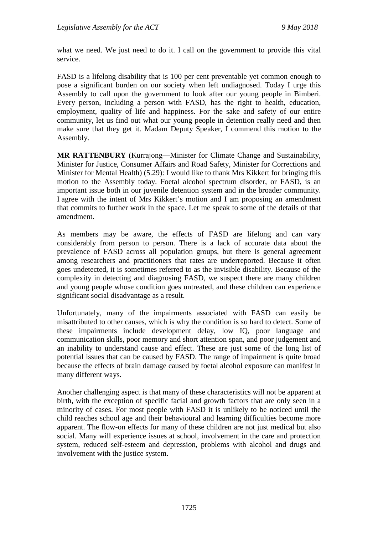what we need. We just need to do it. I call on the government to provide this vital service.

FASD is a lifelong disability that is 100 per cent preventable yet common enough to pose a significant burden on our society when left undiagnosed. Today I urge this Assembly to call upon the government to look after our young people in Bimberi. Every person, including a person with FASD, has the right to health, education, employment, quality of life and happiness. For the sake and safety of our entire community, let us find out what our young people in detention really need and then make sure that they get it. Madam Deputy Speaker, I commend this motion to the Assembly.

**MR RATTENBURY** (Kurrajong—Minister for Climate Change and Sustainability, Minister for Justice, Consumer Affairs and Road Safety, Minister for Corrections and Minister for Mental Health) (5.29): I would like to thank Mrs Kikkert for bringing this motion to the Assembly today. Foetal alcohol spectrum disorder, or FASD, is an important issue both in our juvenile detention system and in the broader community. I agree with the intent of Mrs Kikkert's motion and I am proposing an amendment that commits to further work in the space. Let me speak to some of the details of that amendment.

As members may be aware, the effects of FASD are lifelong and can vary considerably from person to person. There is a lack of accurate data about the prevalence of FASD across all population groups, but there is general agreement among researchers and practitioners that rates are underreported. Because it often goes undetected, it is sometimes referred to as the invisible disability. Because of the complexity in detecting and diagnosing FASD, we suspect there are many children and young people whose condition goes untreated, and these children can experience significant social disadvantage as a result.

Unfortunately, many of the impairments associated with FASD can easily be misattributed to other causes, which is why the condition is so hard to detect. Some of these impairments include development delay, low IQ, poor language and communication skills, poor memory and short attention span, and poor judgement and an inability to understand cause and effect. These are just some of the long list of potential issues that can be caused by FASD. The range of impairment is quite broad because the effects of brain damage caused by foetal alcohol exposure can manifest in many different ways.

Another challenging aspect is that many of these characteristics will not be apparent at birth, with the exception of specific facial and growth factors that are only seen in a minority of cases. For most people with FASD it is unlikely to be noticed until the child reaches school age and their behavioural and learning difficulties become more apparent. The flow-on effects for many of these children are not just medical but also social. Many will experience issues at school, involvement in the care and protection system, reduced self-esteem and depression, problems with alcohol and drugs and involvement with the justice system.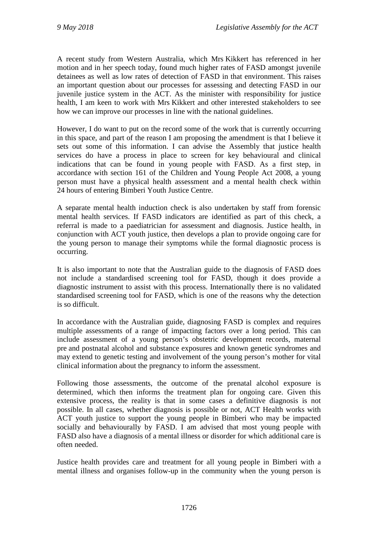A recent study from Western Australia, which Mrs Kikkert has referenced in her motion and in her speech today, found much higher rates of FASD amongst juvenile detainees as well as low rates of detection of FASD in that environment. This raises an important question about our processes for assessing and detecting FASD in our juvenile justice system in the ACT. As the minister with responsibility for justice health, I am keen to work with Mrs Kikkert and other interested stakeholders to see how we can improve our processes in line with the national guidelines.

However, I do want to put on the record some of the work that is currently occurring in this space, and part of the reason I am proposing the amendment is that I believe it sets out some of this information. I can advise the Assembly that justice health services do have a process in place to screen for key behavioural and clinical indications that can be found in young people with FASD. As a first step, in accordance with section 161 of the Children and Young People Act 2008, a young person must have a physical health assessment and a mental health check within 24 hours of entering Bimberi Youth Justice Centre.

A separate mental health induction check is also undertaken by staff from forensic mental health services. If FASD indicators are identified as part of this check, a referral is made to a paediatrician for assessment and diagnosis. Justice health, in conjunction with ACT youth justice, then develops a plan to provide ongoing care for the young person to manage their symptoms while the formal diagnostic process is occurring.

It is also important to note that the Australian guide to the diagnosis of FASD does not include a standardised screening tool for FASD, though it does provide a diagnostic instrument to assist with this process. Internationally there is no validated standardised screening tool for FASD, which is one of the reasons why the detection is so difficult.

In accordance with the Australian guide, diagnosing FASD is complex and requires multiple assessments of a range of impacting factors over a long period. This can include assessment of a young person's obstetric development records, maternal pre and postnatal alcohol and substance exposures and known genetic syndromes and may extend to genetic testing and involvement of the young person's mother for vital clinical information about the pregnancy to inform the assessment.

Following those assessments, the outcome of the prenatal alcohol exposure is determined, which then informs the treatment plan for ongoing care. Given this extensive process, the reality is that in some cases a definitive diagnosis is not possible. In all cases, whether diagnosis is possible or not, ACT Health works with ACT youth justice to support the young people in Bimberi who may be impacted socially and behaviourally by FASD. I am advised that most young people with FASD also have a diagnosis of a mental illness or disorder for which additional care is often needed.

Justice health provides care and treatment for all young people in Bimberi with a mental illness and organises follow-up in the community when the young person is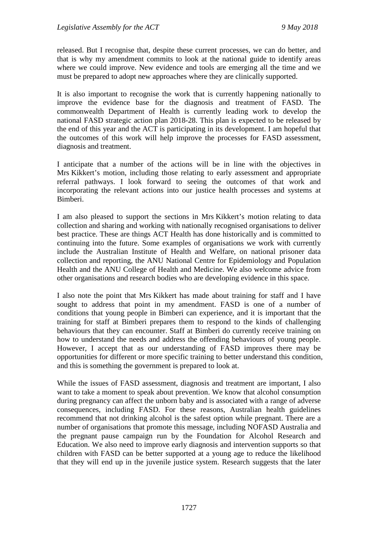released. But I recognise that, despite these current processes, we can do better, and that is why my amendment commits to look at the national guide to identify areas where we could improve. New evidence and tools are emerging all the time and we must be prepared to adopt new approaches where they are clinically supported.

It is also important to recognise the work that is currently happening nationally to improve the evidence base for the diagnosis and treatment of FASD. The commonwealth Department of Health is currently leading work to develop the national FASD strategic action plan 2018-28. This plan is expected to be released by the end of this year and the ACT is participating in its development. I am hopeful that the outcomes of this work will help improve the processes for FASD assessment, diagnosis and treatment.

I anticipate that a number of the actions will be in line with the objectives in Mrs Kikkert's motion, including those relating to early assessment and appropriate referral pathways. I look forward to seeing the outcomes of that work and incorporating the relevant actions into our justice health processes and systems at Bimberi.

I am also pleased to support the sections in Mrs Kikkert's motion relating to data collection and sharing and working with nationally recognised organisations to deliver best practice. These are things ACT Health has done historically and is committed to continuing into the future. Some examples of organisations we work with currently include the Australian Institute of Health and Welfare, on national prisoner data collection and reporting, the ANU National Centre for Epidemiology and Population Health and the ANU College of Health and Medicine. We also welcome advice from other organisations and research bodies who are developing evidence in this space.

I also note the point that Mrs Kikkert has made about training for staff and I have sought to address that point in my amendment. FASD is one of a number of conditions that young people in Bimberi can experience, and it is important that the training for staff at Bimberi prepares them to respond to the kinds of challenging behaviours that they can encounter. Staff at Bimberi do currently receive training on how to understand the needs and address the offending behaviours of young people. However, I accept that as our understanding of FASD improves there may be opportunities for different or more specific training to better understand this condition, and this is something the government is prepared to look at.

While the issues of FASD assessment, diagnosis and treatment are important, I also want to take a moment to speak about prevention. We know that alcohol consumption during pregnancy can affect the unborn baby and is associated with a range of adverse consequences, including FASD. For these reasons, Australian health guidelines recommend that not drinking alcohol is the safest option while pregnant. There are a number of organisations that promote this message, including NOFASD Australia and the pregnant pause campaign run by the Foundation for Alcohol Research and Education. We also need to improve early diagnosis and intervention supports so that children with FASD can be better supported at a young age to reduce the likelihood that they will end up in the juvenile justice system. Research suggests that the later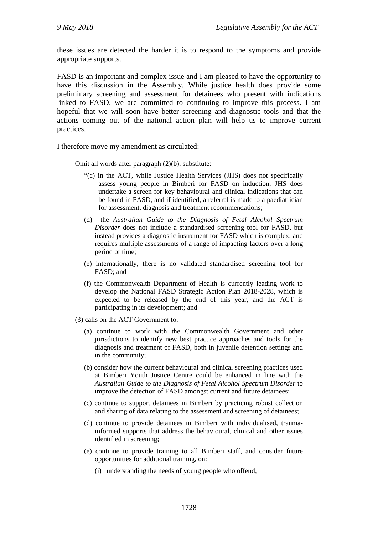these issues are detected the harder it is to respond to the symptoms and provide appropriate supports.

FASD is an important and complex issue and I am pleased to have the opportunity to have this discussion in the Assembly. While justice health does provide some preliminary screening and assessment for detainees who present with indications linked to FASD, we are committed to continuing to improve this process. I am hopeful that we will soon have better screening and diagnostic tools and that the actions coming out of the national action plan will help us to improve current practices.

I therefore move my amendment as circulated:

Omit all words after paragraph (2)(b), substitute:

- "(c) in the ACT, while Justice Health Services (JHS) does not specifically assess young people in Bimberi for FASD on induction, JHS does undertake a screen for key behavioural and clinical indications that can be found in FASD, and if identified, a referral is made to a paediatrician for assessment, diagnosis and treatment recommendations;
- (d) the *Australian Guide to the Diagnosis of Fetal Alcohol Spectrum Disorder* does not include a standardised screening tool for FASD, but instead provides a diagnostic instrument for FASD which is complex, and requires multiple assessments of a range of impacting factors over a long period of time;
- (e) internationally, there is no validated standardised screening tool for FASD; and
- (f) the Commonwealth Department of Health is currently leading work to develop the National FASD Strategic Action Plan 2018-2028, which is expected to be released by the end of this year, and the ACT is participating in its development; and
- (3) calls on the ACT Government to:
	- (a) continue to work with the Commonwealth Government and other jurisdictions to identify new best practice approaches and tools for the diagnosis and treatment of FASD, both in juvenile detention settings and in the community;
	- (b) consider how the current behavioural and clinical screening practices used at Bimberi Youth Justice Centre could be enhanced in line with the *Australian Guide to the Diagnosis of Fetal Alcohol Spectrum Disorder* to improve the detection of FASD amongst current and future detainees;
	- (c) continue to support detainees in Bimberi by practicing robust collection and sharing of data relating to the assessment and screening of detainees;
	- (d) continue to provide detainees in Bimberi with individualised, traumainformed supports that address the behavioural, clinical and other issues identified in screening;
	- (e) continue to provide training to all Bimberi staff, and consider future opportunities for additional training, on:
		- (i) understanding the needs of young people who offend;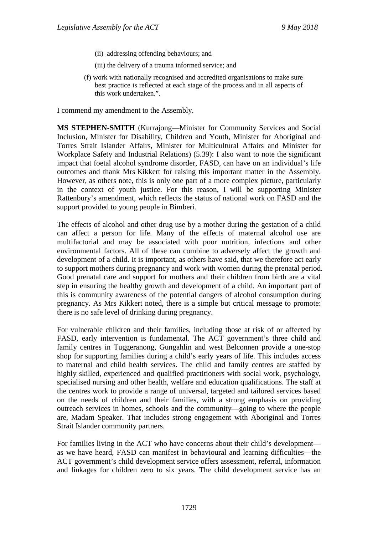- (ii) addressing offending behaviours; and
- (iii) the delivery of a trauma informed service; and
- (f) work with nationally recognised and accredited organisations to make sure best practice is reflected at each stage of the process and in all aspects of this work undertaken.".

I commend my amendment to the Assembly.

**MS STEPHEN-SMITH** (Kurrajong—Minister for Community Services and Social Inclusion, Minister for Disability, Children and Youth, Minister for Aboriginal and Torres Strait Islander Affairs, Minister for Multicultural Affairs and Minister for Workplace Safety and Industrial Relations) (5.39): I also want to note the significant impact that foetal alcohol syndrome disorder, FASD, can have on an individual's life outcomes and thank Mrs Kikkert for raising this important matter in the Assembly. However, as others note, this is only one part of a more complex picture, particularly in the context of youth justice. For this reason, I will be supporting Minister Rattenbury's amendment, which reflects the status of national work on FASD and the support provided to young people in Bimberi.

The effects of alcohol and other drug use by a mother during the gestation of a child can affect a person for life. Many of the effects of maternal alcohol use are multifactorial and may be associated with poor nutrition, infections and other environmental factors. All of these can combine to adversely affect the growth and development of a child. It is important, as others have said, that we therefore act early to support mothers during pregnancy and work with women during the prenatal period. Good prenatal care and support for mothers and their children from birth are a vital step in ensuring the healthy growth and development of a child. An important part of this is community awareness of the potential dangers of alcohol consumption during pregnancy. As Mrs Kikkert noted, there is a simple but critical message to promote: there is no safe level of drinking during pregnancy.

For vulnerable children and their families, including those at risk of or affected by FASD, early intervention is fundamental. The ACT government's three child and family centres in Tuggeranong, Gungahlin and west Belconnen provide a one-stop shop for supporting families during a child's early years of life. This includes access to maternal and child health services. The child and family centres are staffed by highly skilled, experienced and qualified practitioners with social work, psychology, specialised nursing and other health, welfare and education qualifications. The staff at the centres work to provide a range of universal, targeted and tailored services based on the needs of children and their families, with a strong emphasis on providing outreach services in homes, schools and the community—going to where the people are, Madam Speaker. That includes strong engagement with Aboriginal and Torres Strait Islander community partners.

For families living in the ACT who have concerns about their child's development as we have heard, FASD can manifest in behavioural and learning difficulties—the ACT government's child development service offers assessment, referral, information and linkages for children zero to six years. The child development service has an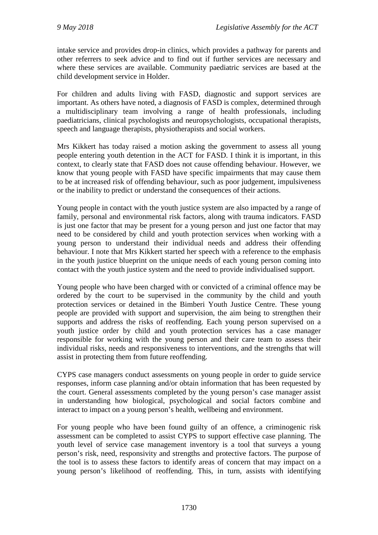intake service and provides drop-in clinics, which provides a pathway for parents and other referrers to seek advice and to find out if further services are necessary and where these services are available. Community paediatric services are based at the child development service in Holder.

For children and adults living with FASD, diagnostic and support services are important. As others have noted, a diagnosis of FASD is complex, determined through a multidisciplinary team involving a range of health professionals, including paediatricians, clinical psychologists and neuropsychologists, occupational therapists, speech and language therapists, physiotherapists and social workers.

Mrs Kikkert has today raised a motion asking the government to assess all young people entering youth detention in the ACT for FASD. I think it is important, in this context, to clearly state that FASD does not cause offending behaviour. However, we know that young people with FASD have specific impairments that may cause them to be at increased risk of offending behaviour, such as poor judgement, impulsiveness or the inability to predict or understand the consequences of their actions.

Young people in contact with the youth justice system are also impacted by a range of family, personal and environmental risk factors, along with trauma indicators. FASD is just one factor that may be present for a young person and just one factor that may need to be considered by child and youth protection services when working with a young person to understand their individual needs and address their offending behaviour. I note that Mrs Kikkert started her speech with a reference to the emphasis in the youth justice blueprint on the unique needs of each young person coming into contact with the youth justice system and the need to provide individualised support.

Young people who have been charged with or convicted of a criminal offence may be ordered by the court to be supervised in the community by the child and youth protection services or detained in the Bimberi Youth Justice Centre. These young people are provided with support and supervision, the aim being to strengthen their supports and address the risks of reoffending. Each young person supervised on a youth justice order by child and youth protection services has a case manager responsible for working with the young person and their care team to assess their individual risks, needs and responsiveness to interventions, and the strengths that will assist in protecting them from future reoffending.

CYPS case managers conduct assessments on young people in order to guide service responses, inform case planning and/or obtain information that has been requested by the court. General assessments completed by the young person's case manager assist in understanding how biological, psychological and social factors combine and interact to impact on a young person's health, wellbeing and environment.

For young people who have been found guilty of an offence, a criminogenic risk assessment can be completed to assist CYPS to support effective case planning. The youth level of service case management inventory is a tool that surveys a young person's risk, need, responsivity and strengths and protective factors. The purpose of the tool is to assess these factors to identify areas of concern that may impact on a young person's likelihood of reoffending. This, in turn, assists with identifying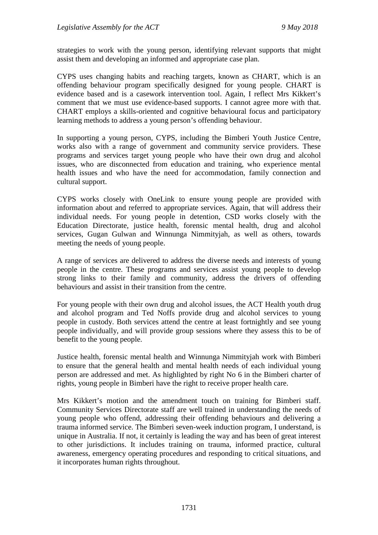strategies to work with the young person, identifying relevant supports that might assist them and developing an informed and appropriate case plan.

CYPS uses changing habits and reaching targets, known as CHART, which is an offending behaviour program specifically designed for young people. CHART is evidence based and is a casework intervention tool. Again, I reflect Mrs Kikkert's comment that we must use evidence-based supports. I cannot agree more with that. CHART employs a skills-oriented and cognitive behavioural focus and participatory learning methods to address a young person's offending behaviour.

In supporting a young person, CYPS, including the Bimberi Youth Justice Centre, works also with a range of government and community service providers. These programs and services target young people who have their own drug and alcohol issues, who are disconnected from education and training, who experience mental health issues and who have the need for accommodation, family connection and cultural support.

CYPS works closely with OneLink to ensure young people are provided with information about and referred to appropriate services. Again, that will address their individual needs. For young people in detention, CSD works closely with the Education Directorate, justice health, forensic mental health, drug and alcohol services, Gugan Gulwan and Winnunga Nimmityjah, as well as others, towards meeting the needs of young people.

A range of services are delivered to address the diverse needs and interests of young people in the centre. These programs and services assist young people to develop strong links to their family and community, address the drivers of offending behaviours and assist in their transition from the centre.

For young people with their own drug and alcohol issues, the ACT Health youth drug and alcohol program and Ted Noffs provide drug and alcohol services to young people in custody. Both services attend the centre at least fortnightly and see young people individually, and will provide group sessions where they assess this to be of benefit to the young people.

Justice health, forensic mental health and Winnunga Nimmityjah work with Bimberi to ensure that the general health and mental health needs of each individual young person are addressed and met. As highlighted by right No 6 in the Bimberi charter of rights, young people in Bimberi have the right to receive proper health care.

Mrs Kikkert's motion and the amendment touch on training for Bimberi staff. Community Services Directorate staff are well trained in understanding the needs of young people who offend, addressing their offending behaviours and delivering a trauma informed service. The Bimberi seven-week induction program, I understand, is unique in Australia. If not, it certainly is leading the way and has been of great interest to other jurisdictions. It includes training on trauma, informed practice, cultural awareness, emergency operating procedures and responding to critical situations, and it incorporates human rights throughout.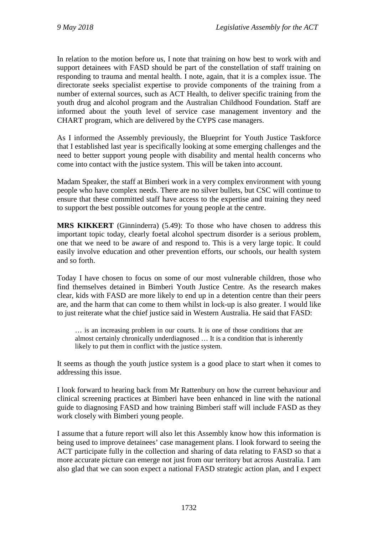In relation to the motion before us, I note that training on how best to work with and support detainees with FASD should be part of the constellation of staff training on responding to trauma and mental health. I note, again, that it is a complex issue. The directorate seeks specialist expertise to provide components of the training from a number of external sources, such as ACT Health, to deliver specific training from the youth drug and alcohol program and the Australian Childhood Foundation. Staff are informed about the youth level of service case management inventory and the CHART program, which are delivered by the CYPS case managers.

As I informed the Assembly previously, the Blueprint for Youth Justice Taskforce that I established last year is specifically looking at some emerging challenges and the need to better support young people with disability and mental health concerns who come into contact with the justice system. This will be taken into account.

Madam Speaker, the staff at Bimberi work in a very complex environment with young people who have complex needs. There are no silver bullets, but CSC will continue to ensure that these committed staff have access to the expertise and training they need to support the best possible outcomes for young people at the centre.

**MRS KIKKERT** (Ginninderra) (5.49): To those who have chosen to address this important topic today, clearly foetal alcohol spectrum disorder is a serious problem, one that we need to be aware of and respond to. This is a very large topic. It could easily involve education and other prevention efforts, our schools, our health system and so forth.

Today I have chosen to focus on some of our most vulnerable children, those who find themselves detained in Bimberi Youth Justice Centre. As the research makes clear, kids with FASD are more likely to end up in a detention centre than their peers are, and the harm that can come to them whilst in lock-up is also greater. I would like to just reiterate what the chief justice said in Western Australia. He said that FASD:

… is an increasing problem in our courts. It is one of those conditions that are almost certainly chronically underdiagnosed … It is a condition that is inherently likely to put them in conflict with the justice system.

It seems as though the youth justice system is a good place to start when it comes to addressing this issue.

I look forward to hearing back from Mr Rattenbury on how the current behaviour and clinical screening practices at Bimberi have been enhanced in line with the national guide to diagnosing FASD and how training Bimberi staff will include FASD as they work closely with Bimberi young people.

I assume that a future report will also let this Assembly know how this information is being used to improve detainees' case management plans. I look forward to seeing the ACT participate fully in the collection and sharing of data relating to FASD so that a more accurate picture can emerge not just from our territory but across Australia. I am also glad that we can soon expect a national FASD strategic action plan, and I expect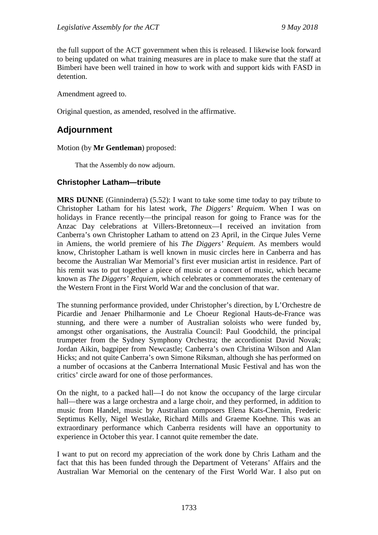the full support of the ACT government when this is released. I likewise look forward to being updated on what training measures are in place to make sure that the staff at Bimberi have been well trained in how to work with and support kids with FASD in detention.

Amendment agreed to.

Original question, as amended, resolved in the affirmative.

# **Adjournment**

Motion (by **Mr Gentleman**) proposed:

That the Assembly do now adjourn.

#### **Christopher Latham—tribute**

**MRS DUNNE** (Ginninderra) (5.52): I want to take some time today to pay tribute to Christopher Latham for his latest work, *The Diggers' Requiem*. When I was on holidays in France recently—the principal reason for going to France was for the Anzac Day celebrations at Villers-Bretonneux—I received an invitation from Canberra's own Christopher Latham to attend on 23 April, in the Cirque Jules Verne in Amiens, the world premiere of his *The Diggers' Requiem*. As members would know, Christopher Latham is well known in music circles here in Canberra and has become the Australian War Memorial's first ever musician artist in residence. Part of his remit was to put together a piece of music or a concert of music, which became known as *The Diggers' Requiem,* which celebrates or commemorates the centenary of the Western Front in the First World War and the conclusion of that war.

The stunning performance provided, under Christopher's direction, by L'Orchestre de Picardie and Jenaer Philharmonie and Le Choeur Regional Hauts-de-France was stunning, and there were a number of Australian soloists who were funded by, amongst other organisations, the Australia Council: Paul Goodchild, the principal trumpeter from the Sydney Symphony Orchestra; the accordionist David Novak; Jordan Aikin, bagpiper from Newcastle; Canberra's own Christina Wilson and Alan Hicks; and not quite Canberra's own Simone Riksman, although she has performed on a number of occasions at the Canberra International Music Festival and has won the critics' circle award for one of those performances.

On the night, to a packed hall—I do not know the occupancy of the large circular hall—there was a large orchestra and a large choir, and they performed, in addition to music from Handel, music by Australian composers Elena Kats-Chernin, Frederic Septimus Kelly, Nigel Westlake, Richard Mills and Graeme Koehne. This was an extraordinary performance which Canberra residents will have an opportunity to experience in October this year. I cannot quite remember the date.

I want to put on record my appreciation of the work done by Chris Latham and the fact that this has been funded through the Department of Veterans' Affairs and the Australian War Memorial on the centenary of the First World War. I also put on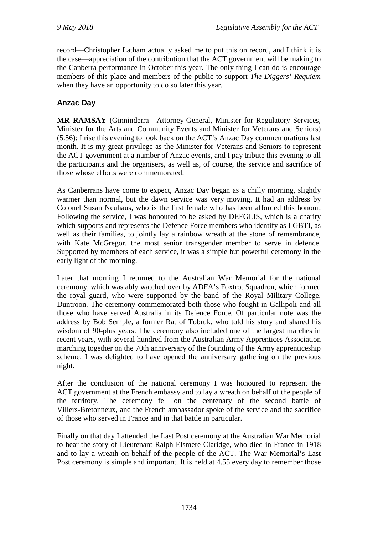record—Christopher Latham actually asked me to put this on record, and I think it is the case—appreciation of the contribution that the ACT government will be making to the Canberra performance in October this year. The only thing I can do is encourage members of this place and members of the public to support *The Diggers' Requiem* when they have an opportunity to do so later this year.

## **Anzac Day**

**MR RAMSAY** (Ginninderra—Attorney-General, Minister for Regulatory Services, Minister for the Arts and Community Events and Minister for Veterans and Seniors) (5.56): I rise this evening to look back on the ACT's Anzac Day commemorations last month. It is my great privilege as the Minister for Veterans and Seniors to represent the ACT government at a number of Anzac events, and I pay tribute this evening to all the participants and the organisers, as well as, of course, the service and sacrifice of those whose efforts were commemorated.

As Canberrans have come to expect, Anzac Day began as a chilly morning, slightly warmer than normal, but the dawn service was very moving. It had an address by Colonel Susan Neuhaus, who is the first female who has been afforded this honour. Following the service, I was honoured to be asked by DEFGLIS, which is a charity which supports and represents the Defence Force members who identify as LGBTI, as well as their families, to jointly lay a rainbow wreath at the stone of remembrance, with Kate McGregor, the most senior transgender member to serve in defence. Supported by members of each service, it was a simple but powerful ceremony in the early light of the morning.

Later that morning I returned to the Australian War Memorial for the national ceremony, which was ably watched over by ADFA's Foxtrot Squadron, which formed the royal guard, who were supported by the band of the Royal Military College, Duntroon. The ceremony commemorated both those who fought in Gallipoli and all those who have served Australia in its Defence Force. Of particular note was the address by Bob Semple, a former Rat of Tobruk, who told his story and shared his wisdom of 90-plus years. The ceremony also included one of the largest marches in recent years, with several hundred from the Australian Army Apprentices Association marching together on the 70th anniversary of the founding of the Army apprenticeship scheme. I was delighted to have opened the anniversary gathering on the previous night.

After the conclusion of the national ceremony I was honoured to represent the ACT government at the French embassy and to lay a wreath on behalf of the people of the territory. The ceremony fell on the centenary of the second battle of Villers-Bretonneux, and the French ambassador spoke of the service and the sacrifice of those who served in France and in that battle in particular.

Finally on that day I attended the Last Post ceremony at the Australian War Memorial to hear the story of Lieutenant Ralph Elsmere Claridge, who died in France in 1918 and to lay a wreath on behalf of the people of the ACT. The War Memorial's Last Post ceremony is simple and important. It is held at 4.55 every day to remember those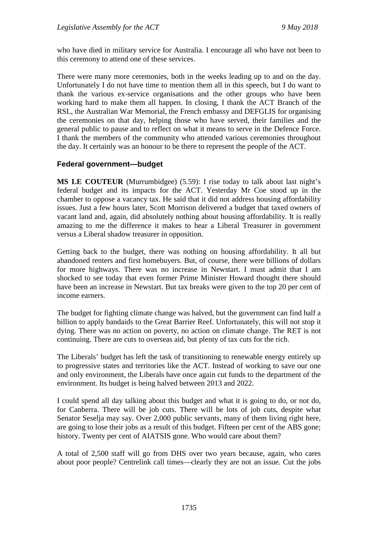who have died in military service for Australia. I encourage all who have not been to this ceremony to attend one of these services.

There were many more ceremonies, both in the weeks leading up to and on the day. Unfortunately I do not have time to mention them all in this speech, but I do want to thank the various ex-service organisations and the other groups who have been working hard to make them all happen. In closing, I thank the ACT Branch of the RSL, the Australian War Memorial, the French embassy and DEFGLIS for organising the ceremonies on that day, helping those who have served, their families and the general public to pause and to reflect on what it means to serve in the Defence Force. I thank the members of the community who attended various ceremonies throughout the day. It certainly was an honour to be there to represent the people of the ACT.

#### **Federal government—budget**

**MS LE COUTEUR** (Murrumbidgee) (5.59): I rise today to talk about last night's federal budget and its impacts for the ACT. Yesterday Mr Coe stood up in the chamber to oppose a vacancy tax. He said that it did not address housing affordability issues. Just a few hours later, Scott Morrison delivered a budget that taxed owners of vacant land and, again, did absolutely nothing about housing affordability. It is really amazing to me the difference it makes to hear a Liberal Treasurer in government versus a Liberal shadow treasurer in opposition.

Getting back to the budget, there was nothing on housing affordability. It all but abandoned renters and first homebuyers. But, of course, there were billions of dollars for more highways. There was no increase in Newstart. I must admit that I am shocked to see today that even former Prime Minister Howard thought there should have been an increase in Newstart. But tax breaks were given to the top 20 per cent of income earners.

The budget for fighting climate change was halved, but the government can find half a billion to apply bandaids to the Great Barrier Reef. Unfortunately, this will not stop it dying. There was no action on poverty, no action on climate change. The RET is not continuing. There are cuts to overseas aid, but plenty of tax cuts for the rich.

The Liberals' budget has left the task of transitioning to renewable energy entirely up to progressive states and territories like the ACT. Instead of working to save our one and only environment, the Liberals have once again cut funds to the department of the environment. Its budget is being halved between 2013 and 2022.

I could spend all day talking about this budget and what it is going to do, or not do, for Canberra. There will be job cuts. There will be lots of job cuts, despite what Senator Seselja may say. Over 2,000 public servants, many of them living right here, are going to lose their jobs as a result of this budget. Fifteen per cent of the ABS gone; history. Twenty per cent of AIATSIS gone. Who would care about them?

A total of 2,500 staff will go from DHS over two years because, again, who cares about poor people? Centrelink call times—clearly they are not an issue. Cut the jobs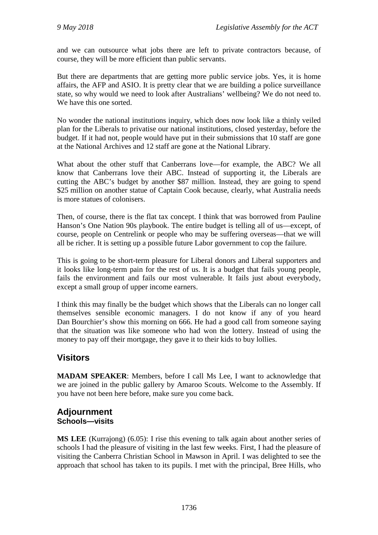and we can outsource what jobs there are left to private contractors because, of course, they will be more efficient than public servants.

But there are departments that are getting more public service jobs. Yes, it is home affairs, the AFP and ASIO. It is pretty clear that we are building a police surveillance state, so why would we need to look after Australians' wellbeing? We do not need to. We have this one sorted.

No wonder the national institutions inquiry, which does now look like a thinly veiled plan for the Liberals to privatise our national institutions, closed yesterday, before the budget. If it had not, people would have put in their submissions that 10 staff are gone at the National Archives and 12 staff are gone at the National Library.

What about the other stuff that Canberrans love—for example, the ABC? We all know that Canberrans love their ABC. Instead of supporting it, the Liberals are cutting the ABC's budget by another \$87 million. Instead, they are going to spend \$25 million on another statue of Captain Cook because, clearly, what Australia needs is more statues of colonisers.

Then, of course, there is the flat tax concept. I think that was borrowed from Pauline Hanson's One Nation 90s playbook. The entire budget is telling all of us—except, of course, people on Centrelink or people who may be suffering overseas—that we will all be richer. It is setting up a possible future Labor government to cop the failure.

This is going to be short-term pleasure for Liberal donors and Liberal supporters and it looks like long-term pain for the rest of us. It is a budget that fails young people, fails the environment and fails our most vulnerable. It fails just about everybody, except a small group of upper income earners.

I think this may finally be the budget which shows that the Liberals can no longer call themselves sensible economic managers. I do not know if any of you heard Dan Bourchier's show this morning on 666. He had a good call from someone saying that the situation was like someone who had won the lottery. Instead of using the money to pay off their mortgage, they gave it to their kids to buy lollies.

# **Visitors**

**MADAM SPEAKER**: Members, before I call Ms Lee, I want to acknowledge that we are joined in the public gallery by Amaroo Scouts. Welcome to the Assembly. If you have not been here before, make sure you come back.

# **Adjournment Schools—visits**

**MS LEE** (Kurrajong) (6.05): I rise this evening to talk again about another series of schools I had the pleasure of visiting in the last few weeks. First, I had the pleasure of visiting the Canberra Christian School in Mawson in April. I was delighted to see the approach that school has taken to its pupils. I met with the principal, Bree Hills, who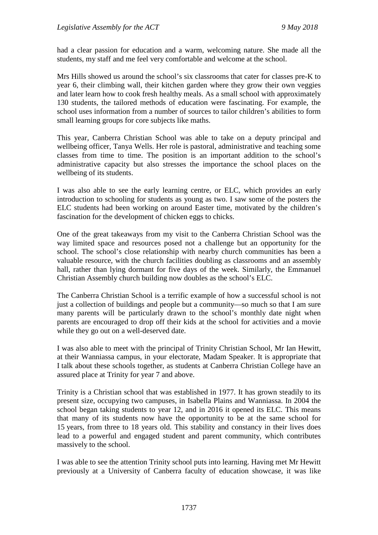had a clear passion for education and a warm, welcoming nature. She made all the students, my staff and me feel very comfortable and welcome at the school.

Mrs Hills showed us around the school's six classrooms that cater for classes pre-K to year 6, their climbing wall, their kitchen garden where they grow their own veggies and later learn how to cook fresh healthy meals. As a small school with approximately 130 students, the tailored methods of education were fascinating. For example, the school uses information from a number of sources to tailor children's abilities to form small learning groups for core subjects like maths.

This year, Canberra Christian School was able to take on a deputy principal and wellbeing officer, Tanya Wells. Her role is pastoral, administrative and teaching some classes from time to time. The position is an important addition to the school's administrative capacity but also stresses the importance the school places on the wellbeing of its students.

I was also able to see the early learning centre, or ELC, which provides an early introduction to schooling for students as young as two. I saw some of the posters the ELC students had been working on around Easter time, motivated by the children's fascination for the development of chicken eggs to chicks.

One of the great takeaways from my visit to the Canberra Christian School was the way limited space and resources posed not a challenge but an opportunity for the school. The school's close relationship with nearby church communities has been a valuable resource, with the church facilities doubling as classrooms and an assembly hall, rather than lying dormant for five days of the week. Similarly, the Emmanuel Christian Assembly church building now doubles as the school's ELC.

The Canberra Christian School is a terrific example of how a successful school is not just a collection of buildings and people but a community—so much so that I am sure many parents will be particularly drawn to the school's monthly date night when parents are encouraged to drop off their kids at the school for activities and a movie while they go out on a well-deserved date.

I was also able to meet with the principal of Trinity Christian School, Mr Ian Hewitt, at their Wanniassa campus, in your electorate, Madam Speaker. It is appropriate that I talk about these schools together, as students at Canberra Christian College have an assured place at Trinity for year 7 and above.

Trinity is a Christian school that was established in 1977. It has grown steadily to its present size, occupying two campuses, in Isabella Plains and Wanniassa. In 2004 the school began taking students to year 12, and in 2016 it opened its ELC. This means that many of its students now have the opportunity to be at the same school for 15 years, from three to 18 years old. This stability and constancy in their lives does lead to a powerful and engaged student and parent community, which contributes massively to the school.

I was able to see the attention Trinity school puts into learning. Having met Mr Hewitt previously at a University of Canberra faculty of education showcase, it was like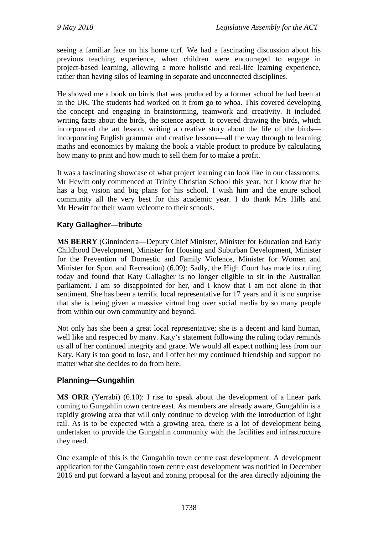seeing a familiar face on his home turf. We had a fascinating discussion about his previous teaching experience, when children were encouraged to engage in project-based learning, allowing a more holistic and real-life learning experience, rather than having silos of learning in separate and unconnected disciplines.

He showed me a book on birds that was produced by a former school he had been at in the UK. The students had worked on it from go to whoa. This covered developing the concept and engaging in brainstorming, teamwork and creativity. It included writing facts about the birds, the science aspect. It covered drawing the birds, which incorporated the art lesson, writing a creative story about the life of the birds incorporating English grammar and creative lessons—all the way through to learning maths and economics by making the book a viable product to produce by calculating how many to print and how much to sell them for to make a profit.

It was a fascinating showcase of what project learning can look like in our classrooms. Mr Hewitt only commenced at Trinity Christian School this year, but I know that he has a big vision and big plans for his school. I wish him and the entire school community all the very best for this academic year. I do thank Mrs Hills and Mr Hewitt for their warm welcome to their schools.

## **Katy Gallagher—tribute**

**MS BERRY** (Ginninderra—Deputy Chief Minister, Minister for Education and Early Childhood Development, Minister for Housing and Suburban Development, Minister for the Prevention of Domestic and Family Violence, Minister for Women and Minister for Sport and Recreation) (6.09): Sadly, the High Court has made its ruling today and found that Katy Gallagher is no longer eligible to sit in the Australian parliament. I am so disappointed for her, and I know that I am not alone in that sentiment. She has been a terrific local representative for 17 years and it is no surprise that she is being given a massive virtual hug over social media by so many people from within our own community and beyond.

Not only has she been a great local representative; she is a decent and kind human, well like and respected by many. Katy's statement following the ruling today reminds us all of her continued integrity and grace. We would all expect nothing less from our Katy. Katy is too good to lose, and I offer her my continued friendship and support no matter what she decides to do from here.

## **Planning—Gungahlin**

**MS ORR** (Yerrabi) (6.10): I rise to speak about the development of a linear park coming to Gungahlin town centre east. As members are already aware, Gungahlin is a rapidly growing area that will only continue to develop with the introduction of light rail. As is to be expected with a growing area, there is a lot of development being undertaken to provide the Gungahlin community with the facilities and infrastructure they need.

One example of this is the Gungahlin town centre east development. A development application for the Gungahlin town centre east development was notified in December 2016 and put forward a layout and zoning proposal for the area directly adjoining the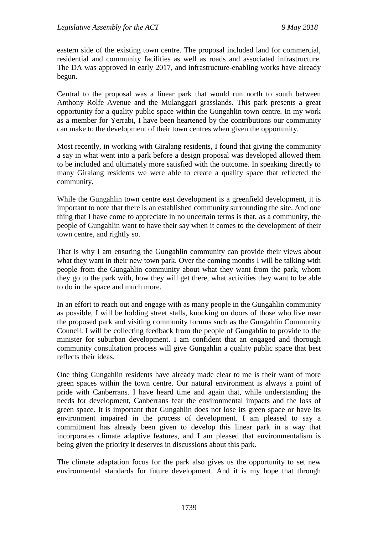eastern side of the existing town centre. The proposal included land for commercial, residential and community facilities as well as roads and associated infrastructure. The DA was approved in early 2017, and infrastructure-enabling works have already begun.

Central to the proposal was a linear park that would run north to south between Anthony Rolfe Avenue and the Mulanggari grasslands. This park presents a great opportunity for a quality public space within the Gungahlin town centre. In my work as a member for Yerrabi, I have been heartened by the contributions our community can make to the development of their town centres when given the opportunity.

Most recently, in working with Giralang residents, I found that giving the community a say in what went into a park before a design proposal was developed allowed them to be included and ultimately more satisfied with the outcome. In speaking directly to many Giralang residents we were able to create a quality space that reflected the community.

While the Gungahlin town centre east development is a greenfield development, it is important to note that there is an established community surrounding the site. And one thing that I have come to appreciate in no uncertain terms is that, as a community, the people of Gungahlin want to have their say when it comes to the development of their town centre, and rightly so.

That is why I am ensuring the Gungahlin community can provide their views about what they want in their new town park. Over the coming months I will be talking with people from the Gungahlin community about what they want from the park, whom they go to the park with, how they will get there, what activities they want to be able to do in the space and much more.

In an effort to reach out and engage with as many people in the Gungahlin community as possible, I will be holding street stalls, knocking on doors of those who live near the proposed park and visiting community forums such as the Gungahlin Community Council. I will be collecting feedback from the people of Gungahlin to provide to the minister for suburban development. I am confident that an engaged and thorough community consultation process will give Gungahlin a quality public space that best reflects their ideas.

One thing Gungahlin residents have already made clear to me is their want of more green spaces within the town centre. Our natural environment is always a point of pride with Canberrans. I have heard time and again that, while understanding the needs for development, Canberrans fear the environmental impacts and the loss of green space. It is important that Gungahlin does not lose its green space or have its environment impaired in the process of development. I am pleased to say a commitment has already been given to develop this linear park in a way that incorporates climate adaptive features, and I am pleased that environmentalism is being given the priority it deserves in discussions about this park.

The climate adaptation focus for the park also gives us the opportunity to set new environmental standards for future development. And it is my hope that through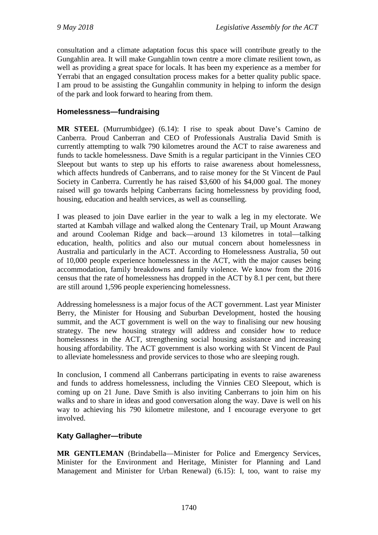consultation and a climate adaptation focus this space will contribute greatly to the Gungahlin area. It will make Gungahlin town centre a more climate resilient town, as well as providing a great space for locals. It has been my experience as a member for Yerrabi that an engaged consultation process makes for a better quality public space. I am proud to be assisting the Gungahlin community in helping to inform the design of the park and look forward to hearing from them.

## **Homelessness—fundraising**

**MR STEEL** (Murrumbidgee) (6.14): I rise to speak about Dave's Camino de Canberra. Proud Canberran and CEO of Professionals Australia David Smith is currently attempting to walk 790 kilometres around the ACT to raise awareness and funds to tackle homelessness. Dave Smith is a regular participant in the Vinnies CEO Sleepout but wants to step up his efforts to raise awareness about homelessness, which affects hundreds of Canberrans, and to raise money for the St Vincent de Paul Society in Canberra. Currently he has raised \$3,600 of his \$4,000 goal. The money raised will go towards helping Canberrans facing homelessness by providing food, housing, education and health services, as well as counselling.

I was pleased to join Dave earlier in the year to walk a leg in my electorate. We started at Kambah village and walked along the Centenary Trail, up Mount Arawang and around Cooleman Ridge and back—around 13 kilometres in total—talking education, health, politics and also our mutual concern about homelessness in Australia and particularly in the ACT. According to Homelessness Australia, 50 out of 10,000 people experience homelessness in the ACT, with the major causes being accommodation, family breakdowns and family violence. We know from the 2016 census that the rate of homelessness has dropped in the ACT by 8.1 per cent, but there are still around 1,596 people experiencing homelessness.

Addressing homelessness is a major focus of the ACT government. Last year Minister Berry, the Minister for Housing and Suburban Development, hosted the housing summit, and the ACT government is well on the way to finalising our new housing strategy. The new housing strategy will address and consider how to reduce homelessness in the ACT, strengthening social housing assistance and increasing housing affordability. The ACT government is also working with St Vincent de Paul to alleviate homelessness and provide services to those who are sleeping rough.

In conclusion, I commend all Canberrans participating in events to raise awareness and funds to address homelessness, including the Vinnies CEO Sleepout, which is coming up on 21 June. Dave Smith is also inviting Canberrans to join him on his walks and to share in ideas and good conversation along the way. Dave is well on his way to achieving his 790 kilometre milestone, and I encourage everyone to get involved.

# **Katy Gallagher—tribute**

**MR GENTLEMAN** (Brindabella—Minister for Police and Emergency Services, Minister for the Environment and Heritage, Minister for Planning and Land Management and Minister for Urban Renewal) (6.15): I, too, want to raise my